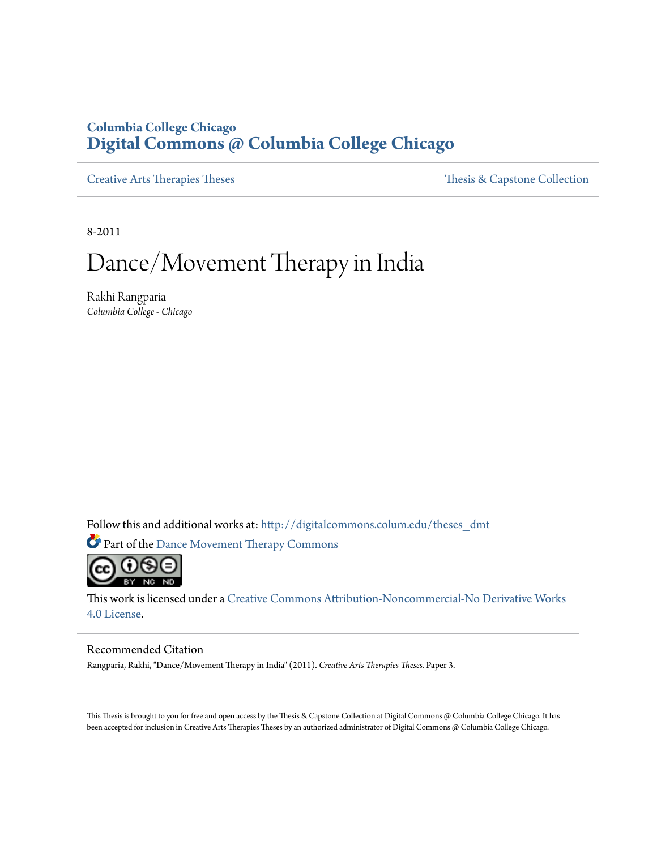# **Columbia College Chicago [Digital Commons @ Columbia College Chicago](http://digitalcommons.colum.edu?utm_source=digitalcommons.colum.edu%2Ftheses_dmt%2F3&utm_medium=PDF&utm_campaign=PDFCoverPages)**

[Creative Arts Therapies Theses](http://digitalcommons.colum.edu/theses_dmt?utm_source=digitalcommons.colum.edu%2Ftheses_dmt%2F3&utm_medium=PDF&utm_campaign=PDFCoverPages) Theses Theses [Thesis & Capstone Collection](http://digitalcommons.colum.edu/thesiscoll?utm_source=digitalcommons.colum.edu%2Ftheses_dmt%2F3&utm_medium=PDF&utm_campaign=PDFCoverPages)

8-2011

# Dance/Movement Therapy in India

Rakhi Rangparia *Columbia College - Chicago*

Follow this and additional works at: [http://digitalcommons.colum.edu/theses\\_dmt](http://digitalcommons.colum.edu/theses_dmt?utm_source=digitalcommons.colum.edu%2Ftheses_dmt%2F3&utm_medium=PDF&utm_campaign=PDFCoverPages)

Part of the [Dance Movement Therapy Commons](http://network.bepress.com/hgg/discipline/1150?utm_source=digitalcommons.colum.edu%2Ftheses_dmt%2F3&utm_medium=PDF&utm_campaign=PDFCoverPages)



This work is licensed under a [Creative Commons Attribution-Noncommercial-No Derivative Works](http://creativecommons.org/licenses/by-nc-nd/4.0/) [4.0 License.](http://creativecommons.org/licenses/by-nc-nd/4.0/)

#### Recommended Citation

Rangparia, Rakhi, "Dance/Movement Therapy in India" (2011). *Creative Arts Therapies Theses.* Paper 3.

This Thesis is brought to you for free and open access by the Thesis & Capstone Collection at Digital Commons @ Columbia College Chicago. It has been accepted for inclusion in Creative Arts Therapies Theses by an authorized administrator of Digital Commons @ Columbia College Chicago.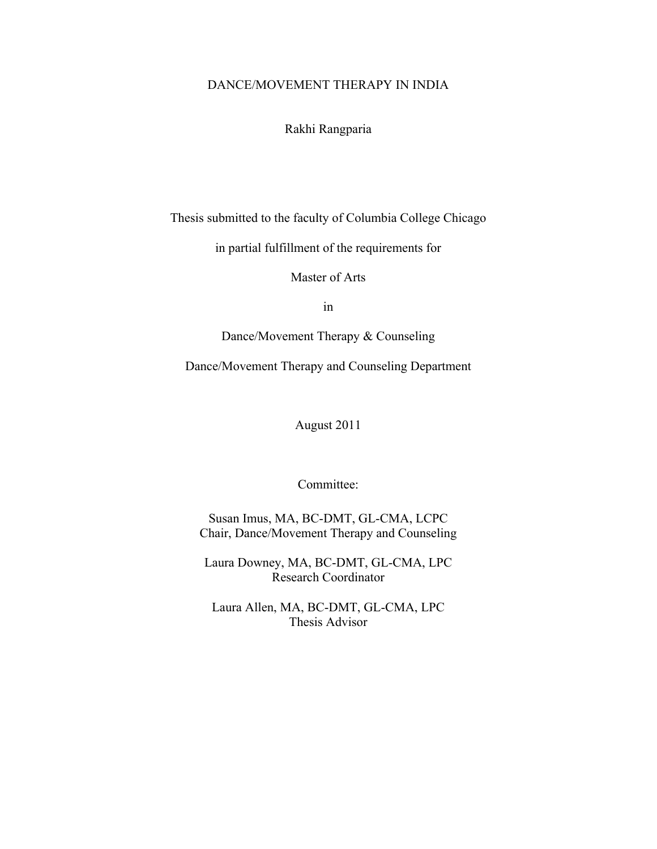# DANCE/MOVEMENT THERAPY IN INDIA

Rakhi Rangparia

Thesis submitted to the faculty of Columbia College Chicago

in partial fulfillment of the requirements for

Master of Arts

in

Dance/Movement Therapy & Counseling

Dance/Movement Therapy and Counseling Department

August 2011

Committee:

Susan Imus, MA, BC-DMT, GL-CMA, LCPC Chair, Dance/Movement Therapy and Counseling

Laura Downey, MA, BC-DMT, GL-CMA, LPC Research Coordinator

Laura Allen, MA, BC-DMT, GL-CMA, LPC Thesis Advisor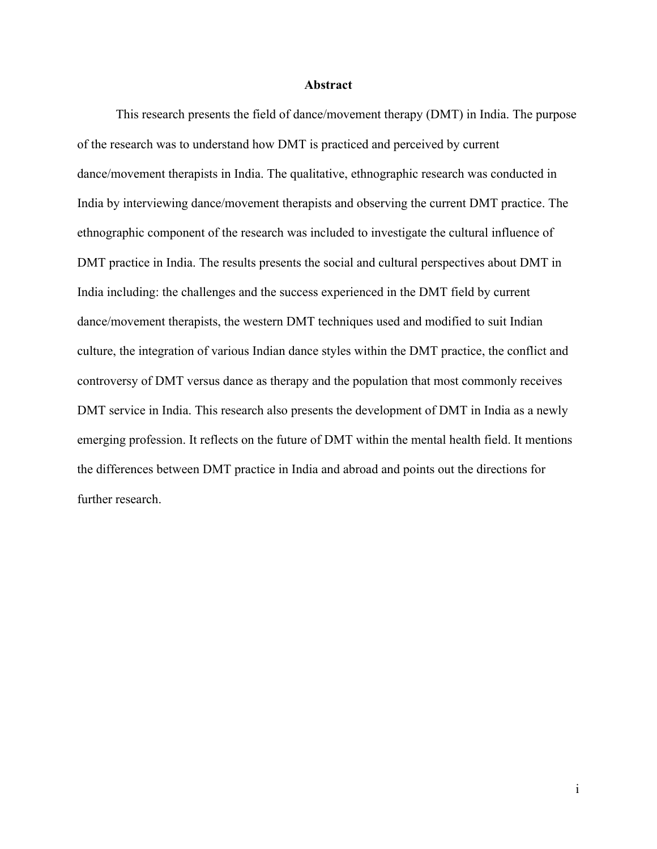#### **Abstract**

This research presents the field of dance/movement therapy (DMT) in India. The purpose of the research was to understand how DMT is practiced and perceived by current dance/movement therapists in India. The qualitative, ethnographic research was conducted in India by interviewing dance/movement therapists and observing the current DMT practice. The ethnographic component of the research was included to investigate the cultural influence of DMT practice in India. The results presents the social and cultural perspectives about DMT in India including: the challenges and the success experienced in the DMT field by current dance/movement therapists, the western DMT techniques used and modified to suit Indian culture, the integration of various Indian dance styles within the DMT practice, the conflict and controversy of DMT versus dance as therapy and the population that most commonly receives DMT service in India. This research also presents the development of DMT in India as a newly emerging profession. It reflects on the future of DMT within the mental health field. It mentions the differences between DMT practice in India and abroad and points out the directions for further research.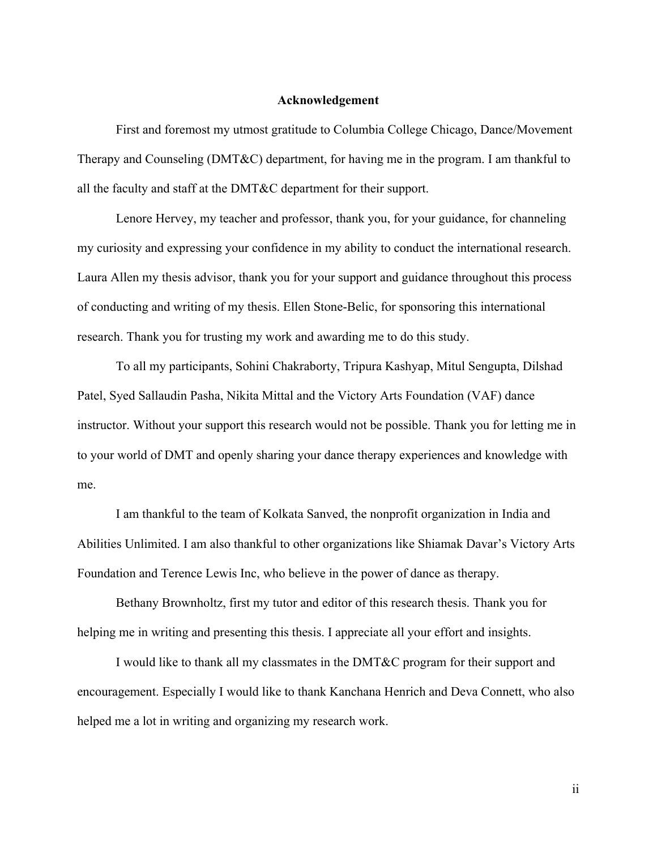## **Acknowledgement**

First and foremost my utmost gratitude to Columbia College Chicago, Dance/Movement Therapy and Counseling (DMT&C) department, for having me in the program. I am thankful to all the faculty and staff at the DMT&C department for their support.

Lenore Hervey, my teacher and professor, thank you, for your guidance, for channeling my curiosity and expressing your confidence in my ability to conduct the international research. Laura Allen my thesis advisor, thank you for your support and guidance throughout this process of conducting and writing of my thesis. Ellen Stone-Belic, for sponsoring this international research. Thank you for trusting my work and awarding me to do this study.

To all my participants, Sohini Chakraborty, Tripura Kashyap, Mitul Sengupta, Dilshad Patel, Syed Sallaudin Pasha, Nikita Mittal and the Victory Arts Foundation (VAF) dance instructor. Without your support this research would not be possible. Thank you for letting me in to your world of DMT and openly sharing your dance therapy experiences and knowledge with me.

I am thankful to the team of Kolkata Sanved, the nonprofit organization in India and Abilities Unlimited. I am also thankful to other organizations like Shiamak Davar's Victory Arts Foundation and Terence Lewis Inc, who believe in the power of dance as therapy.

Bethany Brownholtz, first my tutor and editor of this research thesis. Thank you for helping me in writing and presenting this thesis. I appreciate all your effort and insights.

I would like to thank all my classmates in the DMT&C program for their support and encouragement. Especially I would like to thank Kanchana Henrich and Deva Connett, who also helped me a lot in writing and organizing my research work.

ii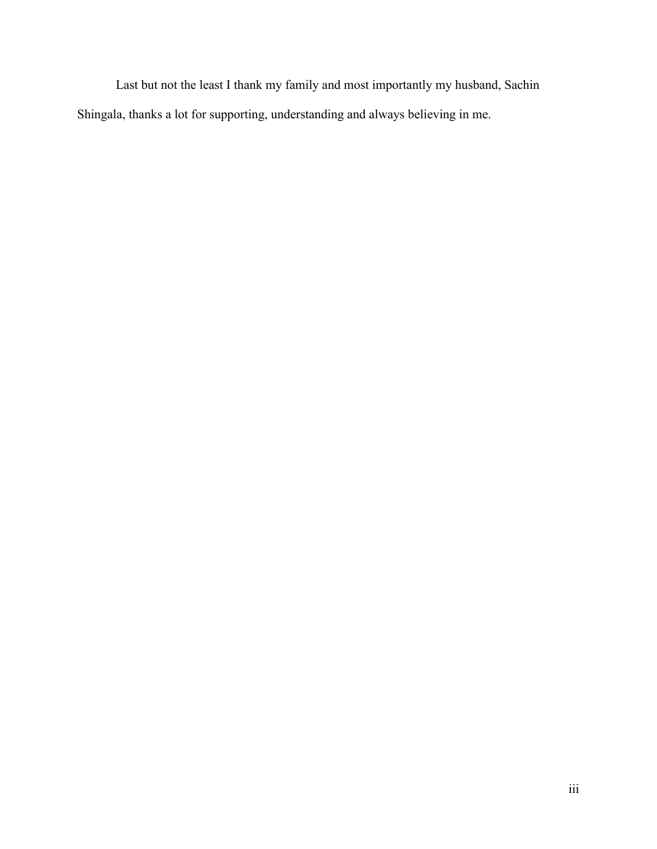Last but not the least I thank my family and most importantly my husband, Sachin Shingala, thanks a lot for supporting, understanding and always believing in me.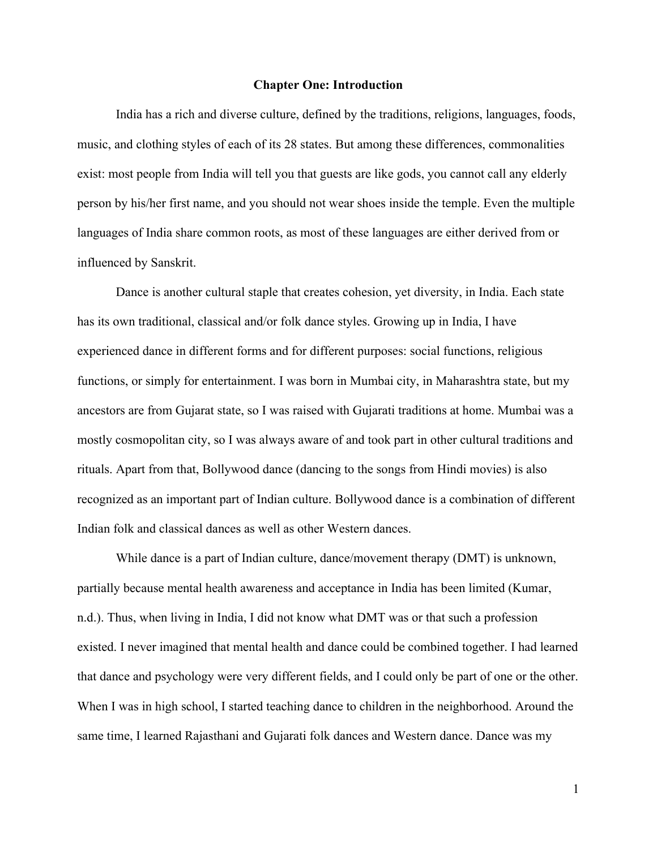#### **Chapter One: Introduction**

India has a rich and diverse culture, defined by the traditions, religions, languages, foods, music, and clothing styles of each of its 28 states. But among these differences, commonalities exist: most people from India will tell you that guests are like gods, you cannot call any elderly person by his/her first name, and you should not wear shoes inside the temple. Even the multiple languages of India share common roots, as most of these languages are either derived from or influenced by Sanskrit.

Dance is another cultural staple that creates cohesion, yet diversity, in India. Each state has its own traditional, classical and/or folk dance styles. Growing up in India, I have experienced dance in different forms and for different purposes: social functions, religious functions, or simply for entertainment. I was born in Mumbai city, in Maharashtra state, but my ancestors are from Gujarat state, so I was raised with Gujarati traditions at home. Mumbai was a mostly cosmopolitan city, so I was always aware of and took part in other cultural traditions and rituals. Apart from that, Bollywood dance (dancing to the songs from Hindi movies) is also recognized as an important part of Indian culture. Bollywood dance is a combination of different Indian folk and classical dances as well as other Western dances.

While dance is a part of Indian culture, dance/movement therapy (DMT) is unknown, partially because mental health awareness and acceptance in India has been limited (Kumar, n.d.). Thus, when living in India, I did not know what DMT was or that such a profession existed. I never imagined that mental health and dance could be combined together. I had learned that dance and psychology were very different fields, and I could only be part of one or the other. When I was in high school, I started teaching dance to children in the neighborhood. Around the same time, I learned Rajasthani and Gujarati folk dances and Western dance. Dance was my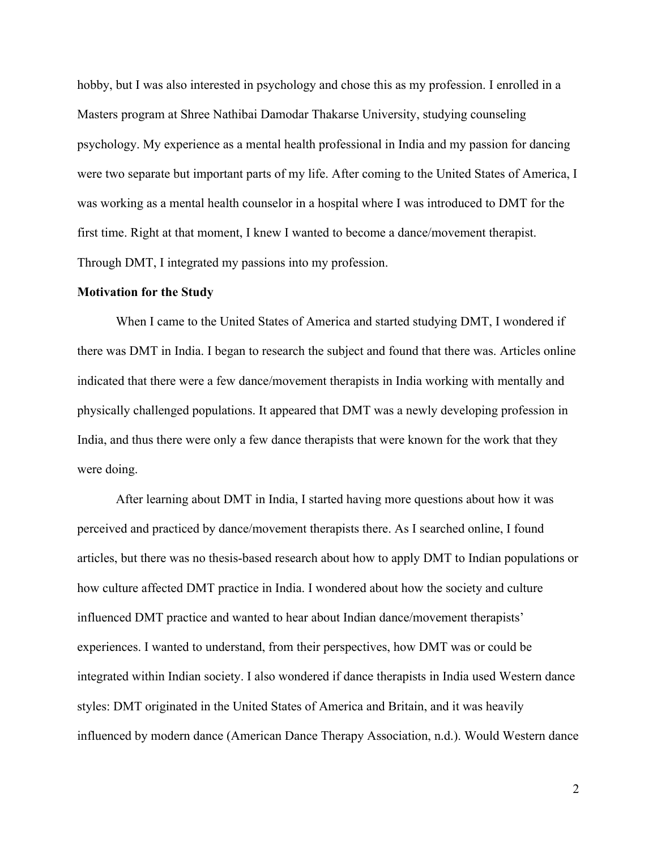hobby, but I was also interested in psychology and chose this as my profession. I enrolled in a Masters program at Shree Nathibai Damodar Thakarse University, studying counseling psychology. My experience as a mental health professional in India and my passion for dancing were two separate but important parts of my life. After coming to the United States of America, I was working as a mental health counselor in a hospital where I was introduced to DMT for the first time. Right at that moment, I knew I wanted to become a dance/movement therapist. Through DMT, I integrated my passions into my profession.

#### **Motivation for the Study**

When I came to the United States of America and started studying DMT, I wondered if there was DMT in India. I began to research the subject and found that there was. Articles online indicated that there were a few dance/movement therapists in India working with mentally and physically challenged populations. It appeared that DMT was a newly developing profession in India, and thus there were only a few dance therapists that were known for the work that they were doing.

After learning about DMT in India, I started having more questions about how it was perceived and practiced by dance/movement therapists there. As I searched online, I found articles, but there was no thesis-based research about how to apply DMT to Indian populations or how culture affected DMT practice in India. I wondered about how the society and culture influenced DMT practice and wanted to hear about Indian dance/movement therapists' experiences. I wanted to understand, from their perspectives, how DMT was or could be integrated within Indian society. I also wondered if dance therapists in India used Western dance styles: DMT originated in the United States of America and Britain, and it was heavily influenced by modern dance (American Dance Therapy Association, n.d.). Would Western dance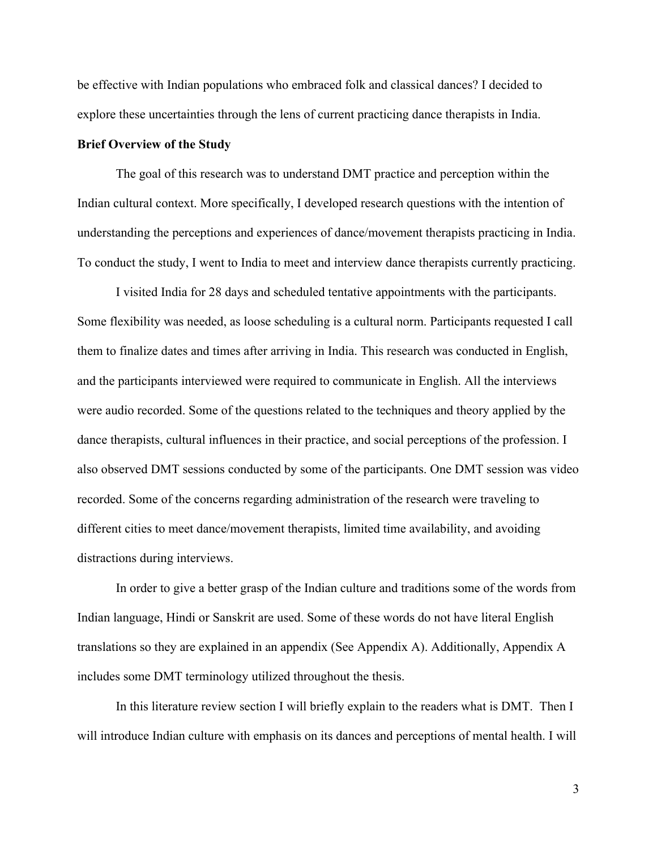be effective with Indian populations who embraced folk and classical dances? I decided to explore these uncertainties through the lens of current practicing dance therapists in India.

#### **Brief Overview of the Study**

The goal of this research was to understand DMT practice and perception within the Indian cultural context. More specifically, I developed research questions with the intention of understanding the perceptions and experiences of dance/movement therapists practicing in India. To conduct the study, I went to India to meet and interview dance therapists currently practicing.

I visited India for 28 days and scheduled tentative appointments with the participants. Some flexibility was needed, as loose scheduling is a cultural norm. Participants requested I call them to finalize dates and times after arriving in India. This research was conducted in English, and the participants interviewed were required to communicate in English. All the interviews were audio recorded. Some of the questions related to the techniques and theory applied by the dance therapists, cultural influences in their practice, and social perceptions of the profession. I also observed DMT sessions conducted by some of the participants. One DMT session was video recorded. Some of the concerns regarding administration of the research were traveling to different cities to meet dance/movement therapists, limited time availability, and avoiding distractions during interviews.

In order to give a better grasp of the Indian culture and traditions some of the words from Indian language, Hindi or Sanskrit are used. Some of these words do not have literal English translations so they are explained in an appendix (See Appendix A). Additionally, Appendix A includes some DMT terminology utilized throughout the thesis.

In this literature review section I will briefly explain to the readers what is DMT. Then I will introduce Indian culture with emphasis on its dances and perceptions of mental health. I will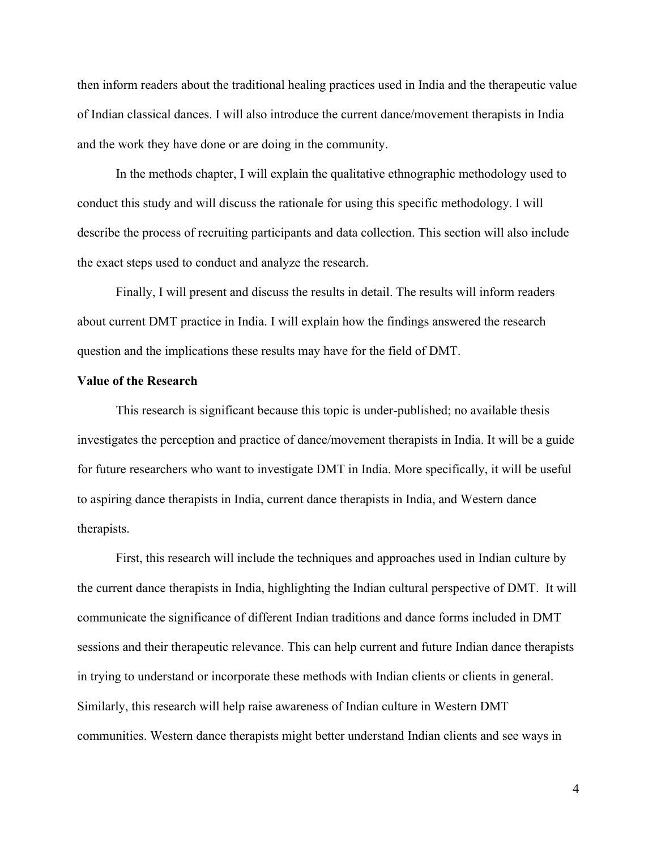then inform readers about the traditional healing practices used in India and the therapeutic value of Indian classical dances. I will also introduce the current dance/movement therapists in India and the work they have done or are doing in the community.

In the methods chapter, I will explain the qualitative ethnographic methodology used to conduct this study and will discuss the rationale for using this specific methodology. I will describe the process of recruiting participants and data collection. This section will also include the exact steps used to conduct and analyze the research.

Finally, I will present and discuss the results in detail. The results will inform readers about current DMT practice in India. I will explain how the findings answered the research question and the implications these results may have for the field of DMT.

#### **Value of the Research**

This research is significant because this topic is under-published; no available thesis investigates the perception and practice of dance/movement therapists in India. It will be a guide for future researchers who want to investigate DMT in India. More specifically, it will be useful to aspiring dance therapists in India, current dance therapists in India, and Western dance therapists.

First, this research will include the techniques and approaches used in Indian culture by the current dance therapists in India, highlighting the Indian cultural perspective of DMT. It will communicate the significance of different Indian traditions and dance forms included in DMT sessions and their therapeutic relevance. This can help current and future Indian dance therapists in trying to understand or incorporate these methods with Indian clients or clients in general. Similarly, this research will help raise awareness of Indian culture in Western DMT communities. Western dance therapists might better understand Indian clients and see ways in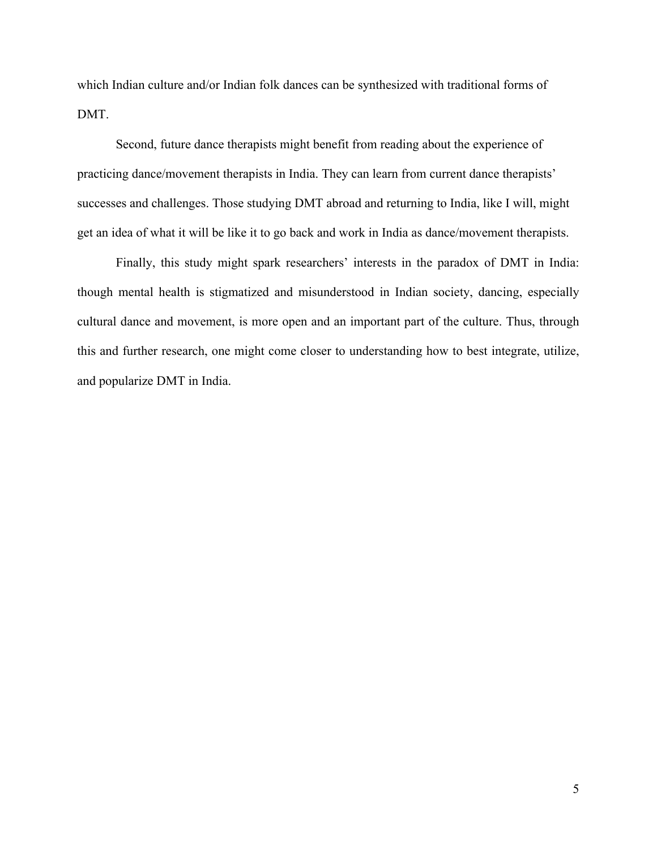which Indian culture and/or Indian folk dances can be synthesized with traditional forms of DMT.

Second, future dance therapists might benefit from reading about the experience of practicing dance/movement therapists in India. They can learn from current dance therapists' successes and challenges. Those studying DMT abroad and returning to India, like I will, might get an idea of what it will be like it to go back and work in India as dance/movement therapists.

Finally, this study might spark researchers' interests in the paradox of DMT in India: though mental health is stigmatized and misunderstood in Indian society, dancing, especially cultural dance and movement, is more open and an important part of the culture. Thus, through this and further research, one might come closer to understanding how to best integrate, utilize, and popularize DMT in India.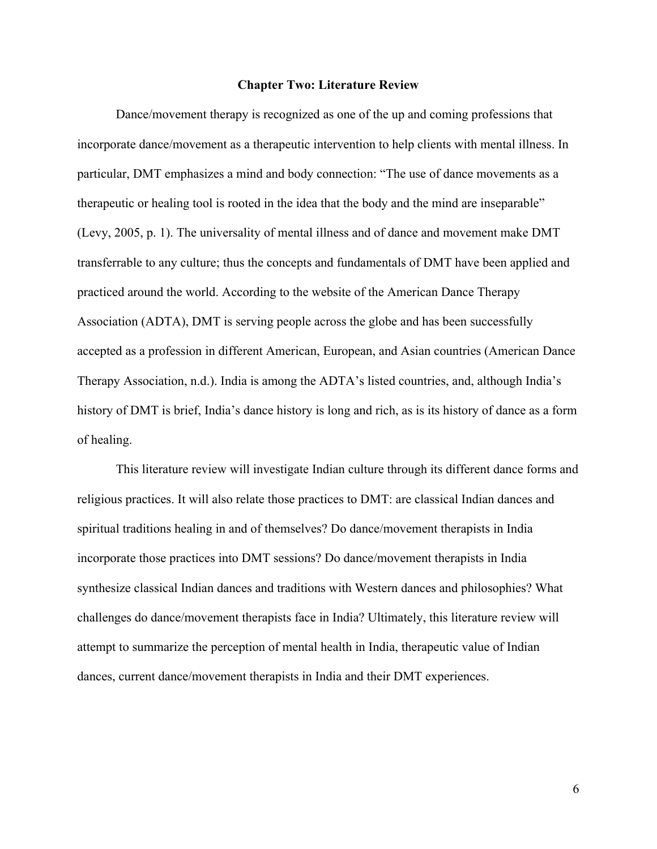#### **Chapter Two: Literature Review**

Dance/movement therapy is recognized as one of the up and coming professions that incorporate dance/movement as a therapeutic intervention to help clients with mental illness. In particular, DMT emphasizes a mind and body connection: "The use of dance movements as a therapeutic or healing tool is rooted in the idea that the body and the mind are inseparable" (Levy, 2005, p. 1). The universality of mental illness and of dance and movement make DMT transferrable to any culture; thus the concepts and fundamentals of DMT have been applied and practiced around the world. According to the website of the American Dance Therapy Association (ADTA), DMT is serving people across the globe and has been successfully accepted as a profession in different American, European, and Asian countries (American Dance Therapy Association, n.d.). India is among the ADTA's listed countries, and, although India's history of DMT is brief, India's dance history is long and rich, as is its history of dance as a form of healing.

This literature review will investigate Indian culture through its different dance forms and religious practices. It will also relate those practices to DMT: are classical Indian dances and spiritual traditions healing in and of themselves? Do dance/movement therapists in India incorporate those practices into DMT sessions? Do dance/movement therapists in India synthesize classical Indian dances and traditions with Western dances and philosophies? What challenges do dance/movement therapists face in India? Ultimately, this literature review will attempt to summarize the perception of mental health in India, therapeutic value of Indian dances, current dance/movement therapists in India and their DMT experiences.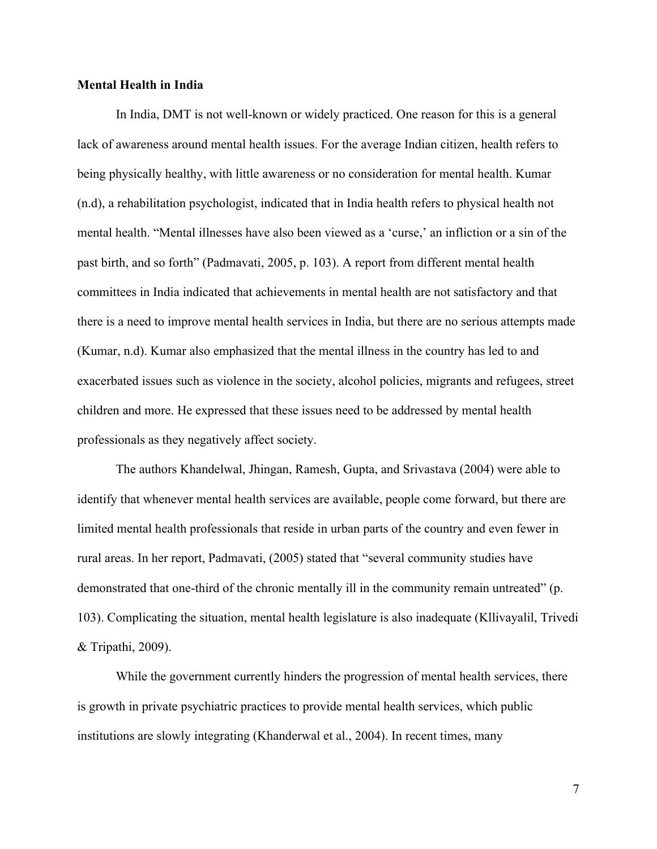### **Mental Health in India**

In India, DMT is not well-known or widely practiced. One reason for this is a general lack of awareness around mental health issues. For the average Indian citizen, health refers to being physically healthy, with little awareness or no consideration for mental health. Kumar (n.d), a rehabilitation psychologist, indicated that in India health refers to physical health not mental health. "Mental illnesses have also been viewed as a 'curse,' an infliction or a sin of the past birth, and so forth" (Padmavati, 2005, p. 103). A report from different mental health committees in India indicated that achievements in mental health are not satisfactory and that there is a need to improve mental health services in India, but there are no serious attempts made (Kumar, n.d). Kumar also emphasized that the mental illness in the country has led to and exacerbated issues such as violence in the society, alcohol policies, migrants and refugees, street children and more. He expressed that these issues need to be addressed by mental health professionals as they negatively affect society.

The authors Khandelwal, Jhingan, Ramesh, Gupta, and Srivastava (2004) were able to identify that whenever mental health services are available, people come forward, but there are limited mental health professionals that reside in urban parts of the country and even fewer in rural areas. In her report, Padmavati, (2005) stated that "several community studies have demonstrated that one-third of the chronic mentally ill in the community remain untreated" (p. 103). Complicating the situation, mental health legislature is also inadequate (Kllivayalil, Trivedi & Tripathi, 2009).

While the government currently hinders the progression of mental health services, there is growth in private psychiatric practices to provide mental health services, which public institutions are slowly integrating (Khanderwal et al., 2004). In recent times, many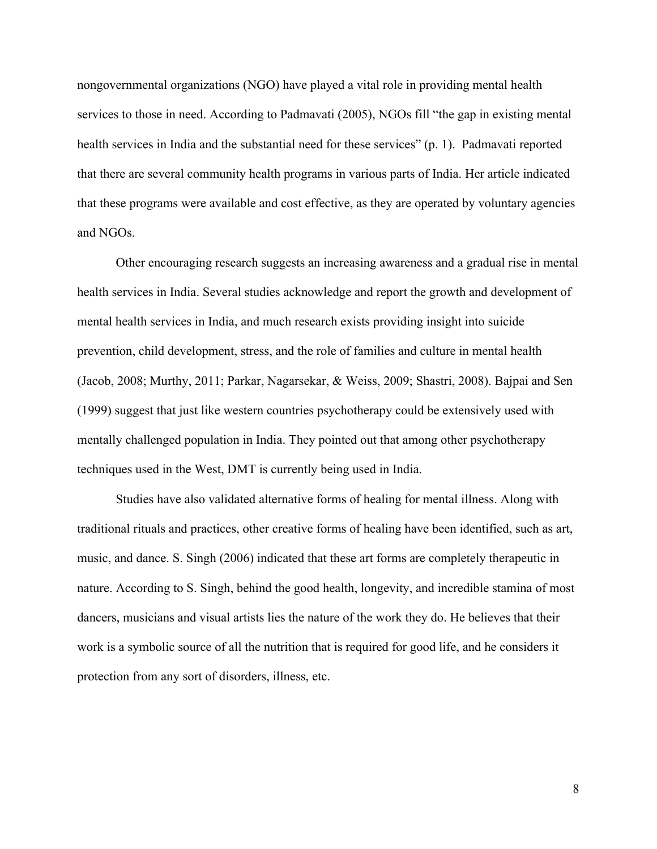nongovernmental organizations (NGO) have played a vital role in providing mental health services to those in need. According to Padmavati (2005), NGOs fill "the gap in existing mental health services in India and the substantial need for these services" (p. 1). Padmavati reported that there are several community health programs in various parts of India. Her article indicated that these programs were available and cost effective, as they are operated by voluntary agencies and NGOs.

Other encouraging research suggests an increasing awareness and a gradual rise in mental health services in India. Several studies acknowledge and report the growth and development of mental health services in India, and much research exists providing insight into suicide prevention, child development, stress, and the role of families and culture in mental health (Jacob, 2008; Murthy, 2011; Parkar, Nagarsekar, & Weiss, 2009; Shastri, 2008). Bajpai and Sen (1999) suggest that just like western countries psychotherapy could be extensively used with mentally challenged population in India. They pointed out that among other psychotherapy techniques used in the West, DMT is currently being used in India.

Studies have also validated alternative forms of healing for mental illness. Along with traditional rituals and practices, other creative forms of healing have been identified, such as art, music, and dance. S. Singh (2006) indicated that these art forms are completely therapeutic in nature. According to S. Singh, behind the good health, longevity, and incredible stamina of most dancers, musicians and visual artists lies the nature of the work they do. He believes that their work is a symbolic source of all the nutrition that is required for good life, and he considers it protection from any sort of disorders, illness, etc.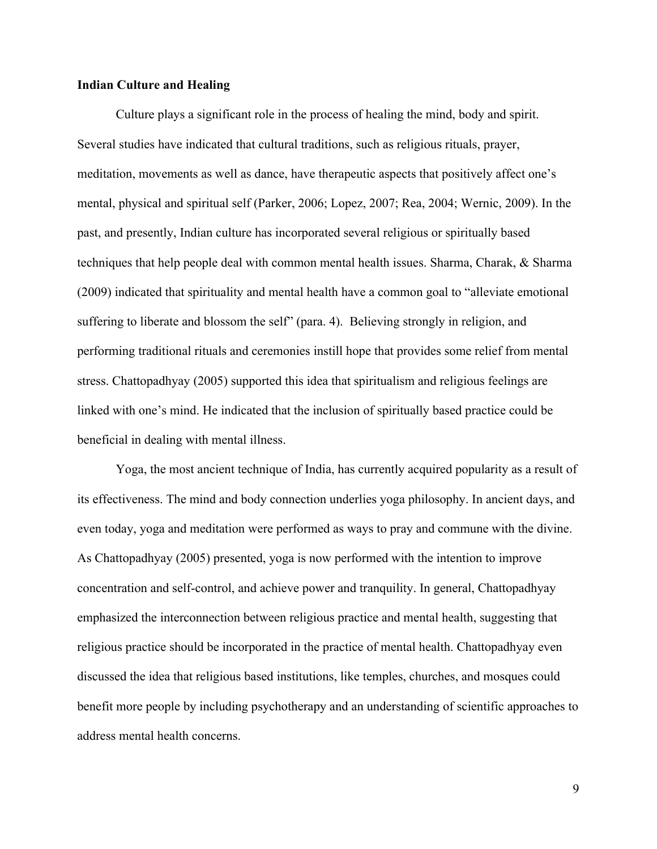### **Indian Culture and Healing**

Culture plays a significant role in the process of healing the mind, body and spirit. Several studies have indicated that cultural traditions, such as religious rituals, prayer, meditation, movements as well as dance, have therapeutic aspects that positively affect one's mental, physical and spiritual self (Parker, 2006; Lopez, 2007; Rea, 2004; Wernic, 2009). In the past, and presently, Indian culture has incorporated several religious or spiritually based techniques that help people deal with common mental health issues. Sharma, Charak, & Sharma (2009) indicated that spirituality and mental health have a common goal to "alleviate emotional suffering to liberate and blossom the self" (para. 4). Believing strongly in religion, and performing traditional rituals and ceremonies instill hope that provides some relief from mental stress. Chattopadhyay (2005) supported this idea that spiritualism and religious feelings are linked with one's mind. He indicated that the inclusion of spiritually based practice could be beneficial in dealing with mental illness.

Yoga, the most ancient technique of India, has currently acquired popularity as a result of its effectiveness. The mind and body connection underlies yoga philosophy. In ancient days, and even today, yoga and meditation were performed as ways to pray and commune with the divine. As Chattopadhyay (2005) presented, yoga is now performed with the intention to improve concentration and self-control, and achieve power and tranquility. In general, Chattopadhyay emphasized the interconnection between religious practice and mental health, suggesting that religious practice should be incorporated in the practice of mental health. Chattopadhyay even discussed the idea that religious based institutions, like temples, churches, and mosques could benefit more people by including psychotherapy and an understanding of scientific approaches to address mental health concerns.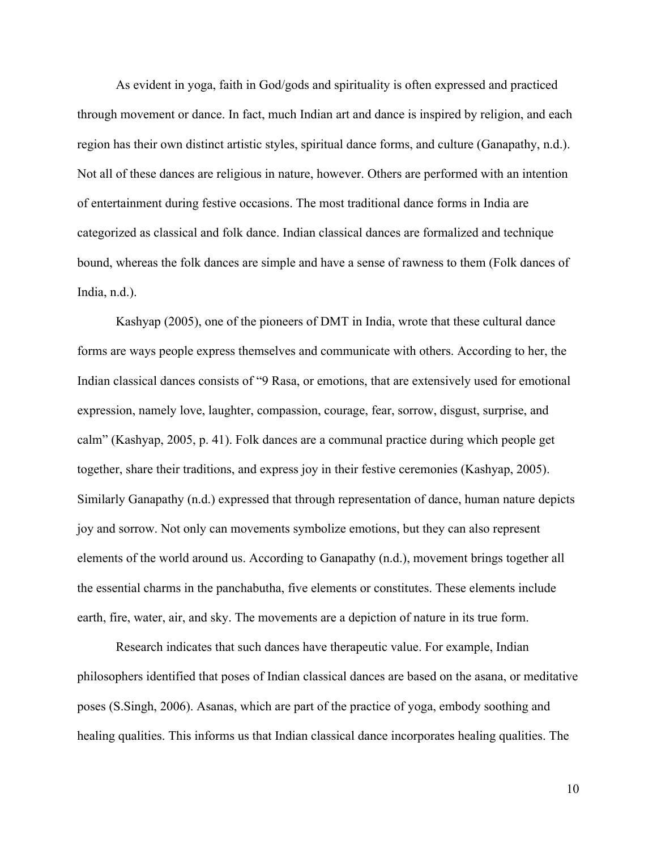As evident in yoga, faith in God/gods and spirituality is often expressed and practiced through movement or dance. In fact, much Indian art and dance is inspired by religion, and each region has their own distinct artistic styles, spiritual dance forms, and culture (Ganapathy, n.d.). Not all of these dances are religious in nature, however. Others are performed with an intention of entertainment during festive occasions. The most traditional dance forms in India are categorized as classical and folk dance. Indian classical dances are formalized and technique bound, whereas the folk dances are simple and have a sense of rawness to them (Folk dances of India, n.d.).

Kashyap (2005), one of the pioneers of DMT in India, wrote that these cultural dance forms are ways people express themselves and communicate with others. According to her, the Indian classical dances consists of "9 Rasa, or emotions, that are extensively used for emotional expression, namely love, laughter, compassion, courage, fear, sorrow, disgust, surprise, and calm" (Kashyap, 2005, p. 41). Folk dances are a communal practice during which people get together, share their traditions, and express joy in their festive ceremonies (Kashyap, 2005). Similarly Ganapathy (n.d.) expressed that through representation of dance, human nature depicts joy and sorrow. Not only can movements symbolize emotions, but they can also represent elements of the world around us. According to Ganapathy (n.d.), movement brings together all the essential charms in the panchabutha, five elements or constitutes. These elements include earth, fire, water, air, and sky. The movements are a depiction of nature in its true form.

Research indicates that such dances have therapeutic value. For example, Indian philosophers identified that poses of Indian classical dances are based on the asana, or meditative poses (S.Singh, 2006). Asanas, which are part of the practice of yoga, embody soothing and healing qualities. This informs us that Indian classical dance incorporates healing qualities. The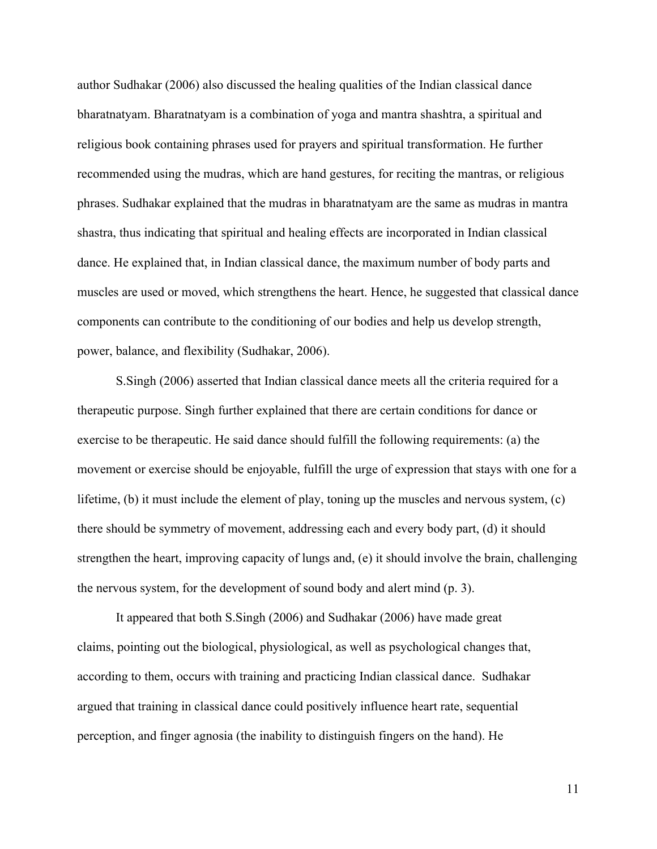author Sudhakar (2006) also discussed the healing qualities of the Indian classical dance bharatnatyam. Bharatnatyam is a combination of yoga and mantra shashtra, a spiritual and religious book containing phrases used for prayers and spiritual transformation. He further recommended using the mudras, which are hand gestures, for reciting the mantras, or religious phrases. Sudhakar explained that the mudras in bharatnatyam are the same as mudras in mantra shastra, thus indicating that spiritual and healing effects are incorporated in Indian classical dance. He explained that, in Indian classical dance, the maximum number of body parts and muscles are used or moved, which strengthens the heart. Hence, he suggested that classical dance components can contribute to the conditioning of our bodies and help us develop strength, power, balance, and flexibility (Sudhakar, 2006).

S.Singh (2006) asserted that Indian classical dance meets all the criteria required for a therapeutic purpose. Singh further explained that there are certain conditions for dance or exercise to be therapeutic. He said dance should fulfill the following requirements: (a) the movement or exercise should be enjoyable, fulfill the urge of expression that stays with one for a lifetime, (b) it must include the element of play, toning up the muscles and nervous system, (c) there should be symmetry of movement, addressing each and every body part, (d) it should strengthen the heart, improving capacity of lungs and, (e) it should involve the brain, challenging the nervous system, for the development of sound body and alert mind (p. 3).

It appeared that both S.Singh (2006) and Sudhakar (2006) have made great claims, pointing out the biological, physiological, as well as psychological changes that, according to them, occurs with training and practicing Indian classical dance. Sudhakar argued that training in classical dance could positively influence heart rate, sequential perception, and finger agnosia (the inability to distinguish fingers on the hand). He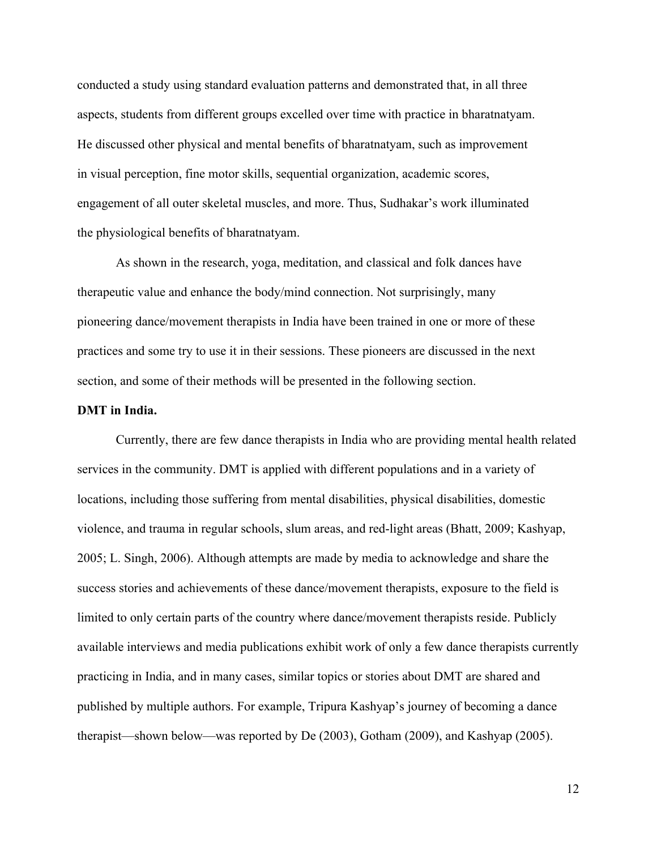conducted a study using standard evaluation patterns and demonstrated that, in all three aspects, students from different groups excelled over time with practice in bharatnatyam. He discussed other physical and mental benefits of bharatnatyam, such as improvement in visual perception, fine motor skills, sequential organization, academic scores, engagement of all outer skeletal muscles, and more. Thus, Sudhakar's work illuminated the physiological benefits of bharatnatyam.

As shown in the research, yoga, meditation, and classical and folk dances have therapeutic value and enhance the body/mind connection. Not surprisingly, many pioneering dance/movement therapists in India have been trained in one or more of these practices and some try to use it in their sessions. These pioneers are discussed in the next section, and some of their methods will be presented in the following section.

#### **DMT in India.**

Currently, there are few dance therapists in India who are providing mental health related services in the community. DMT is applied with different populations and in a variety of locations, including those suffering from mental disabilities, physical disabilities, domestic violence, and trauma in regular schools, slum areas, and red-light areas (Bhatt, 2009; Kashyap, 2005; L. Singh, 2006). Although attempts are made by media to acknowledge and share the success stories and achievements of these dance/movement therapists, exposure to the field is limited to only certain parts of the country where dance/movement therapists reside. Publicly available interviews and media publications exhibit work of only a few dance therapists currently practicing in India, and in many cases, similar topics or stories about DMT are shared and published by multiple authors. For example, Tripura Kashyap's journey of becoming a dance therapist—shown below—was reported by De (2003), Gotham (2009), and Kashyap (2005).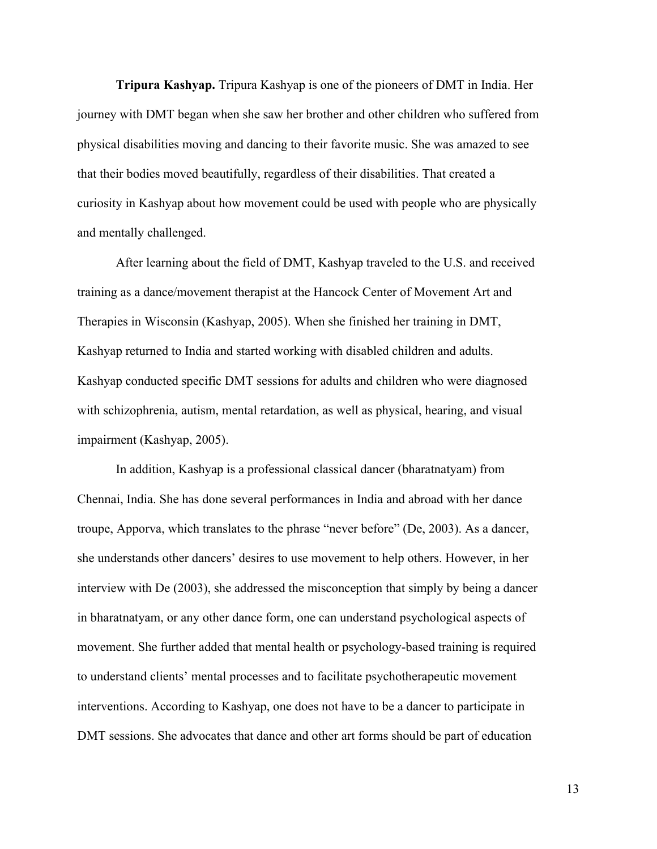**Tripura Kashyap.** Tripura Kashyap is one of the pioneers of DMT in India. Her journey with DMT began when she saw her brother and other children who suffered from physical disabilities moving and dancing to their favorite music. She was amazed to see that their bodies moved beautifully, regardless of their disabilities. That created a curiosity in Kashyap about how movement could be used with people who are physically and mentally challenged.

After learning about the field of DMT, Kashyap traveled to the U.S. and received training as a dance/movement therapist at the Hancock Center of Movement Art and Therapies in Wisconsin (Kashyap, 2005). When she finished her training in DMT, Kashyap returned to India and started working with disabled children and adults. Kashyap conducted specific DMT sessions for adults and children who were diagnosed with schizophrenia, autism, mental retardation, as well as physical, hearing, and visual impairment (Kashyap, 2005).

In addition, Kashyap is a professional classical dancer (bharatnatyam) from Chennai, India. She has done several performances in India and abroad with her dance troupe, Apporva, which translates to the phrase "never before" (De, 2003). As a dancer, she understands other dancers' desires to use movement to help others. However, in her interview with De (2003), she addressed the misconception that simply by being a dancer in bharatnatyam, or any other dance form, one can understand psychological aspects of movement. She further added that mental health or psychology-based training is required to understand clients' mental processes and to facilitate psychotherapeutic movement interventions. According to Kashyap, one does not have to be a dancer to participate in DMT sessions. She advocates that dance and other art forms should be part of education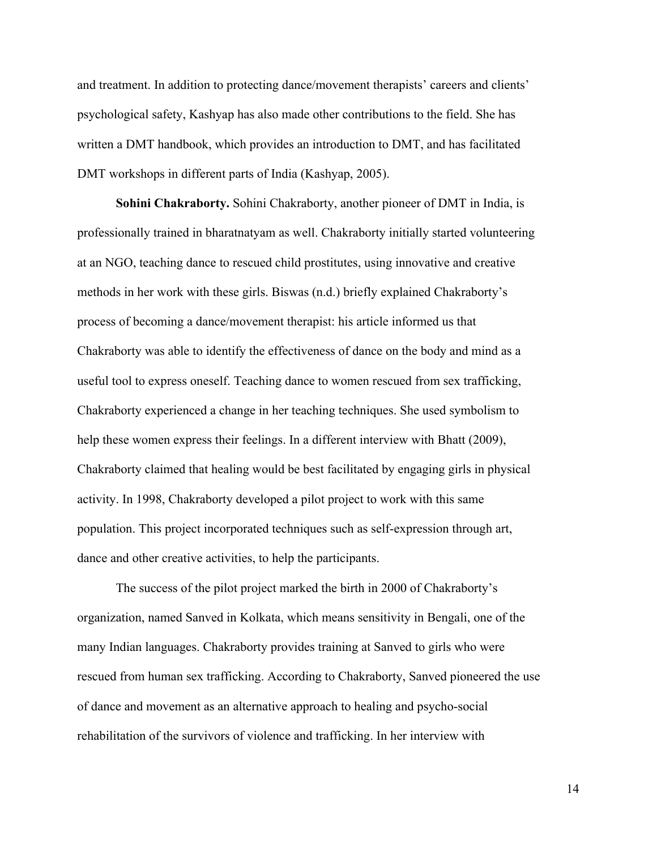and treatment. In addition to protecting dance/movement therapists' careers and clients' psychological safety, Kashyap has also made other contributions to the field. She has written a DMT handbook, which provides an introduction to DMT, and has facilitated DMT workshops in different parts of India (Kashyap, 2005).

**Sohini Chakraborty.** Sohini Chakraborty, another pioneer of DMT in India, is professionally trained in bharatnatyam as well. Chakraborty initially started volunteering at an NGO, teaching dance to rescued child prostitutes, using innovative and creative methods in her work with these girls. Biswas (n.d.) briefly explained Chakraborty's process of becoming a dance/movement therapist: his article informed us that Chakraborty was able to identify the effectiveness of dance on the body and mind as a useful tool to express oneself. Teaching dance to women rescued from sex trafficking, Chakraborty experienced a change in her teaching techniques. She used symbolism to help these women express their feelings. In a different interview with Bhatt (2009), Chakraborty claimed that healing would be best facilitated by engaging girls in physical activity. In 1998, Chakraborty developed a pilot project to work with this same population. This project incorporated techniques such as self-expression through art, dance and other creative activities, to help the participants.

The success of the pilot project marked the birth in 2000 of Chakraborty's organization, named Sanved in Kolkata, which means sensitivity in Bengali, one of the many Indian languages. Chakraborty provides training at Sanved to girls who were rescued from human sex trafficking. According to Chakraborty, Sanved pioneered the use of dance and movement as an alternative approach to healing and psycho-social rehabilitation of the survivors of violence and trafficking. In her interview with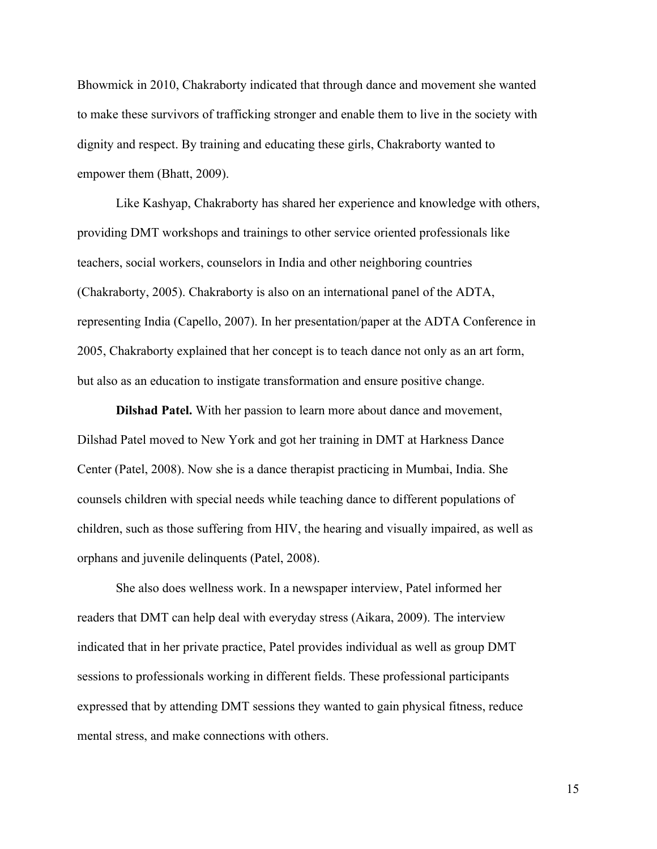Bhowmick in 2010, Chakraborty indicated that through dance and movement she wanted to make these survivors of trafficking stronger and enable them to live in the society with dignity and respect. By training and educating these girls, Chakraborty wanted to empower them (Bhatt, 2009).

Like Kashyap, Chakraborty has shared her experience and knowledge with others, providing DMT workshops and trainings to other service oriented professionals like teachers, social workers, counselors in India and other neighboring countries (Chakraborty, 2005). Chakraborty is also on an international panel of the ADTA, representing India (Capello, 2007). In her presentation/paper at the ADTA Conference in 2005, Chakraborty explained that her concept is to teach dance not only as an art form, but also as an education to instigate transformation and ensure positive change.

**Dilshad Patel.** With her passion to learn more about dance and movement, Dilshad Patel moved to New York and got her training in DMT at Harkness Dance Center (Patel, 2008). Now she is a dance therapist practicing in Mumbai, India. She counsels children with special needs while teaching dance to different populations of children, such as those suffering from HIV, the hearing and visually impaired, as well as orphans and juvenile delinquents (Patel, 2008).

She also does wellness work. In a newspaper interview, Patel informed her readers that DMT can help deal with everyday stress (Aikara, 2009). The interview indicated that in her private practice, Patel provides individual as well as group DMT sessions to professionals working in different fields. These professional participants expressed that by attending DMT sessions they wanted to gain physical fitness, reduce mental stress, and make connections with others.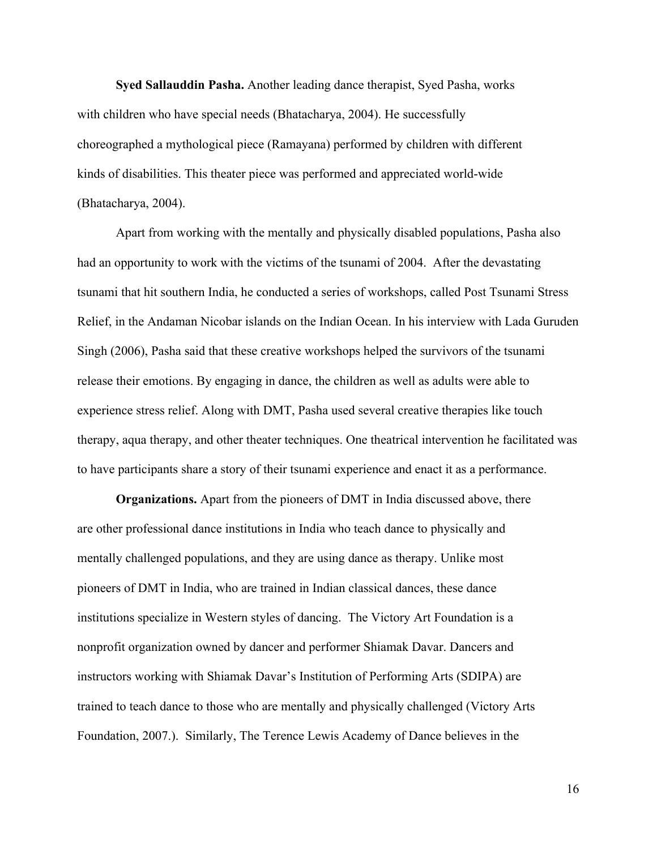**Syed Sallauddin Pasha.** Another leading dance therapist, Syed Pasha, works with children who have special needs (Bhatacharya, 2004). He successfully choreographed a mythological piece (Ramayana) performed by children with different kinds of disabilities. This theater piece was performed and appreciated world-wide (Bhatacharya, 2004).

Apart from working with the mentally and physically disabled populations, Pasha also had an opportunity to work with the victims of the tsunami of 2004. After the devastating tsunami that hit southern India, he conducted a series of workshops, called Post Tsunami Stress Relief, in the Andaman Nicobar islands on the Indian Ocean. In his interview with Lada Guruden Singh (2006), Pasha said that these creative workshops helped the survivors of the tsunami release their emotions. By engaging in dance, the children as well as adults were able to experience stress relief. Along with DMT, Pasha used several creative therapies like touch therapy, aqua therapy, and other theater techniques. One theatrical intervention he facilitated was to have participants share a story of their tsunami experience and enact it as a performance.

**Organizations.** Apart from the pioneers of DMT in India discussed above, there are other professional dance institutions in India who teach dance to physically and mentally challenged populations, and they are using dance as therapy. Unlike most pioneers of DMT in India, who are trained in Indian classical dances, these dance institutions specialize in Western styles of dancing. The Victory Art Foundation is a nonprofit organization owned by dancer and performer Shiamak Davar. Dancers and instructors working with Shiamak Davar's Institution of Performing Arts (SDIPA) are trained to teach dance to those who are mentally and physically challenged (Victory Arts Foundation, 2007.). Similarly, The Terence Lewis Academy of Dance believes in the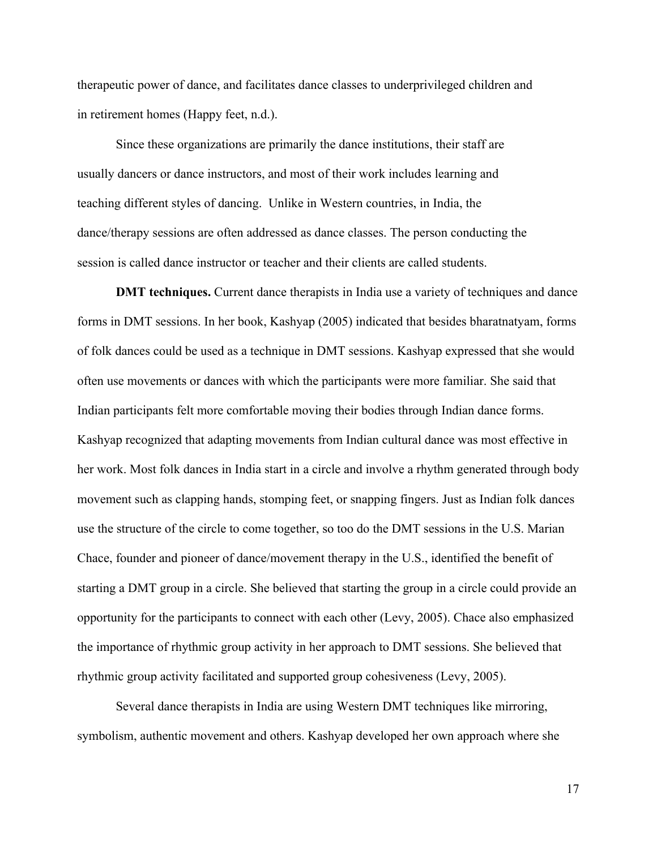therapeutic power of dance, and facilitates dance classes to underprivileged children and in retirement homes (Happy feet, n.d.).

Since these organizations are primarily the dance institutions, their staff are usually dancers or dance instructors, and most of their work includes learning and teaching different styles of dancing. Unlike in Western countries, in India, the dance/therapy sessions are often addressed as dance classes. The person conducting the session is called dance instructor or teacher and their clients are called students.

**DMT techniques.** Current dance therapists in India use a variety of techniques and dance forms in DMT sessions. In her book, Kashyap (2005) indicated that besides bharatnatyam, forms of folk dances could be used as a technique in DMT sessions. Kashyap expressed that she would often use movements or dances with which the participants were more familiar. She said that Indian participants felt more comfortable moving their bodies through Indian dance forms. Kashyap recognized that adapting movements from Indian cultural dance was most effective in her work. Most folk dances in India start in a circle and involve a rhythm generated through body movement such as clapping hands, stomping feet, or snapping fingers. Just as Indian folk dances use the structure of the circle to come together, so too do the DMT sessions in the U.S. Marian Chace, founder and pioneer of dance/movement therapy in the U.S., identified the benefit of starting a DMT group in a circle. She believed that starting the group in a circle could provide an opportunity for the participants to connect with each other (Levy, 2005). Chace also emphasized the importance of rhythmic group activity in her approach to DMT sessions. She believed that rhythmic group activity facilitated and supported group cohesiveness (Levy, 2005).

Several dance therapists in India are using Western DMT techniques like mirroring, symbolism, authentic movement and others. Kashyap developed her own approach where she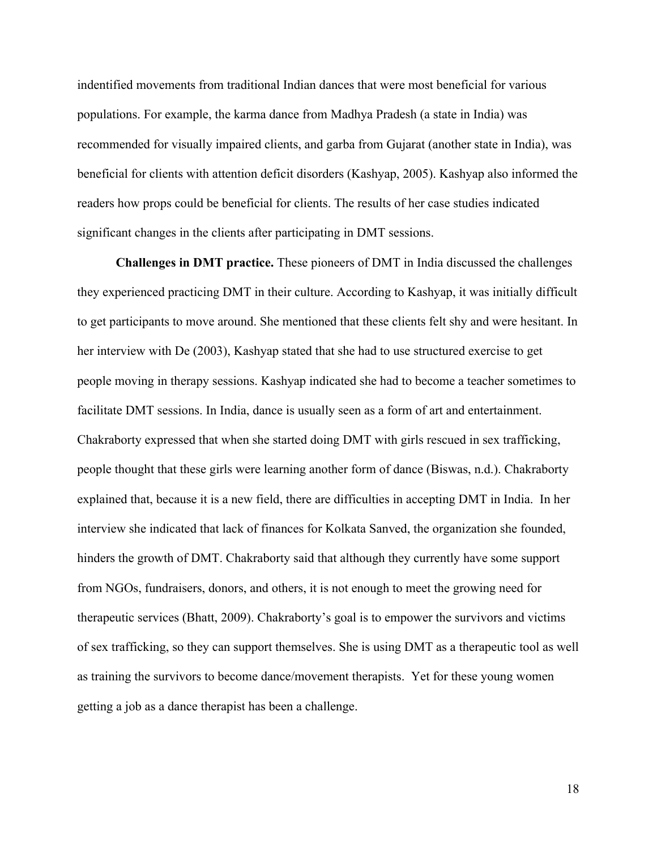indentified movements from traditional Indian dances that were most beneficial for various populations. For example, the karma dance from Madhya Pradesh (a state in India) was recommended for visually impaired clients, and garba from Gujarat (another state in India), was beneficial for clients with attention deficit disorders (Kashyap, 2005). Kashyap also informed the readers how props could be beneficial for clients. The results of her case studies indicated significant changes in the clients after participating in DMT sessions.

**Challenges in DMT practice.** These pioneers of DMT in India discussed the challenges they experienced practicing DMT in their culture. According to Kashyap, it was initially difficult to get participants to move around. She mentioned that these clients felt shy and were hesitant. In her interview with De (2003), Kashyap stated that she had to use structured exercise to get people moving in therapy sessions. Kashyap indicated she had to become a teacher sometimes to facilitate DMT sessions. In India, dance is usually seen as a form of art and entertainment. Chakraborty expressed that when she started doing DMT with girls rescued in sex trafficking, people thought that these girls were learning another form of dance (Biswas, n.d.). Chakraborty explained that, because it is a new field, there are difficulties in accepting DMT in India. In her interview she indicated that lack of finances for Kolkata Sanved, the organization she founded, hinders the growth of DMT. Chakraborty said that although they currently have some support from NGOs, fundraisers, donors, and others, it is not enough to meet the growing need for therapeutic services (Bhatt, 2009). Chakraborty's goal is to empower the survivors and victims of sex trafficking, so they can support themselves. She is using DMT as a therapeutic tool as well as training the survivors to become dance/movement therapists. Yet for these young women getting a job as a dance therapist has been a challenge.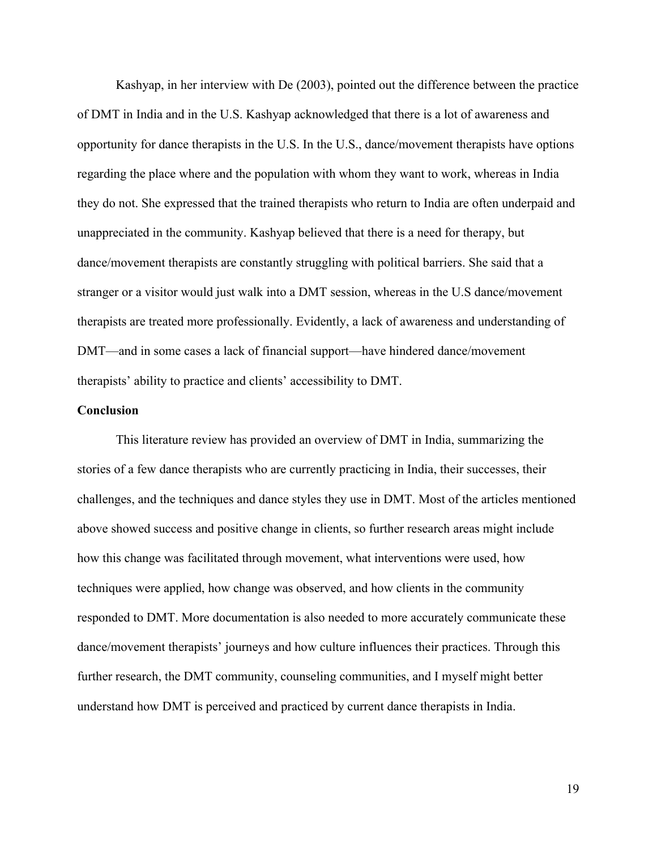Kashyap, in her interview with De (2003), pointed out the difference between the practice of DMT in India and in the U.S. Kashyap acknowledged that there is a lot of awareness and opportunity for dance therapists in the U.S. In the U.S., dance/movement therapists have options regarding the place where and the population with whom they want to work, whereas in India they do not. She expressed that the trained therapists who return to India are often underpaid and unappreciated in the community. Kashyap believed that there is a need for therapy, but dance/movement therapists are constantly struggling with political barriers. She said that a stranger or a visitor would just walk into a DMT session, whereas in the U.S dance/movement therapists are treated more professionally. Evidently, a lack of awareness and understanding of DMT—and in some cases a lack of financial support—have hindered dance/movement therapists' ability to practice and clients' accessibility to DMT.

#### **Conclusion**

This literature review has provided an overview of DMT in India, summarizing the stories of a few dance therapists who are currently practicing in India, their successes, their challenges, and the techniques and dance styles they use in DMT. Most of the articles mentioned above showed success and positive change in clients, so further research areas might include how this change was facilitated through movement, what interventions were used, how techniques were applied, how change was observed, and how clients in the community responded to DMT. More documentation is also needed to more accurately communicate these dance/movement therapists' journeys and how culture influences their practices. Through this further research, the DMT community, counseling communities, and I myself might better understand how DMT is perceived and practiced by current dance therapists in India.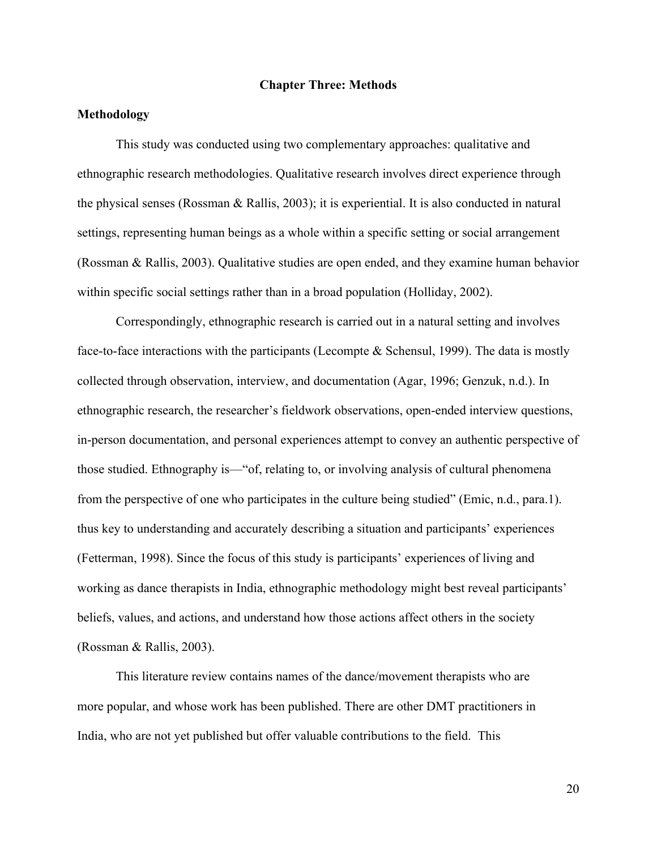#### **Chapter Three: Methods**

### **Methodology**

This study was conducted using two complementary approaches: qualitative and ethnographic research methodologies. Qualitative research involves direct experience through the physical senses (Rossman & Rallis, 2003); it is experiential. It is also conducted in natural settings, representing human beings as a whole within a specific setting or social arrangement (Rossman & Rallis, 2003). Qualitative studies are open ended, and they examine human behavior within specific social settings rather than in a broad population (Holliday, 2002).

Correspondingly, ethnographic research is carried out in a natural setting and involves face-to-face interactions with the participants (Lecompte & Schensul, 1999). The data is mostly collected through observation, interview, and documentation (Agar, 1996; Genzuk, n.d.). In ethnographic research, the researcher's fieldwork observations, open-ended interview questions, in-person documentation, and personal experiences attempt to convey an authentic perspective of those studied. Ethnography is—"of, relating to, or involving analysis of cultural phenomena from the perspective of one who participates in the culture being studied" (Emic, n.d., para.1). thus key to understanding and accurately describing a situation and participants' experiences (Fetterman, 1998). Since the focus of this study is participants' experiences of living and working as dance therapists in India, ethnographic methodology might best reveal participants' beliefs, values, and actions, and understand how those actions affect others in the society (Rossman & Rallis, 2003).

This literature review contains names of the dance/movement therapists who are more popular, and whose work has been published. There are other DMT practitioners in India, who are not yet published but offer valuable contributions to the field. This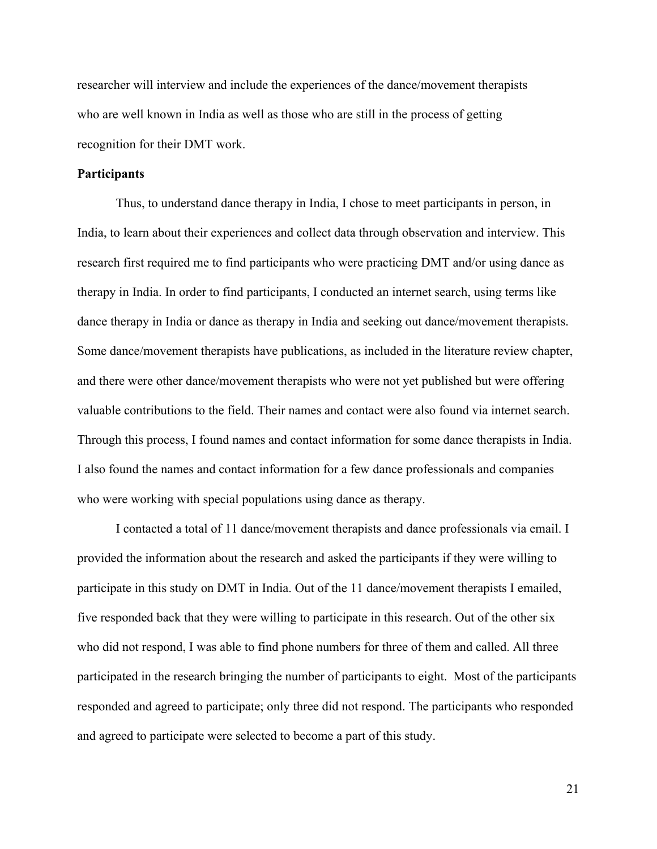researcher will interview and include the experiences of the dance/movement therapists who are well known in India as well as those who are still in the process of getting recognition for their DMT work.

### **Participants**

Thus, to understand dance therapy in India, I chose to meet participants in person, in India, to learn about their experiences and collect data through observation and interview. This research first required me to find participants who were practicing DMT and/or using dance as therapy in India. In order to find participants, I conducted an internet search, using terms like dance therapy in India or dance as therapy in India and seeking out dance/movement therapists. Some dance/movement therapists have publications, as included in the literature review chapter, and there were other dance/movement therapists who were not yet published but were offering valuable contributions to the field. Their names and contact were also found via internet search. Through this process, I found names and contact information for some dance therapists in India. I also found the names and contact information for a few dance professionals and companies who were working with special populations using dance as therapy.

I contacted a total of 11 dance/movement therapists and dance professionals via email. I provided the information about the research and asked the participants if they were willing to participate in this study on DMT in India. Out of the 11 dance/movement therapists I emailed, five responded back that they were willing to participate in this research. Out of the other six who did not respond, I was able to find phone numbers for three of them and called. All three participated in the research bringing the number of participants to eight. Most of the participants responded and agreed to participate; only three did not respond. The participants who responded and agreed to participate were selected to become a part of this study.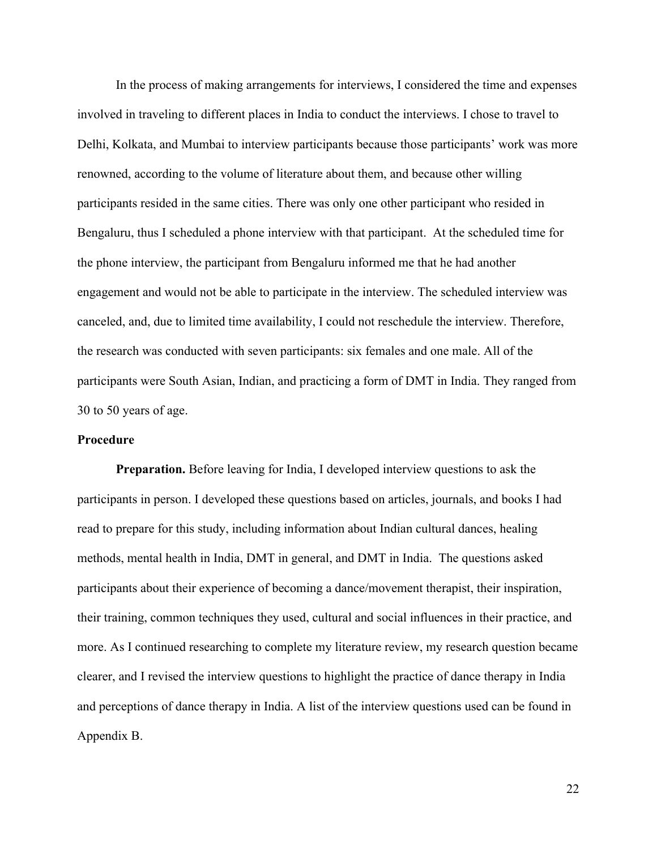In the process of making arrangements for interviews, I considered the time and expenses involved in traveling to different places in India to conduct the interviews. I chose to travel to Delhi, Kolkata, and Mumbai to interview participants because those participants' work was more renowned, according to the volume of literature about them, and because other willing participants resided in the same cities. There was only one other participant who resided in Bengaluru, thus I scheduled a phone interview with that participant. At the scheduled time for the phone interview, the participant from Bengaluru informed me that he had another engagement and would not be able to participate in the interview. The scheduled interview was canceled, and, due to limited time availability, I could not reschedule the interview. Therefore, the research was conducted with seven participants: six females and one male. All of the participants were South Asian, Indian, and practicing a form of DMT in India. They ranged from 30 to 50 years of age.

#### **Procedure**

**Preparation.** Before leaving for India, I developed interview questions to ask the participants in person. I developed these questions based on articles, journals, and books I had read to prepare for this study, including information about Indian cultural dances, healing methods, mental health in India, DMT in general, and DMT in India. The questions asked participants about their experience of becoming a dance/movement therapist, their inspiration, their training, common techniques they used, cultural and social influences in their practice, and more. As I continued researching to complete my literature review, my research question became clearer, and I revised the interview questions to highlight the practice of dance therapy in India and perceptions of dance therapy in India. A list of the interview questions used can be found in Appendix B.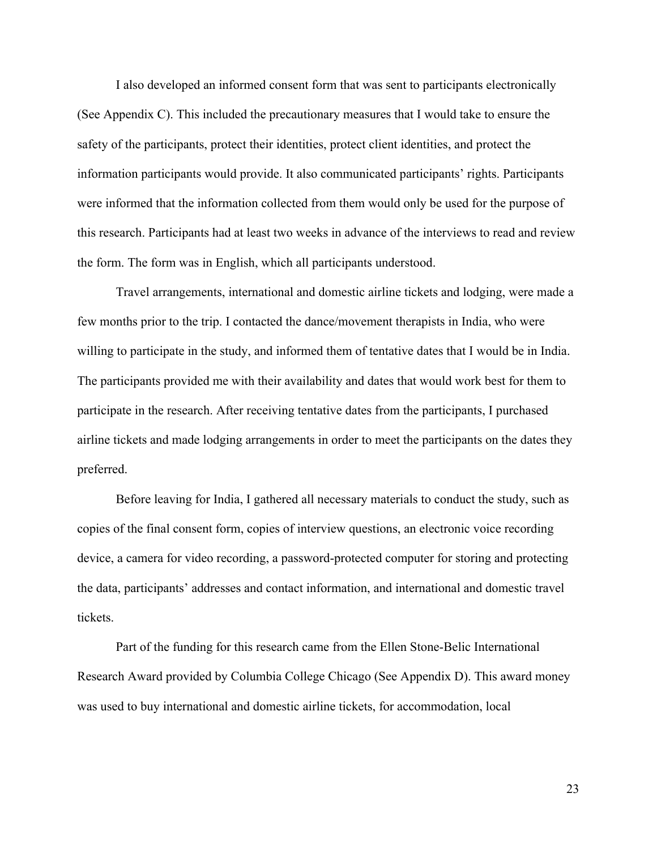I also developed an informed consent form that was sent to participants electronically (See Appendix C). This included the precautionary measures that I would take to ensure the safety of the participants, protect their identities, protect client identities, and protect the information participants would provide. It also communicated participants' rights. Participants were informed that the information collected from them would only be used for the purpose of this research. Participants had at least two weeks in advance of the interviews to read and review the form. The form was in English, which all participants understood.

Travel arrangements, international and domestic airline tickets and lodging, were made a few months prior to the trip. I contacted the dance/movement therapists in India, who were willing to participate in the study, and informed them of tentative dates that I would be in India. The participants provided me with their availability and dates that would work best for them to participate in the research. After receiving tentative dates from the participants, I purchased airline tickets and made lodging arrangements in order to meet the participants on the dates they preferred.

Before leaving for India, I gathered all necessary materials to conduct the study, such as copies of the final consent form, copies of interview questions, an electronic voice recording device, a camera for video recording, a password-protected computer for storing and protecting the data, participants' addresses and contact information, and international and domestic travel tickets.

Part of the funding for this research came from the Ellen Stone-Belic International Research Award provided by Columbia College Chicago (See Appendix D). This award money was used to buy international and domestic airline tickets, for accommodation, local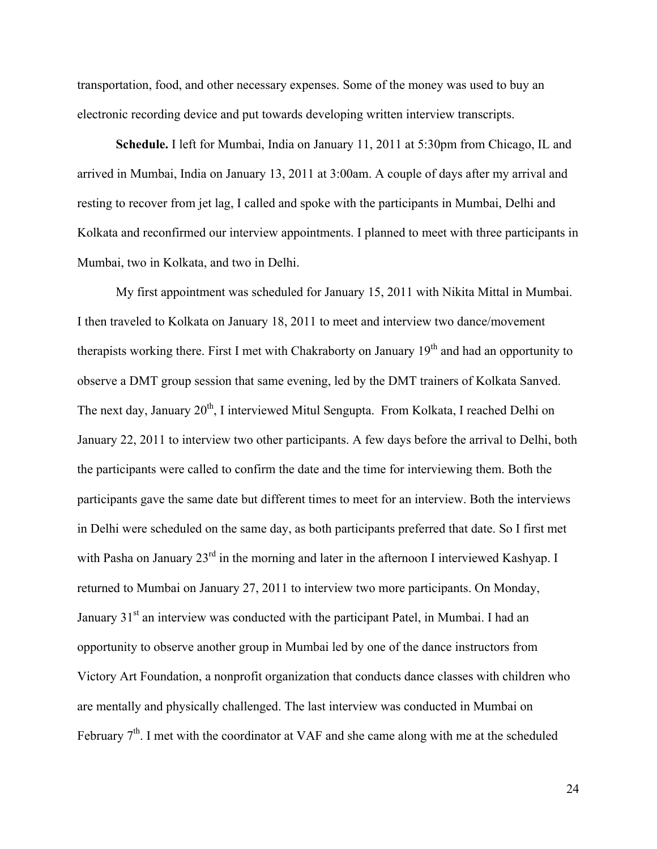transportation, food, and other necessary expenses. Some of the money was used to buy an electronic recording device and put towards developing written interview transcripts.

**Schedule.** I left for Mumbai, India on January 11, 2011 at 5:30pm from Chicago, IL and arrived in Mumbai, India on January 13, 2011 at 3:00am. A couple of days after my arrival and resting to recover from jet lag, I called and spoke with the participants in Mumbai, Delhi and Kolkata and reconfirmed our interview appointments. I planned to meet with three participants in Mumbai, two in Kolkata, and two in Delhi.

My first appointment was scheduled for January 15, 2011 with Nikita Mittal in Mumbai. I then traveled to Kolkata on January 18, 2011 to meet and interview two dance/movement therapists working there. First I met with Chakraborty on January  $19<sup>th</sup>$  and had an opportunity to observe a DMT group session that same evening, led by the DMT trainers of Kolkata Sanved. The next day, January 20<sup>th</sup>, I interviewed Mitul Sengupta. From Kolkata, I reached Delhi on January 22, 2011 to interview two other participants. A few days before the arrival to Delhi, both the participants were called to confirm the date and the time for interviewing them. Both the participants gave the same date but different times to meet for an interview. Both the interviews in Delhi were scheduled on the same day, as both participants preferred that date. So I first met with Pasha on January 23<sup>rd</sup> in the morning and later in the afternoon I interviewed Kashyap. I returned to Mumbai on January 27, 2011 to interview two more participants. On Monday, January 31<sup>st</sup> an interview was conducted with the participant Patel, in Mumbai. I had an opportunity to observe another group in Mumbai led by one of the dance instructors from Victory Art Foundation, a nonprofit organization that conducts dance classes with children who are mentally and physically challenged. The last interview was conducted in Mumbai on February  $7<sup>th</sup>$ . I met with the coordinator at VAF and she came along with me at the scheduled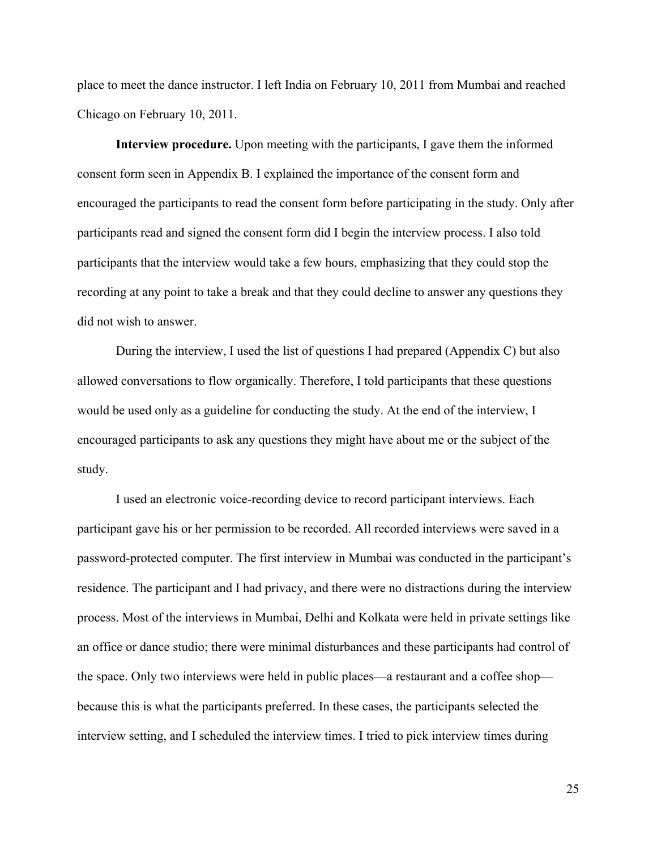place to meet the dance instructor. I left India on February 10, 2011 from Mumbai and reached Chicago on February 10, 2011.

**Interview procedure.** Upon meeting with the participants, I gave them the informed consent form seen in Appendix B. I explained the importance of the consent form and encouraged the participants to read the consent form before participating in the study. Only after participants read and signed the consent form did I begin the interview process. I also told participants that the interview would take a few hours, emphasizing that they could stop the recording at any point to take a break and that they could decline to answer any questions they did not wish to answer.

During the interview, I used the list of questions I had prepared (Appendix C) but also allowed conversations to flow organically. Therefore, I told participants that these questions would be used only as a guideline for conducting the study. At the end of the interview, I encouraged participants to ask any questions they might have about me or the subject of the study.

I used an electronic voice-recording device to record participant interviews. Each participant gave his or her permission to be recorded. All recorded interviews were saved in a password-protected computer. The first interview in Mumbai was conducted in the participant's residence. The participant and I had privacy, and there were no distractions during the interview process. Most of the interviews in Mumbai, Delhi and Kolkata were held in private settings like an office or dance studio; there were minimal disturbances and these participants had control of the space. Only two interviews were held in public places—a restaurant and a coffee shop because this is what the participants preferred. In these cases, the participants selected the interview setting, and I scheduled the interview times. I tried to pick interview times during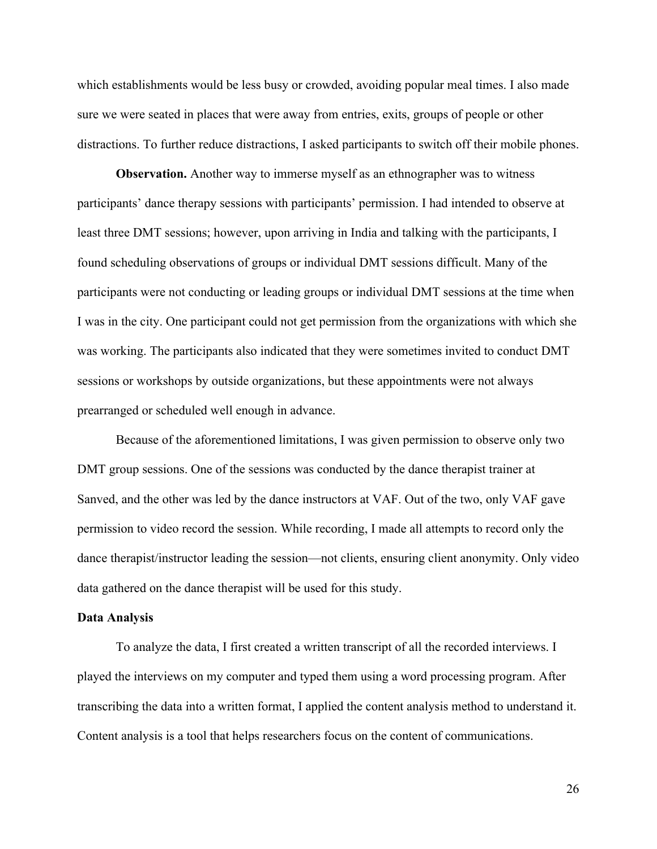which establishments would be less busy or crowded, avoiding popular meal times. I also made sure we were seated in places that were away from entries, exits, groups of people or other distractions. To further reduce distractions, I asked participants to switch off their mobile phones.

**Observation.** Another way to immerse myself as an ethnographer was to witness participants' dance therapy sessions with participants' permission. I had intended to observe at least three DMT sessions; however, upon arriving in India and talking with the participants, I found scheduling observations of groups or individual DMT sessions difficult. Many of the participants were not conducting or leading groups or individual DMT sessions at the time when I was in the city. One participant could not get permission from the organizations with which she was working. The participants also indicated that they were sometimes invited to conduct DMT sessions or workshops by outside organizations, but these appointments were not always prearranged or scheduled well enough in advance.

Because of the aforementioned limitations, I was given permission to observe only two DMT group sessions. One of the sessions was conducted by the dance therapist trainer at Sanved, and the other was led by the dance instructors at VAF. Out of the two, only VAF gave permission to video record the session. While recording, I made all attempts to record only the dance therapist/instructor leading the session—not clients, ensuring client anonymity. Only video data gathered on the dance therapist will be used for this study.

#### **Data Analysis**

To analyze the data, I first created a written transcript of all the recorded interviews. I played the interviews on my computer and typed them using a word processing program. After transcribing the data into a written format, I applied the content analysis method to understand it. Content analysis is a tool that helps researchers focus on the content of communications.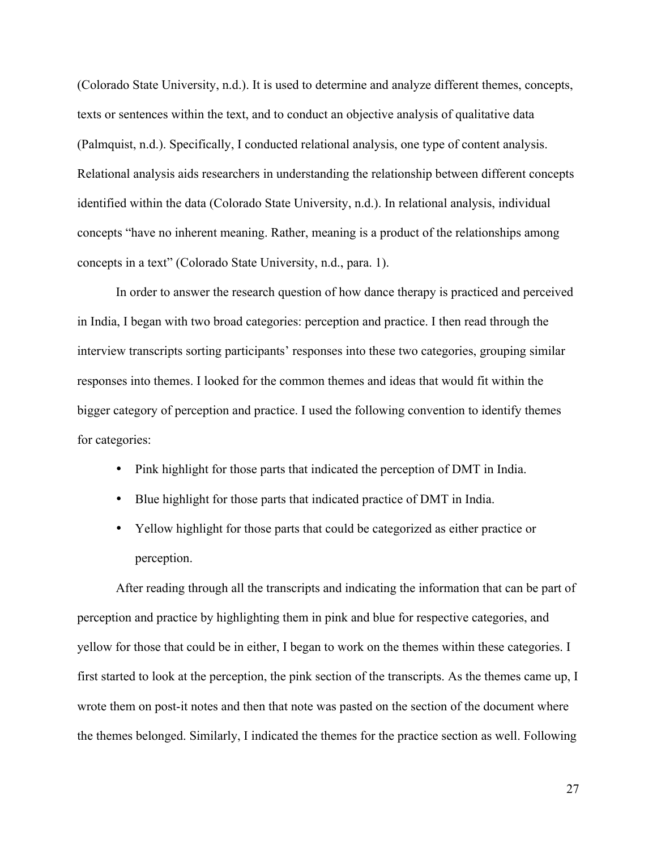(Colorado State University, n.d.). It is used to determine and analyze different themes, concepts, texts or sentences within the text, and to conduct an objective analysis of qualitative data (Palmquist, n.d.). Specifically, I conducted relational analysis, one type of content analysis. Relational analysis aids researchers in understanding the relationship between different concepts identified within the data (Colorado State University, n.d.). In relational analysis, individual concepts "have no inherent meaning. Rather, meaning is a product of the relationships among concepts in a text" (Colorado State University, n.d., para. 1).

In order to answer the research question of how dance therapy is practiced and perceived in India, I began with two broad categories: perception and practice. I then read through the interview transcripts sorting participants' responses into these two categories, grouping similar responses into themes. I looked for the common themes and ideas that would fit within the bigger category of perception and practice. I used the following convention to identify themes for categories:

- Pink highlight for those parts that indicated the perception of DMT in India.
- Blue highlight for those parts that indicated practice of DMT in India.
- Yellow highlight for those parts that could be categorized as either practice or perception.

After reading through all the transcripts and indicating the information that can be part of perception and practice by highlighting them in pink and blue for respective categories, and yellow for those that could be in either, I began to work on the themes within these categories. I first started to look at the perception, the pink section of the transcripts. As the themes came up, I wrote them on post-it notes and then that note was pasted on the section of the document where the themes belonged. Similarly, I indicated the themes for the practice section as well. Following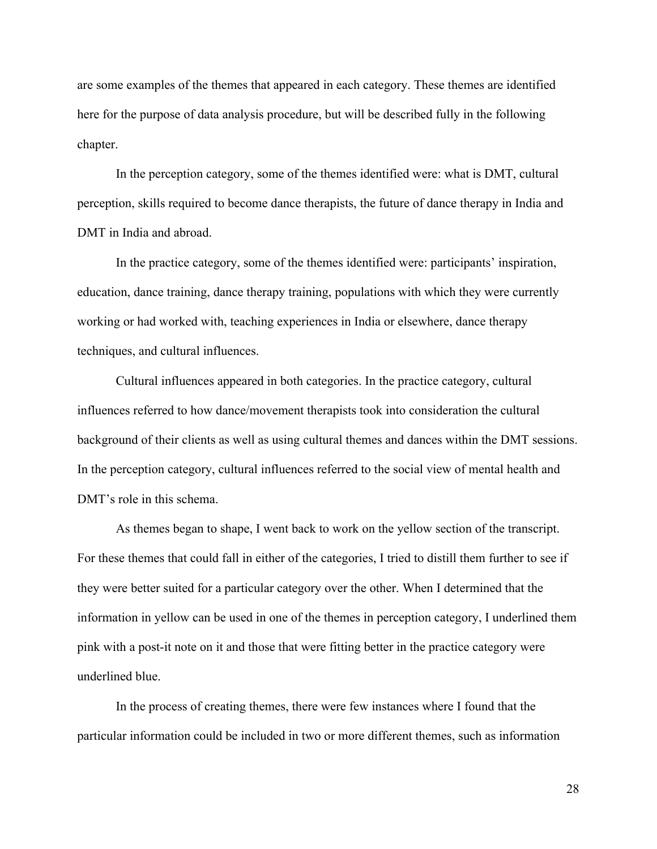are some examples of the themes that appeared in each category. These themes are identified here for the purpose of data analysis procedure, but will be described fully in the following chapter.

In the perception category, some of the themes identified were: what is DMT, cultural perception, skills required to become dance therapists, the future of dance therapy in India and DMT in India and abroad.

In the practice category, some of the themes identified were: participants' inspiration, education, dance training, dance therapy training, populations with which they were currently working or had worked with, teaching experiences in India or elsewhere, dance therapy techniques, and cultural influences.

Cultural influences appeared in both categories. In the practice category, cultural influences referred to how dance/movement therapists took into consideration the cultural background of their clients as well as using cultural themes and dances within the DMT sessions. In the perception category, cultural influences referred to the social view of mental health and DMT's role in this schema.

As themes began to shape, I went back to work on the yellow section of the transcript. For these themes that could fall in either of the categories, I tried to distill them further to see if they were better suited for a particular category over the other. When I determined that the information in yellow can be used in one of the themes in perception category, I underlined them pink with a post-it note on it and those that were fitting better in the practice category were underlined blue.

In the process of creating themes, there were few instances where I found that the particular information could be included in two or more different themes, such as information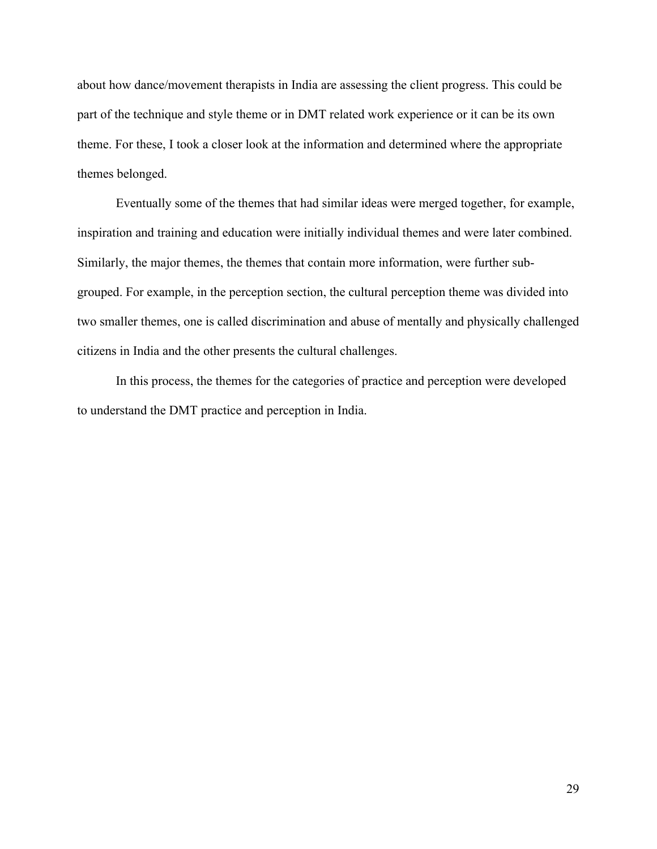about how dance/movement therapists in India are assessing the client progress. This could be part of the technique and style theme or in DMT related work experience or it can be its own theme. For these, I took a closer look at the information and determined where the appropriate themes belonged.

Eventually some of the themes that had similar ideas were merged together, for example, inspiration and training and education were initially individual themes and were later combined. Similarly, the major themes, the themes that contain more information, were further subgrouped. For example, in the perception section, the cultural perception theme was divided into two smaller themes, one is called discrimination and abuse of mentally and physically challenged citizens in India and the other presents the cultural challenges.

In this process, the themes for the categories of practice and perception were developed to understand the DMT practice and perception in India.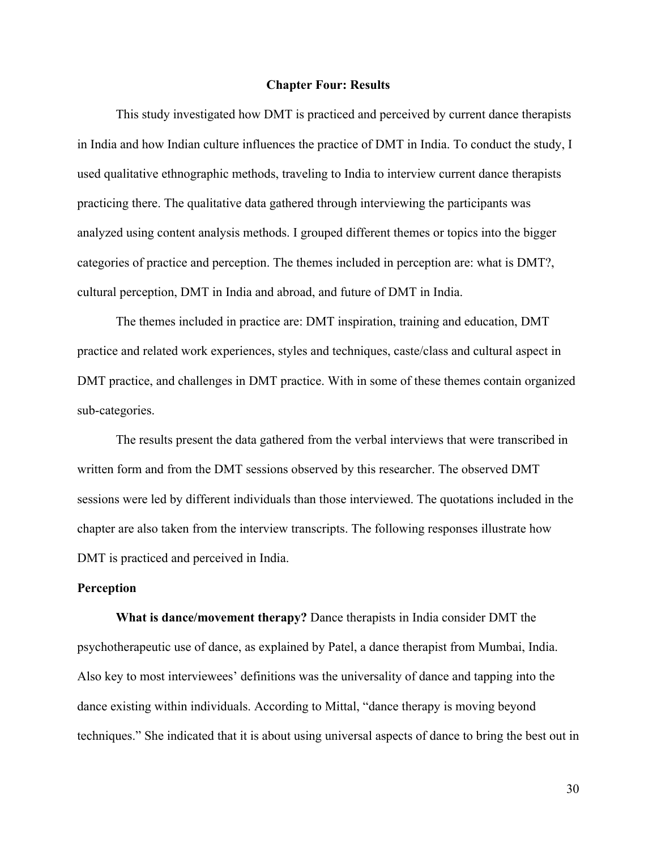#### **Chapter Four: Results**

This study investigated how DMT is practiced and perceived by current dance therapists in India and how Indian culture influences the practice of DMT in India. To conduct the study, I used qualitative ethnographic methods, traveling to India to interview current dance therapists practicing there. The qualitative data gathered through interviewing the participants was analyzed using content analysis methods. I grouped different themes or topics into the bigger categories of practice and perception. The themes included in perception are: what is DMT?, cultural perception, DMT in India and abroad, and future of DMT in India.

The themes included in practice are: DMT inspiration, training and education, DMT practice and related work experiences, styles and techniques, caste/class and cultural aspect in DMT practice, and challenges in DMT practice. With in some of these themes contain organized sub-categories.

The results present the data gathered from the verbal interviews that were transcribed in written form and from the DMT sessions observed by this researcher. The observed DMT sessions were led by different individuals than those interviewed. The quotations included in the chapter are also taken from the interview transcripts. The following responses illustrate how DMT is practiced and perceived in India.

#### **Perception**

**What is dance/movement therapy?** Dance therapists in India consider DMT the psychotherapeutic use of dance, as explained by Patel, a dance therapist from Mumbai, India. Also key to most interviewees' definitions was the universality of dance and tapping into the dance existing within individuals. According to Mittal, "dance therapy is moving beyond techniques." She indicated that it is about using universal aspects of dance to bring the best out in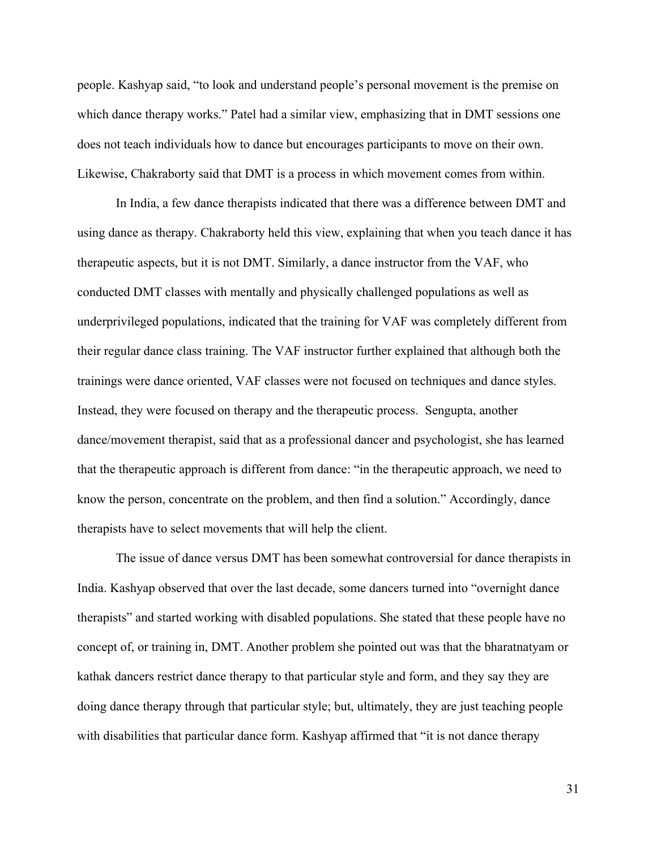people. Kashyap said, "to look and understand people's personal movement is the premise on which dance therapy works." Patel had a similar view, emphasizing that in DMT sessions one does not teach individuals how to dance but encourages participants to move on their own. Likewise, Chakraborty said that DMT is a process in which movement comes from within.

In India, a few dance therapists indicated that there was a difference between DMT and using dance as therapy. Chakraborty held this view, explaining that when you teach dance it has therapeutic aspects, but it is not DMT. Similarly, a dance instructor from the VAF, who conducted DMT classes with mentally and physically challenged populations as well as underprivileged populations, indicated that the training for VAF was completely different from their regular dance class training. The VAF instructor further explained that although both the trainings were dance oriented, VAF classes were not focused on techniques and dance styles. Instead, they were focused on therapy and the therapeutic process. Sengupta, another dance/movement therapist, said that as a professional dancer and psychologist, she has learned that the therapeutic approach is different from dance: "in the therapeutic approach, we need to know the person, concentrate on the problem, and then find a solution." Accordingly, dance therapists have to select movements that will help the client.

The issue of dance versus DMT has been somewhat controversial for dance therapists in India. Kashyap observed that over the last decade, some dancers turned into "overnight dance therapists" and started working with disabled populations. She stated that these people have no concept of, or training in, DMT. Another problem she pointed out was that the bharatnatyam or kathak dancers restrict dance therapy to that particular style and form, and they say they are doing dance therapy through that particular style; but, ultimately, they are just teaching people with disabilities that particular dance form. Kashyap affirmed that "it is not dance therapy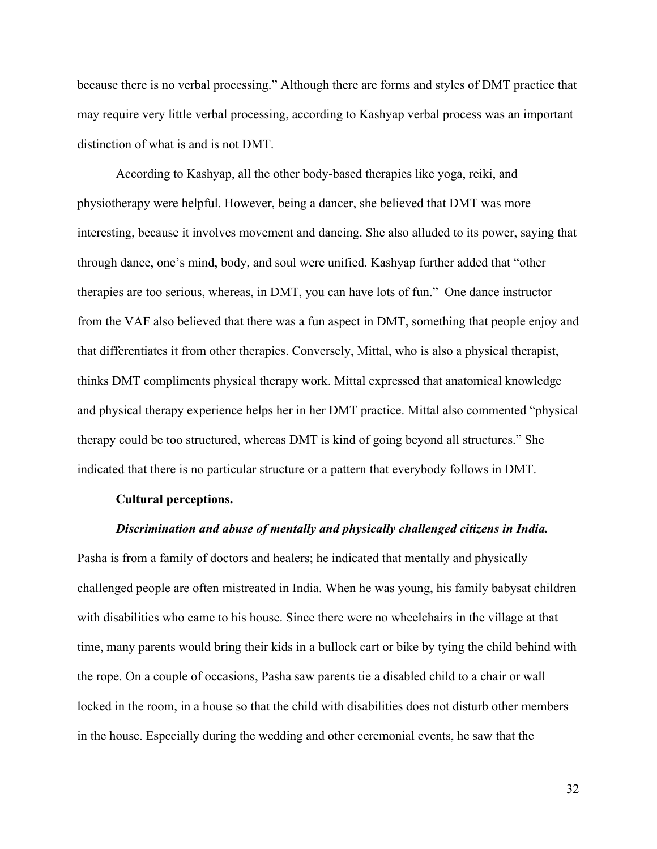because there is no verbal processing." Although there are forms and styles of DMT practice that may require very little verbal processing, according to Kashyap verbal process was an important distinction of what is and is not DMT.

According to Kashyap, all the other body-based therapies like yoga, reiki, and physiotherapy were helpful. However, being a dancer, she believed that DMT was more interesting, because it involves movement and dancing. She also alluded to its power, saying that through dance, one's mind, body, and soul were unified. Kashyap further added that "other therapies are too serious, whereas, in DMT, you can have lots of fun." One dance instructor from the VAF also believed that there was a fun aspect in DMT, something that people enjoy and that differentiates it from other therapies. Conversely, Mittal, who is also a physical therapist, thinks DMT compliments physical therapy work. Mittal expressed that anatomical knowledge and physical therapy experience helps her in her DMT practice. Mittal also commented "physical therapy could be too structured, whereas DMT is kind of going beyond all structures." She indicated that there is no particular structure or a pattern that everybody follows in DMT.

#### **Cultural perceptions.**

#### *Discrimination and abuse of mentally and physically challenged citizens in India.*

Pasha is from a family of doctors and healers; he indicated that mentally and physically challenged people are often mistreated in India. When he was young, his family babysat children with disabilities who came to his house. Since there were no wheelchairs in the village at that time, many parents would bring their kids in a bullock cart or bike by tying the child behind with the rope. On a couple of occasions, Pasha saw parents tie a disabled child to a chair or wall locked in the room, in a house so that the child with disabilities does not disturb other members in the house. Especially during the wedding and other ceremonial events, he saw that the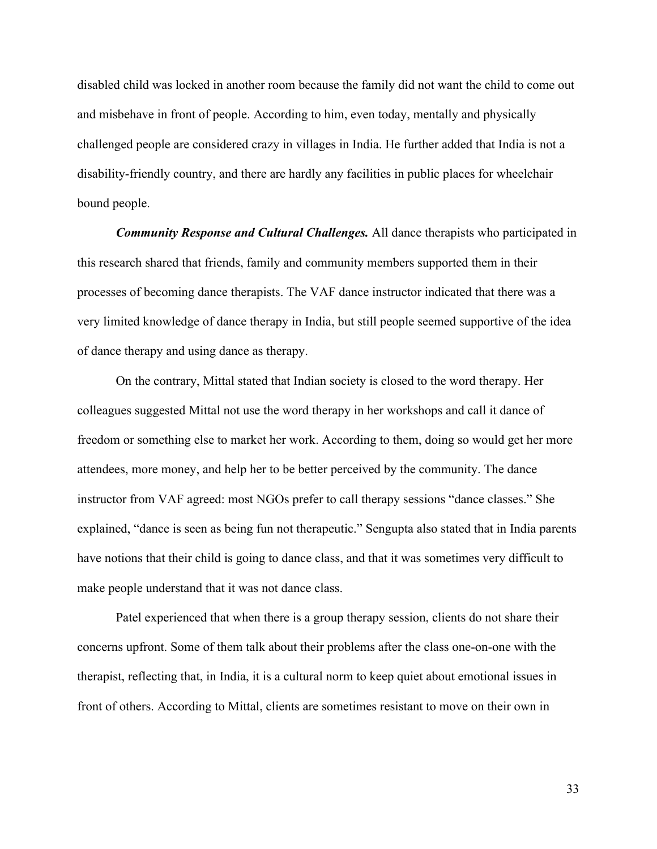disabled child was locked in another room because the family did not want the child to come out and misbehave in front of people. According to him, even today, mentally and physically challenged people are considered crazy in villages in India. He further added that India is not a disability-friendly country, and there are hardly any facilities in public places for wheelchair bound people.

*Community Response and Cultural Challenges.* All dance therapists who participated in this research shared that friends, family and community members supported them in their processes of becoming dance therapists. The VAF dance instructor indicated that there was a very limited knowledge of dance therapy in India, but still people seemed supportive of the idea of dance therapy and using dance as therapy.

On the contrary, Mittal stated that Indian society is closed to the word therapy. Her colleagues suggested Mittal not use the word therapy in her workshops and call it dance of freedom or something else to market her work. According to them, doing so would get her more attendees, more money, and help her to be better perceived by the community. The dance instructor from VAF agreed: most NGOs prefer to call therapy sessions "dance classes." She explained, "dance is seen as being fun not therapeutic." Sengupta also stated that in India parents have notions that their child is going to dance class, and that it was sometimes very difficult to make people understand that it was not dance class.

Patel experienced that when there is a group therapy session, clients do not share their concerns upfront. Some of them talk about their problems after the class one-on-one with the therapist, reflecting that, in India, it is a cultural norm to keep quiet about emotional issues in front of others. According to Mittal, clients are sometimes resistant to move on their own in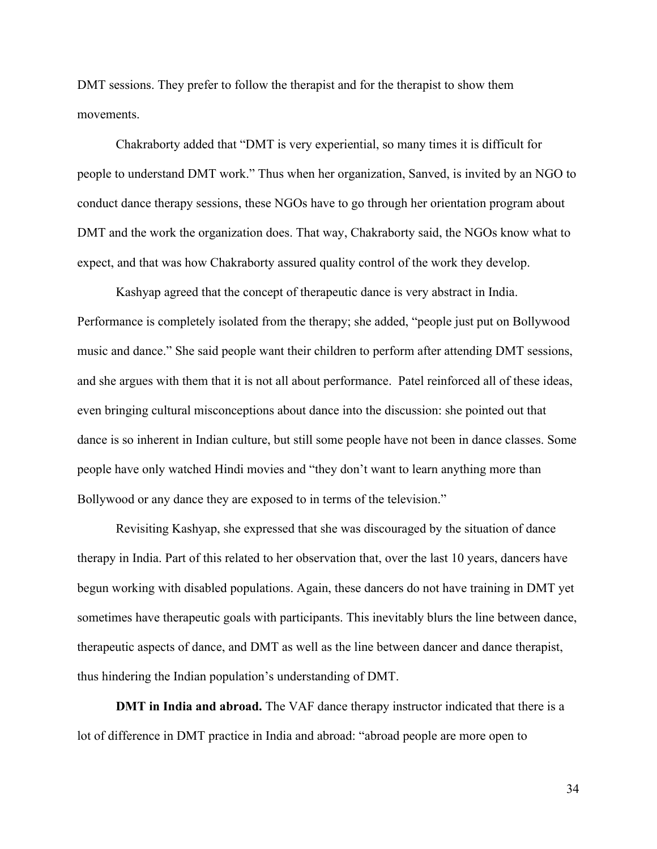DMT sessions. They prefer to follow the therapist and for the therapist to show them movements.

Chakraborty added that "DMT is very experiential, so many times it is difficult for people to understand DMT work." Thus when her organization, Sanved, is invited by an NGO to conduct dance therapy sessions, these NGOs have to go through her orientation program about DMT and the work the organization does. That way, Chakraborty said, the NGOs know what to expect, and that was how Chakraborty assured quality control of the work they develop.

Kashyap agreed that the concept of therapeutic dance is very abstract in India. Performance is completely isolated from the therapy; she added, "people just put on Bollywood music and dance." She said people want their children to perform after attending DMT sessions, and she argues with them that it is not all about performance.Patel reinforced all of these ideas, even bringing cultural misconceptions about dance into the discussion: she pointed out that dance is so inherent in Indian culture, but still some people have not been in dance classes. Some people have only watched Hindi movies and "they don't want to learn anything more than Bollywood or any dance they are exposed to in terms of the television."

Revisiting Kashyap, she expressed that she was discouraged by the situation of dance therapy in India. Part of this related to her observation that, over the last 10 years, dancers have begun working with disabled populations. Again, these dancers do not have training in DMT yet sometimes have therapeutic goals with participants. This inevitably blurs the line between dance, therapeutic aspects of dance, and DMT as well as the line between dancer and dance therapist, thus hindering the Indian population's understanding of DMT.

**DMT in India and abroad.** The VAF dance therapy instructor indicated that there is a lot of difference in DMT practice in India and abroad: "abroad people are more open to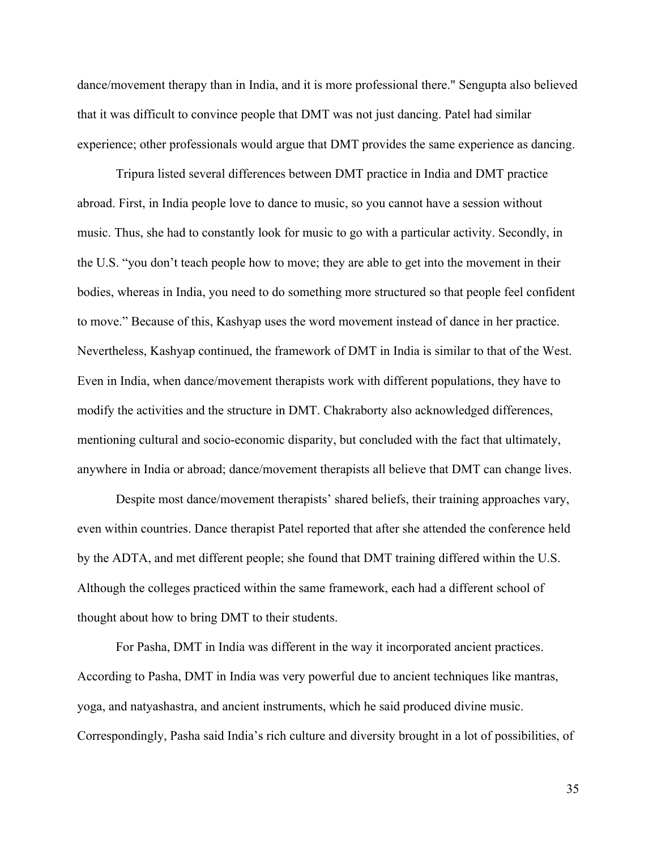dance/movement therapy than in India, and it is more professional there." Sengupta also believed that it was difficult to convince people that DMT was not just dancing. Patel had similar experience; other professionals would argue that DMT provides the same experience as dancing.

Tripura listed several differences between DMT practice in India and DMT practice abroad. First, in India people love to dance to music, so you cannot have a session without music. Thus, she had to constantly look for music to go with a particular activity. Secondly, in the U.S. "you don't teach people how to move; they are able to get into the movement in their bodies, whereas in India, you need to do something more structured so that people feel confident to move." Because of this, Kashyap uses the word movement instead of dance in her practice. Nevertheless, Kashyap continued, the framework of DMT in India is similar to that of the West. Even in India, when dance/movement therapists work with different populations, they have to modify the activities and the structure in DMT. Chakraborty also acknowledged differences, mentioning cultural and socio-economic disparity, but concluded with the fact that ultimately, anywhere in India or abroad; dance/movement therapists all believe that DMT can change lives.

Despite most dance/movement therapists' shared beliefs, their training approaches vary, even within countries. Dance therapist Patel reported that after she attended the conference held by the ADTA, and met different people; she found that DMT training differed within the U.S. Although the colleges practiced within the same framework, each had a different school of thought about how to bring DMT to their students.

For Pasha, DMT in India was different in the way it incorporated ancient practices. According to Pasha, DMT in India was very powerful due to ancient techniques like mantras, yoga, and natyashastra, and ancient instruments, which he said produced divine music. Correspondingly, Pasha said India's rich culture and diversity brought in a lot of possibilities, of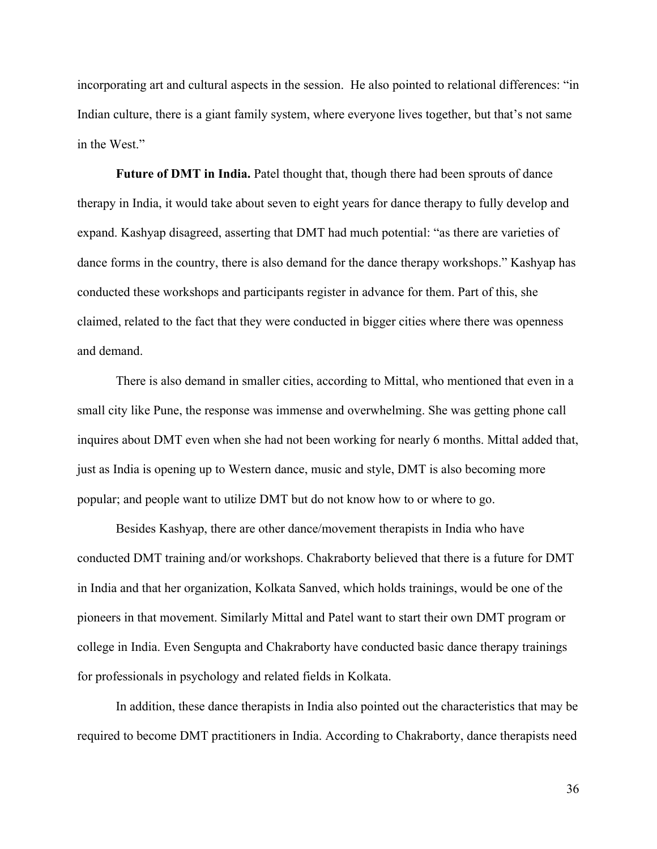incorporating art and cultural aspects in the session. He also pointed to relational differences: "in Indian culture, there is a giant family system, where everyone lives together, but that's not same in the West."

**Future of DMT in India.** Patel thought that, though there had been sprouts of dance therapy in India, it would take about seven to eight years for dance therapy to fully develop and expand. Kashyap disagreed, asserting that DMT had much potential: "as there are varieties of dance forms in the country, there is also demand for the dance therapy workshops." Kashyap has conducted these workshops and participants register in advance for them. Part of this, she claimed, related to the fact that they were conducted in bigger cities where there was openness and demand.

There is also demand in smaller cities, according to Mittal, who mentioned that even in a small city like Pune, the response was immense and overwhelming. She was getting phone call inquires about DMT even when she had not been working for nearly 6 months. Mittal added that, just as India is opening up to Western dance, music and style, DMT is also becoming more popular; and people want to utilize DMT but do not know how to or where to go.

Besides Kashyap, there are other dance/movement therapists in India who have conducted DMT training and/or workshops. Chakraborty believed that there is a future for DMT in India and that her organization, Kolkata Sanved, which holds trainings, would be one of the pioneers in that movement. Similarly Mittal and Patel want to start their own DMT program or college in India. Even Sengupta and Chakraborty have conducted basic dance therapy trainings for professionals in psychology and related fields in Kolkata.

In addition, these dance therapists in India also pointed out the characteristics that may be required to become DMT practitioners in India. According to Chakraborty, dance therapists need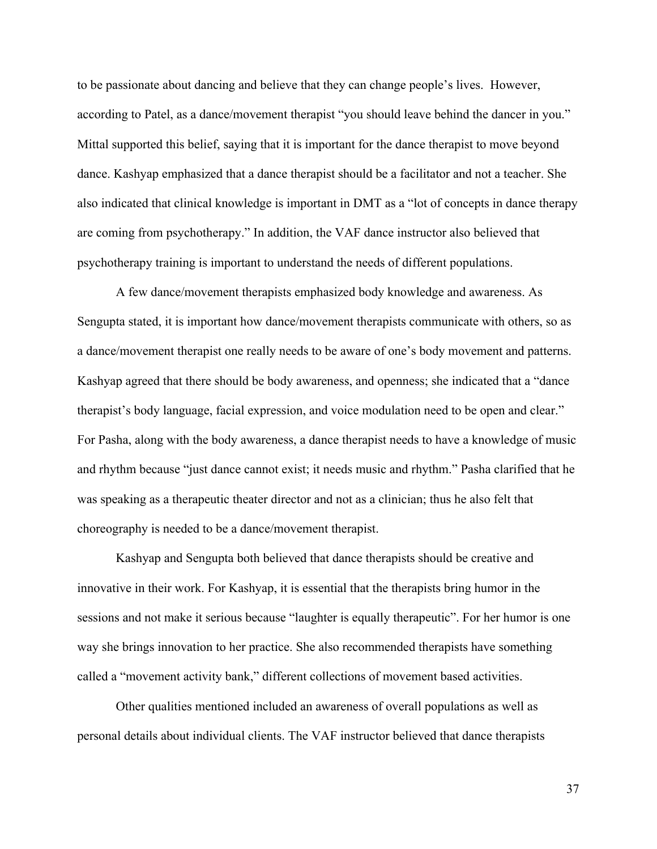to be passionate about dancing and believe that they can change people's lives. However, according to Patel, as a dance/movement therapist "you should leave behind the dancer in you." Mittal supported this belief, saying that it is important for the dance therapist to move beyond dance. Kashyap emphasized that a dance therapist should be a facilitator and not a teacher. She also indicated that clinical knowledge is important in DMT as a "lot of concepts in dance therapy are coming from psychotherapy." In addition, the VAF dance instructor also believed that psychotherapy training is important to understand the needs of different populations.

A few dance/movement therapists emphasized body knowledge and awareness. As Sengupta stated, it is important how dance/movement therapists communicate with others, so as a dance/movement therapist one really needs to be aware of one's body movement and patterns. Kashyap agreed that there should be body awareness, and openness; she indicated that a "dance therapist's body language, facial expression, and voice modulation need to be open and clear." For Pasha, along with the body awareness, a dance therapist needs to have a knowledge of music and rhythm because "just dance cannot exist; it needs music and rhythm." Pasha clarified that he was speaking as a therapeutic theater director and not as a clinician; thus he also felt that choreography is needed to be a dance/movement therapist.

Kashyap and Sengupta both believed that dance therapists should be creative and innovative in their work. For Kashyap, it is essential that the therapists bring humor in the sessions and not make it serious because "laughter is equally therapeutic". For her humor is one way she brings innovation to her practice. She also recommended therapists have something called a "movement activity bank," different collections of movement based activities.

Other qualities mentioned included an awareness of overall populations as well as personal details about individual clients. The VAF instructor believed that dance therapists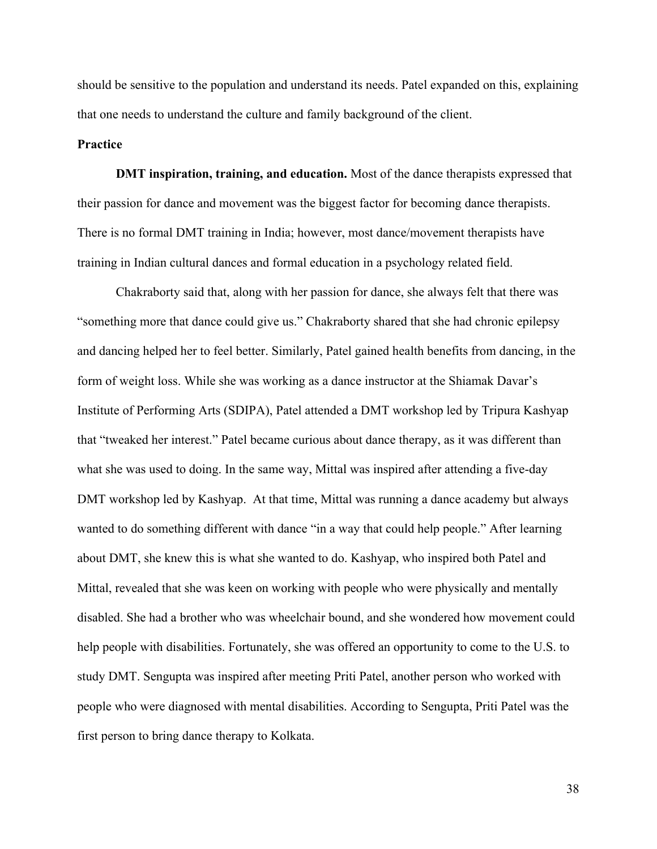should be sensitive to the population and understand its needs. Patel expanded on this, explaining that one needs to understand the culture and family background of the client.

#### **Practice**

**DMT inspiration, training, and education.** Most of the dance therapists expressed that their passion for dance and movement was the biggest factor for becoming dance therapists. There is no formal DMT training in India; however, most dance/movement therapists have training in Indian cultural dances and formal education in a psychology related field.

Chakraborty said that, along with her passion for dance, she always felt that there was "something more that dance could give us." Chakraborty shared that she had chronic epilepsy and dancing helped her to feel better. Similarly, Patel gained health benefits from dancing, in the form of weight loss. While she was working as a dance instructor at the Shiamak Davar's Institute of Performing Arts (SDIPA), Patel attended a DMT workshop led by Tripura Kashyap that "tweaked her interest." Patel became curious about dance therapy, as it was different than what she was used to doing. In the same way, Mittal was inspired after attending a five-day DMT workshop led by Kashyap. At that time, Mittal was running a dance academy but always wanted to do something different with dance "in a way that could help people." After learning about DMT, she knew this is what she wanted to do. Kashyap, who inspired both Patel and Mittal, revealed that she was keen on working with people who were physically and mentally disabled. She had a brother who was wheelchair bound, and she wondered how movement could help people with disabilities. Fortunately, she was offered an opportunity to come to the U.S. to study DMT. Sengupta was inspired after meeting Priti Patel, another person who worked with people who were diagnosed with mental disabilities. According to Sengupta, Priti Patel was the first person to bring dance therapy to Kolkata.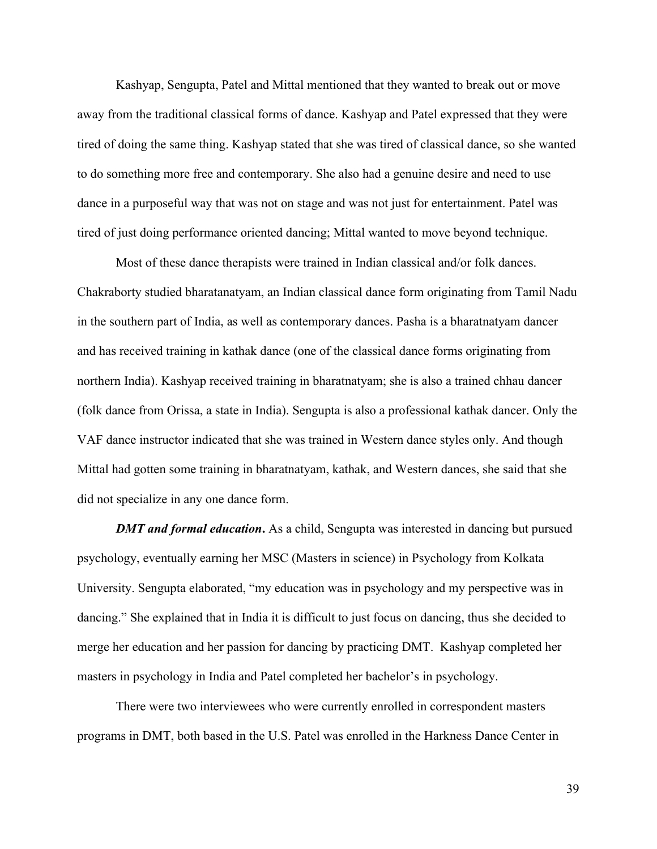Kashyap, Sengupta, Patel and Mittal mentioned that they wanted to break out or move away from the traditional classical forms of dance. Kashyap and Patel expressed that they were tired of doing the same thing. Kashyap stated that she was tired of classical dance, so she wanted to do something more free and contemporary. She also had a genuine desire and need to use dance in a purposeful way that was not on stage and was not just for entertainment. Patel was tired of just doing performance oriented dancing; Mittal wanted to move beyond technique.

Most of these dance therapists were trained in Indian classical and/or folk dances. Chakraborty studied bharatanatyam, an Indian classical dance form originating from Tamil Nadu in the southern part of India, as well as contemporary dances. Pasha is a bharatnatyam dancer and has received training in kathak dance (one of the classical dance forms originating from northern India). Kashyap received training in bharatnatyam; she is also a trained chhau dancer (folk dance from Orissa, a state in India). Sengupta is also a professional kathak dancer. Only the VAF dance instructor indicated that she was trained in Western dance styles only. And though Mittal had gotten some training in bharatnatyam, kathak, and Western dances, she said that she did not specialize in any one dance form.

*DMT and formal education*. As a child, Sengupta was interested in dancing but pursued psychology, eventually earning her MSC (Masters in science) in Psychology from Kolkata University. Sengupta elaborated, "my education was in psychology and my perspective was in dancing." She explained that in India it is difficult to just focus on dancing, thus she decided to merge her education and her passion for dancing by practicing DMT. Kashyap completed her masters in psychology in India and Patel completed her bachelor's in psychology.

There were two interviewees who were currently enrolled in correspondent masters programs in DMT, both based in the U.S. Patel was enrolled in the Harkness Dance Center in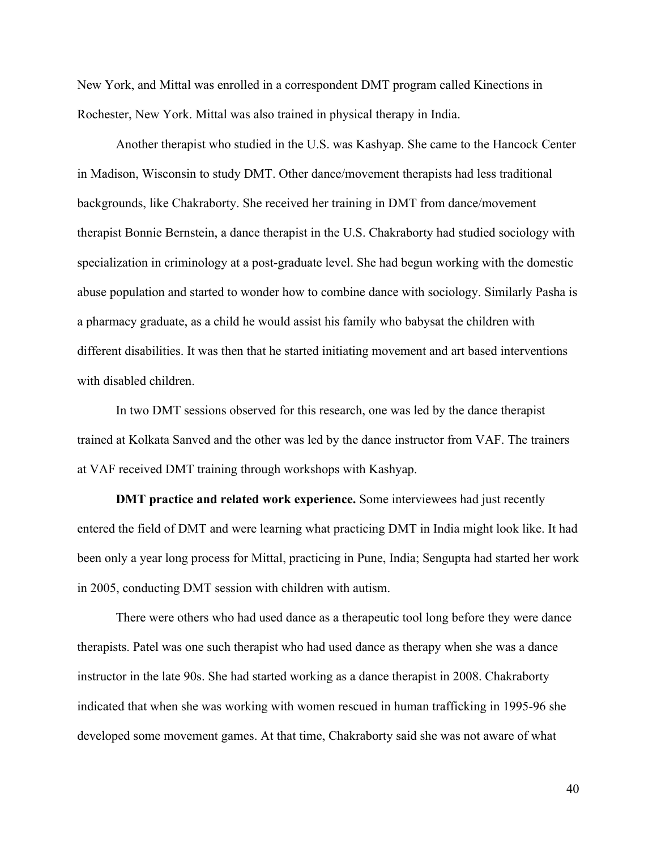New York, and Mittal was enrolled in a correspondent DMT program called Kinections in Rochester, New York. Mittal was also trained in physical therapy in India.

Another therapist who studied in the U.S. was Kashyap. She came to the Hancock Center in Madison, Wisconsin to study DMT. Other dance/movement therapists had less traditional backgrounds, like Chakraborty. She received her training in DMT from dance/movement therapist Bonnie Bernstein, a dance therapist in the U.S. Chakraborty had studied sociology with specialization in criminology at a post-graduate level. She had begun working with the domestic abuse population and started to wonder how to combine dance with sociology. Similarly Pasha is a pharmacy graduate, as a child he would assist his family who babysat the children with different disabilities. It was then that he started initiating movement and art based interventions with disabled children.

In two DMT sessions observed for this research, one was led by the dance therapist trained at Kolkata Sanved and the other was led by the dance instructor from VAF. The trainers at VAF received DMT training through workshops with Kashyap.

**DMT practice and related work experience.** Some interviewees had just recently entered the field of DMT and were learning what practicing DMT in India might look like. It had been only a year long process for Mittal, practicing in Pune, India; Sengupta had started her work in 2005, conducting DMT session with children with autism.

There were others who had used dance as a therapeutic tool long before they were dance therapists. Patel was one such therapist who had used dance as therapy when she was a dance instructor in the late 90s. She had started working as a dance therapist in 2008. Chakraborty indicated that when she was working with women rescued in human trafficking in 1995-96 she developed some movement games. At that time, Chakraborty said she was not aware of what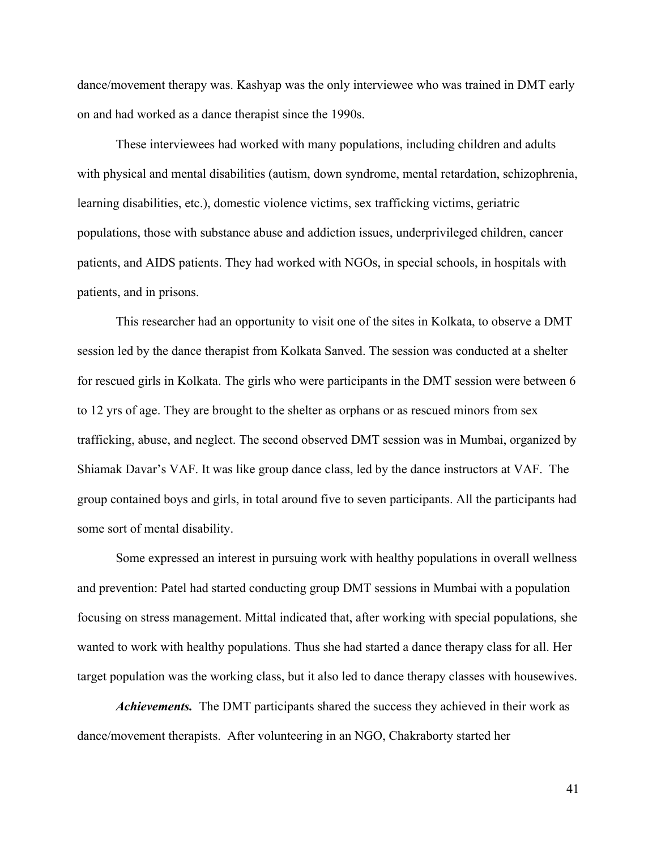dance/movement therapy was. Kashyap was the only interviewee who was trained in DMT early on and had worked as a dance therapist since the 1990s.

These interviewees had worked with many populations, including children and adults with physical and mental disabilities (autism, down syndrome, mental retardation, schizophrenia, learning disabilities, etc.), domestic violence victims, sex trafficking victims, geriatric populations, those with substance abuse and addiction issues, underprivileged children, cancer patients, and AIDS patients. They had worked with NGOs, in special schools, in hospitals with patients, and in prisons.

This researcher had an opportunity to visit one of the sites in Kolkata, to observe a DMT session led by the dance therapist from Kolkata Sanved. The session was conducted at a shelter for rescued girls in Kolkata. The girls who were participants in the DMT session were between 6 to 12 yrs of age. They are brought to the shelter as orphans or as rescued minors from sex trafficking, abuse, and neglect. The second observed DMT session was in Mumbai, organized by Shiamak Davar's VAF. It was like group dance class, led by the dance instructors at VAF. The group contained boys and girls, in total around five to seven participants. All the participants had some sort of mental disability.

Some expressed an interest in pursuing work with healthy populations in overall wellness and prevention: Patel had started conducting group DMT sessions in Mumbai with a population focusing on stress management. Mittal indicated that, after working with special populations, she wanted to work with healthy populations. Thus she had started a dance therapy class for all. Her target population was the working class, but it also led to dance therapy classes with housewives.

*Achievements.* The DMT participants shared the success they achieved in their work as dance/movement therapists. After volunteering in an NGO, Chakraborty started her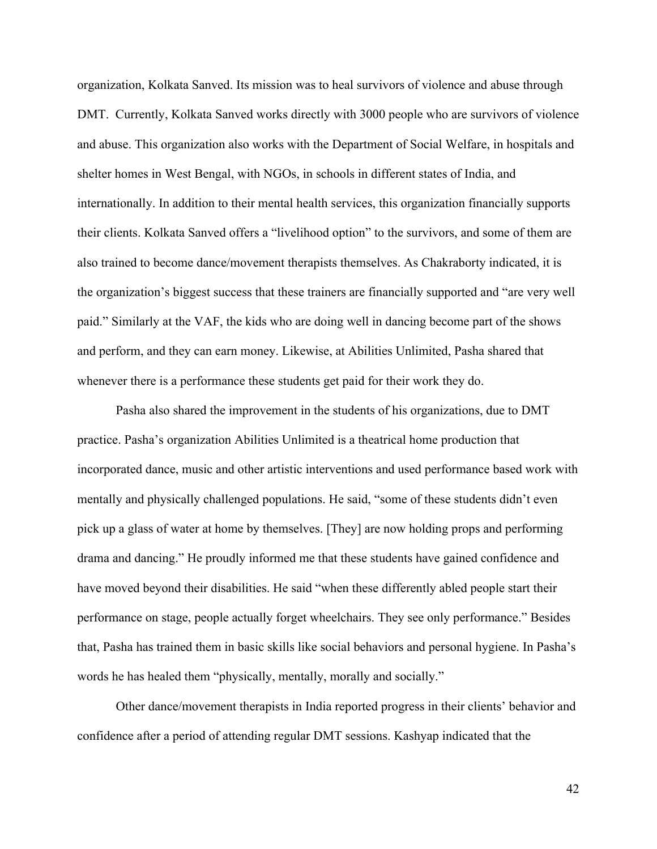organization, Kolkata Sanved. Its mission was to heal survivors of violence and abuse through DMT. Currently, Kolkata Sanved works directly with 3000 people who are survivors of violence and abuse. This organization also works with the Department of Social Welfare, in hospitals and shelter homes in West Bengal, with NGOs, in schools in different states of India, and internationally. In addition to their mental health services, this organization financially supports their clients. Kolkata Sanved offers a "livelihood option" to the survivors, and some of them are also trained to become dance/movement therapists themselves. As Chakraborty indicated, it is the organization's biggest success that these trainers are financially supported and "are very well paid." Similarly at the VAF, the kids who are doing well in dancing become part of the shows and perform, and they can earn money. Likewise, at Abilities Unlimited, Pasha shared that whenever there is a performance these students get paid for their work they do.

Pasha also shared the improvement in the students of his organizations, due to DMT practice. Pasha's organization Abilities Unlimited is a theatrical home production that incorporated dance, music and other artistic interventions and used performance based work with mentally and physically challenged populations. He said, "some of these students didn't even pick up a glass of water at home by themselves. [They] are now holding props and performing drama and dancing." He proudly informed me that these students have gained confidence and have moved beyond their disabilities. He said "when these differently abled people start their performance on stage, people actually forget wheelchairs. They see only performance." Besides that, Pasha has trained them in basic skills like social behaviors and personal hygiene. In Pasha's words he has healed them "physically, mentally, morally and socially."

Other dance/movement therapists in India reported progress in their clients' behavior and confidence after a period of attending regular DMT sessions. Kashyap indicated that the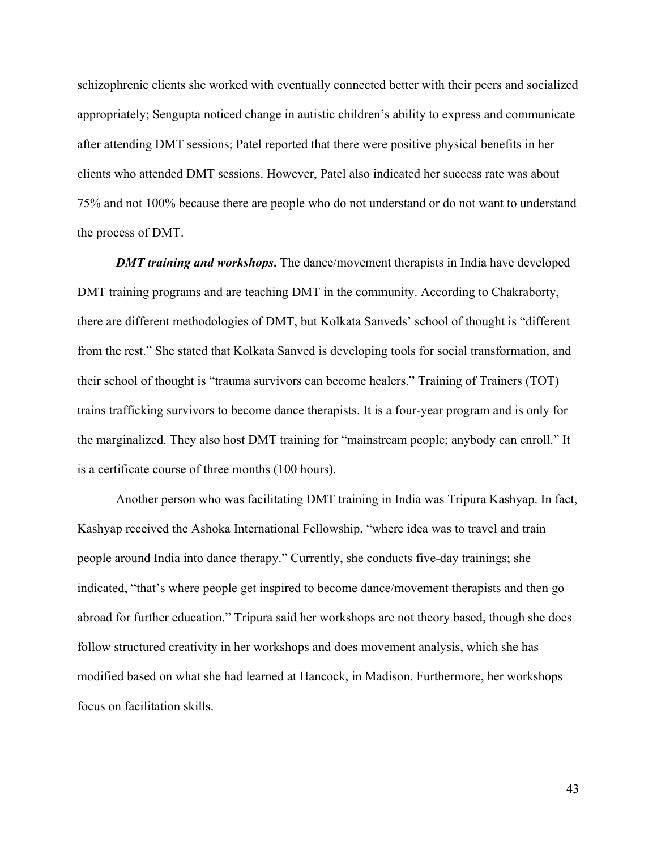schizophrenic clients she worked with eventually connected better with their peers and socialized appropriately; Sengupta noticed change in autistic children's ability to express and communicate after attending DMT sessions; Patel reported that there were positive physical benefits in her clients who attended DMT sessions. However, Patel also indicated her success rate was about 75% and not 100% because there are people who do not understand or do not want to understand the process of DMT.

*DMT training and workshops***.** The dance/movement therapists in India have developed DMT training programs and are teaching DMT in the community. According to Chakraborty, there are different methodologies of DMT, but Kolkata Sanveds' school of thought is "different from the rest." She stated that Kolkata Sanved is developing tools for social transformation, and their school of thought is "trauma survivors can become healers." Training of Trainers (TOT) trains trafficking survivors to become dance therapists. It is a four-year program and is only for the marginalized. They also host DMT training for "mainstream people; anybody can enroll." It is a certificate course of three months (100 hours).

Another person who was facilitating DMT training in India was Tripura Kashyap. In fact, Kashyap received the Ashoka International Fellowship, "where idea was to travel and train people around India into dance therapy." Currently, she conducts five-day trainings; she indicated, "that's where people get inspired to become dance/movement therapists and then go abroad for further education." Tripura said her workshops are not theory based, though she does follow structured creativity in her workshops and does movement analysis, which she has modified based on what she had learned at Hancock, in Madison. Furthermore, her workshops focus on facilitation skills.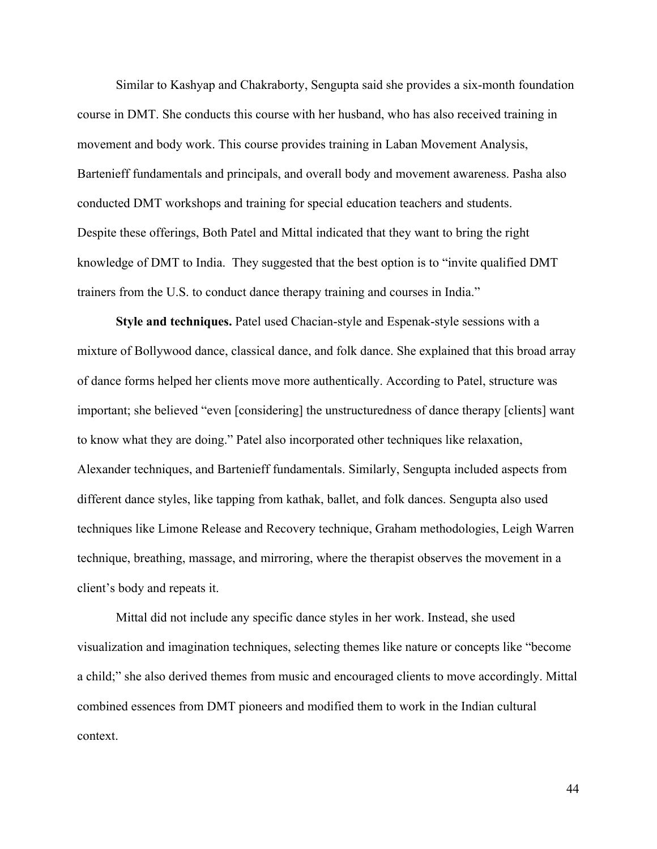Similar to Kashyap and Chakraborty, Sengupta said she provides a six-month foundation course in DMT. She conducts this course with her husband, who has also received training in movement and body work. This course provides training in Laban Movement Analysis, Bartenieff fundamentals and principals, and overall body and movement awareness. Pasha also conducted DMT workshops and training for special education teachers and students. Despite these offerings, Both Patel and Mittal indicated that they want to bring the right knowledge of DMT to India. They suggested that the best option is to "invite qualified DMT trainers from the U.S. to conduct dance therapy training and courses in India."

**Style and techniques.** Patel used Chacian-style and Espenak-style sessions with a mixture of Bollywood dance, classical dance, and folk dance. She explained that this broad array of dance forms helped her clients move more authentically. According to Patel, structure was important; she believed "even [considering] the unstructuredness of dance therapy [clients] want to know what they are doing." Patel also incorporated other techniques like relaxation, Alexander techniques, and Bartenieff fundamentals. Similarly, Sengupta included aspects from different dance styles, like tapping from kathak, ballet, and folk dances. Sengupta also used techniques like Limone Release and Recovery technique, Graham methodologies, Leigh Warren technique, breathing, massage, and mirroring, where the therapist observes the movement in a client's body and repeats it.

Mittal did not include any specific dance styles in her work. Instead, she used visualization and imagination techniques, selecting themes like nature or concepts like "become a child;" she also derived themes from music and encouraged clients to move accordingly. Mittal combined essences from DMT pioneers and modified them to work in the Indian cultural context.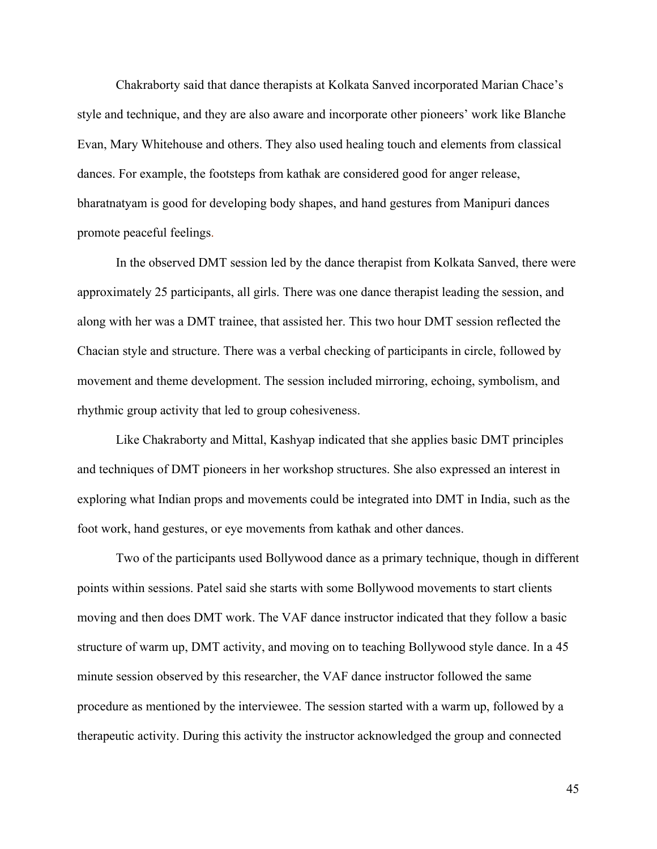Chakraborty said that dance therapists at Kolkata Sanved incorporated Marian Chace's style and technique, and they are also aware and incorporate other pioneers' work like Blanche Evan, Mary Whitehouse and others. They also used healing touch and elements from classical dances. For example, the footsteps from kathak are considered good for anger release, bharatnatyam is good for developing body shapes, and hand gestures from Manipuri dances promote peaceful feelings.

In the observed DMT session led by the dance therapist from Kolkata Sanved, there were approximately 25 participants, all girls. There was one dance therapist leading the session, and along with her was a DMT trainee, that assisted her. This two hour DMT session reflected the Chacian style and structure. There was a verbal checking of participants in circle, followed by movement and theme development. The session included mirroring, echoing, symbolism, and rhythmic group activity that led to group cohesiveness.

Like Chakraborty and Mittal, Kashyap indicated that she applies basic DMT principles and techniques of DMT pioneers in her workshop structures. She also expressed an interest in exploring what Indian props and movements could be integrated into DMT in India, such as the foot work, hand gestures, or eye movements from kathak and other dances.

Two of the participants used Bollywood dance as a primary technique, though in different points within sessions. Patel said she starts with some Bollywood movements to start clients moving and then does DMT work. The VAF dance instructor indicated that they follow a basic structure of warm up, DMT activity, and moving on to teaching Bollywood style dance. In a 45 minute session observed by this researcher, the VAF dance instructor followed the same procedure as mentioned by the interviewee. The session started with a warm up, followed by a therapeutic activity. During this activity the instructor acknowledged the group and connected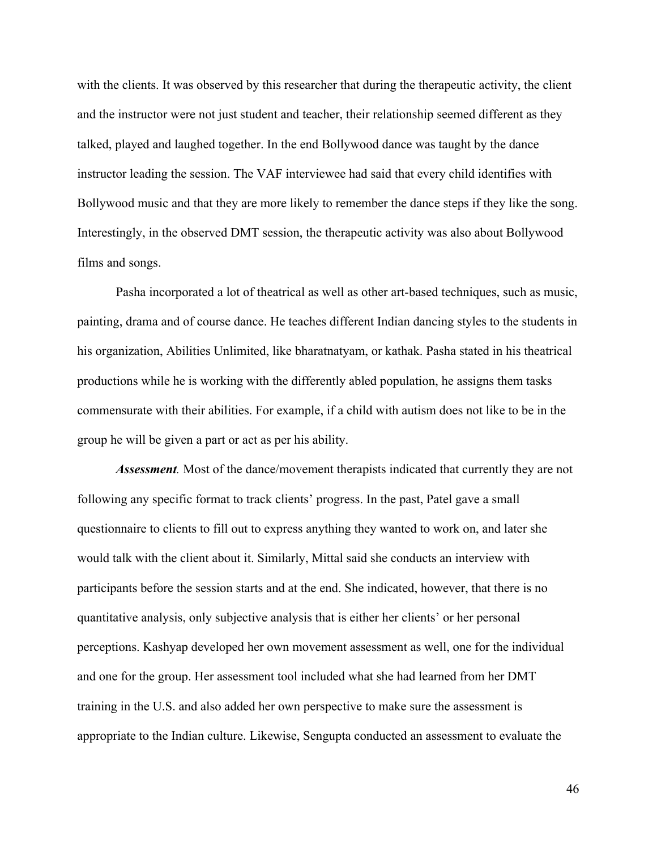with the clients. It was observed by this researcher that during the therapeutic activity, the client and the instructor were not just student and teacher, their relationship seemed different as they talked, played and laughed together. In the end Bollywood dance was taught by the dance instructor leading the session. The VAF interviewee had said that every child identifies with Bollywood music and that they are more likely to remember the dance steps if they like the song. Interestingly, in the observed DMT session, the therapeutic activity was also about Bollywood films and songs.

Pasha incorporated a lot of theatrical as well as other art-based techniques, such as music, painting, drama and of course dance. He teaches different Indian dancing styles to the students in his organization, Abilities Unlimited, like bharatnatyam, or kathak. Pasha stated in his theatrical productions while he is working with the differently abled population, he assigns them tasks commensurate with their abilities. For example, if a child with autism does not like to be in the group he will be given a part or act as per his ability.

*Assessment.* Most of the dance/movement therapists indicated that currently they are not following any specific format to track clients' progress. In the past, Patel gave a small questionnaire to clients to fill out to express anything they wanted to work on, and later she would talk with the client about it. Similarly, Mittal said she conducts an interview with participants before the session starts and at the end. She indicated, however, that there is no quantitative analysis, only subjective analysis that is either her clients' or her personal perceptions. Kashyap developed her own movement assessment as well, one for the individual and one for the group. Her assessment tool included what she had learned from her DMT training in the U.S. and also added her own perspective to make sure the assessment is appropriate to the Indian culture. Likewise, Sengupta conducted an assessment to evaluate the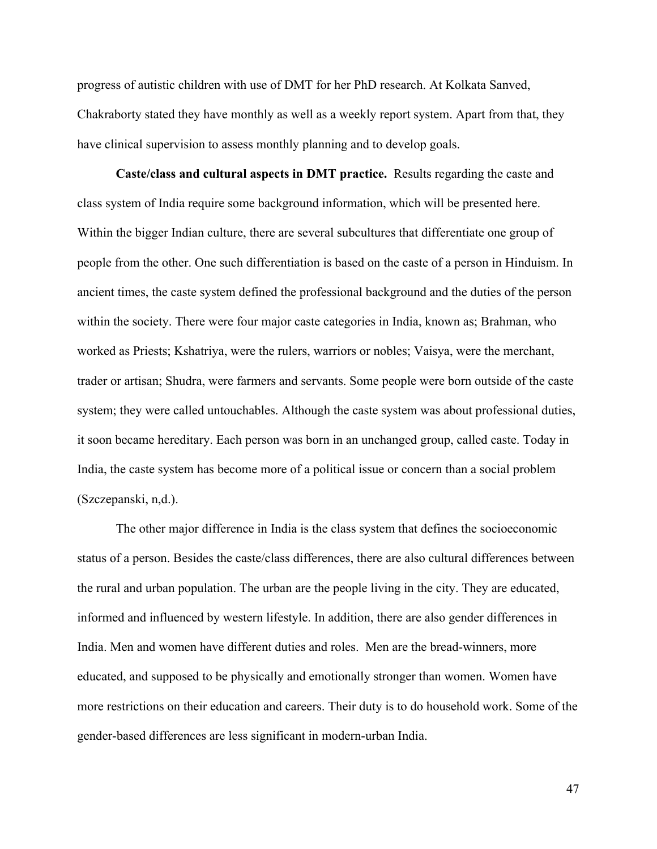progress of autistic children with use of DMT for her PhD research. At Kolkata Sanved, Chakraborty stated they have monthly as well as a weekly report system. Apart from that, they have clinical supervision to assess monthly planning and to develop goals.

**Caste/class and cultural aspects in DMT practice.** Results regarding the caste and class system of India require some background information, which will be presented here. Within the bigger Indian culture, there are several subcultures that differentiate one group of people from the other. One such differentiation is based on the caste of a person in Hinduism. In ancient times, the caste system defined the professional background and the duties of the person within the society. There were four major caste categories in India, known as; Brahman, who worked as Priests; Kshatriya, were the rulers, warriors or nobles; Vaisya, were the merchant, trader or artisan; Shudra, were farmers and servants. Some people were born outside of the caste system; they were called untouchables. Although the caste system was about professional duties, it soon became hereditary. Each person was born in an unchanged group, called caste. Today in India, the caste system has become more of a political issue or concern than a social problem (Szczepanski, n,d.).

The other major difference in India is the class system that defines the socioeconomic status of a person. Besides the caste/class differences, there are also cultural differences between the rural and urban population. The urban are the people living in the city. They are educated, informed and influenced by western lifestyle. In addition, there are also gender differences in India. Men and women have different duties and roles. Men are the bread-winners, more educated, and supposed to be physically and emotionally stronger than women. Women have more restrictions on their education and careers. Their duty is to do household work. Some of the gender-based differences are less significant in modern-urban India.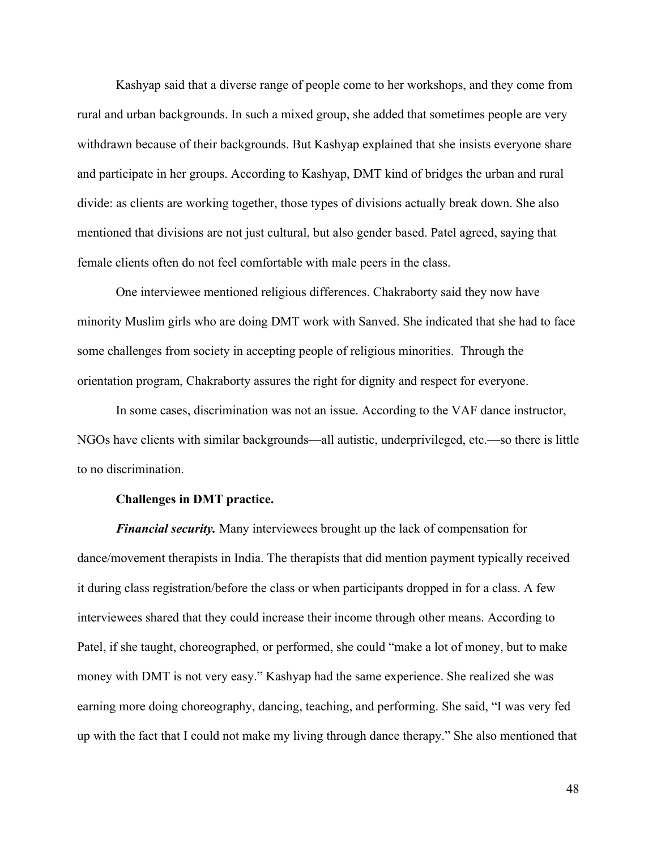Kashyap said that a diverse range of people come to her workshops, and they come from rural and urban backgrounds. In such a mixed group, she added that sometimes people are very withdrawn because of their backgrounds. But Kashyap explained that she insists everyone share and participate in her groups. According to Kashyap, DMT kind of bridges the urban and rural divide: as clients are working together, those types of divisions actually break down. She also mentioned that divisions are not just cultural, but also gender based. Patel agreed, saying that female clients often do not feel comfortable with male peers in the class.

One interviewee mentioned religious differences. Chakraborty said they now have minority Muslim girls who are doing DMT work with Sanved. She indicated that she had to face some challenges from society in accepting people of religious minorities. Through the orientation program, Chakraborty assures the right for dignity and respect for everyone.

In some cases, discrimination was not an issue. According to the VAF dance instructor, NGOs have clients with similar backgrounds—all autistic, underprivileged, etc.—so there is little to no discrimination.

#### **Challenges in DMT practice.**

*Financial security.* Many interviewees brought up the lack of compensation for dance/movement therapists in India. The therapists that did mention payment typically received it during class registration/before the class or when participants dropped in for a class. A few interviewees shared that they could increase their income through other means. According to Patel, if she taught, choreographed, or performed, she could "make a lot of money, but to make money with DMT is not very easy." Kashyap had the same experience. She realized she was earning more doing choreography, dancing, teaching, and performing. She said, "I was very fed up with the fact that I could not make my living through dance therapy." She also mentioned that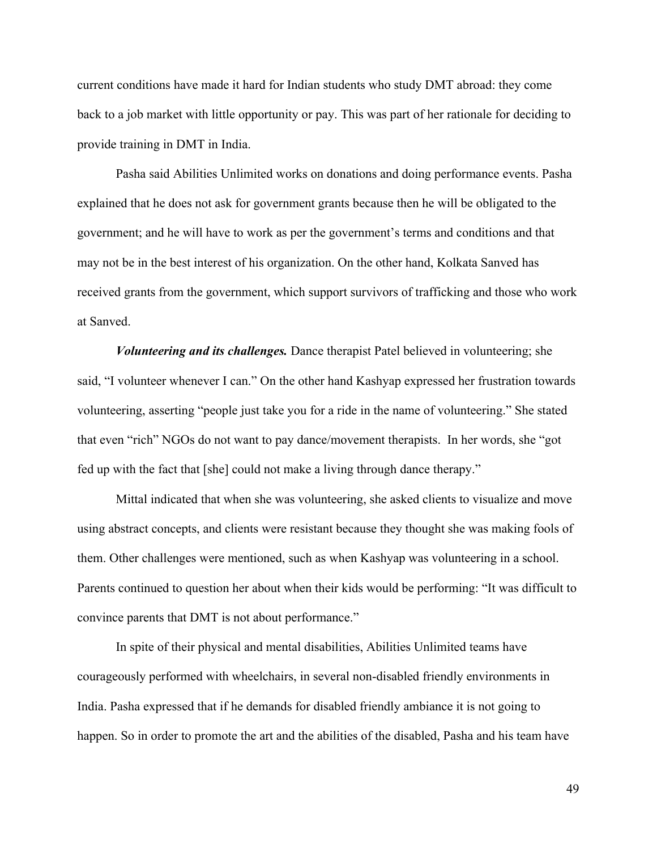current conditions have made it hard for Indian students who study DMT abroad: they come back to a job market with little opportunity or pay. This was part of her rationale for deciding to provide training in DMT in India.

Pasha said Abilities Unlimited works on donations and doing performance events. Pasha explained that he does not ask for government grants because then he will be obligated to the government; and he will have to work as per the government's terms and conditions and that may not be in the best interest of his organization. On the other hand, Kolkata Sanved has received grants from the government, which support survivors of trafficking and those who work at Sanved.

*Volunteering and its challenges.* Dance therapist Patel believed in volunteering; she said, "I volunteer whenever I can." On the other hand Kashyap expressed her frustration towards volunteering, asserting "people just take you for a ride in the name of volunteering." She stated that even "rich" NGOs do not want to pay dance/movement therapists. In her words, she "got fed up with the fact that [she] could not make a living through dance therapy."

Mittal indicated that when she was volunteering, she asked clients to visualize and move using abstract concepts, and clients were resistant because they thought she was making fools of them. Other challenges were mentioned, such as when Kashyap was volunteering in a school. Parents continued to question her about when their kids would be performing: "It was difficult to convince parents that DMT is not about performance."

In spite of their physical and mental disabilities, Abilities Unlimited teams have courageously performed with wheelchairs, in several non-disabled friendly environments in India. Pasha expressed that if he demands for disabled friendly ambiance it is not going to happen. So in order to promote the art and the abilities of the disabled, Pasha and his team have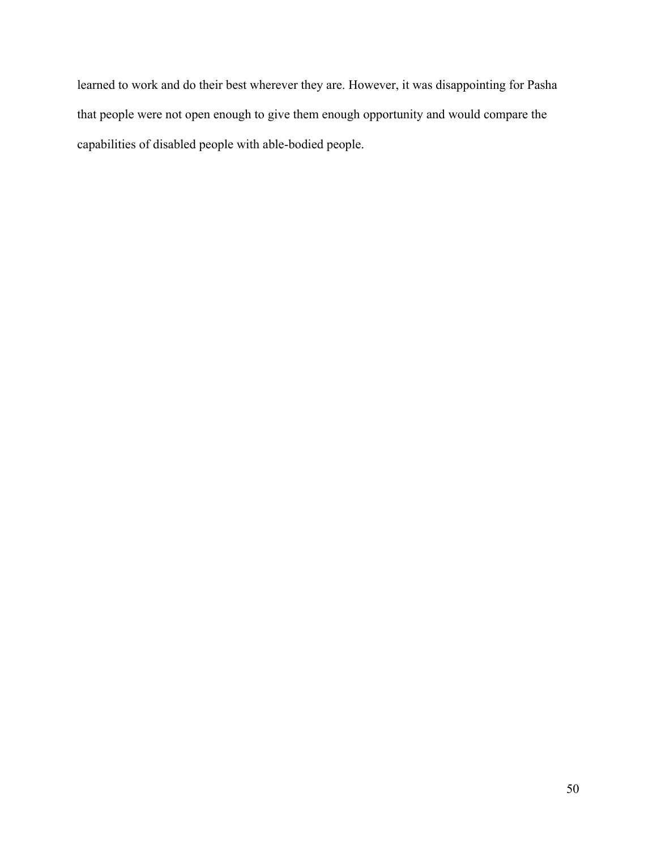learned to work and do their best wherever they are. However, it was disappointing for Pasha that people were not open enough to give them enough opportunity and would compare the capabilities of disabled people with able-bodied people.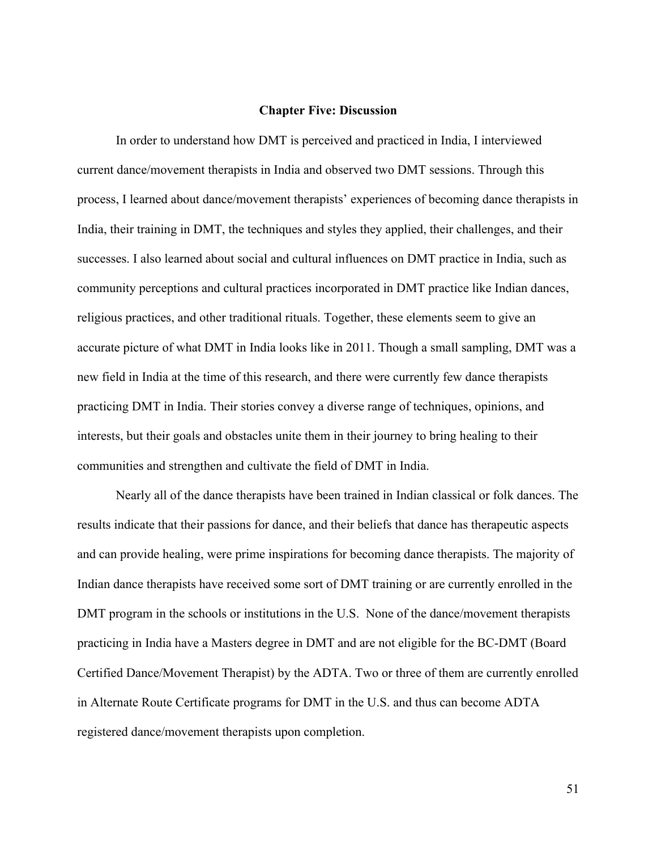#### **Chapter Five: Discussion**

In order to understand how DMT is perceived and practiced in India, I interviewed current dance/movement therapists in India and observed two DMT sessions. Through this process, I learned about dance/movement therapists' experiences of becoming dance therapists in India, their training in DMT, the techniques and styles they applied, their challenges, and their successes. I also learned about social and cultural influences on DMT practice in India, such as community perceptions and cultural practices incorporated in DMT practice like Indian dances, religious practices, and other traditional rituals. Together, these elements seem to give an accurate picture of what DMT in India looks like in 2011. Though a small sampling, DMT was a new field in India at the time of this research, and there were currently few dance therapists practicing DMT in India. Their stories convey a diverse range of techniques, opinions, and interests, but their goals and obstacles unite them in their journey to bring healing to their communities and strengthen and cultivate the field of DMT in India.

Nearly all of the dance therapists have been trained in Indian classical or folk dances. The results indicate that their passions for dance, and their beliefs that dance has therapeutic aspects and can provide healing, were prime inspirations for becoming dance therapists. The majority of Indian dance therapists have received some sort of DMT training or are currently enrolled in the DMT program in the schools or institutions in the U.S. None of the dance/movement therapists practicing in India have a Masters degree in DMT and are not eligible for the BC-DMT (Board Certified Dance/Movement Therapist) by the ADTA. Two or three of them are currently enrolled in Alternate Route Certificate programs for DMT in the U.S. and thus can become ADTA registered dance/movement therapists upon completion.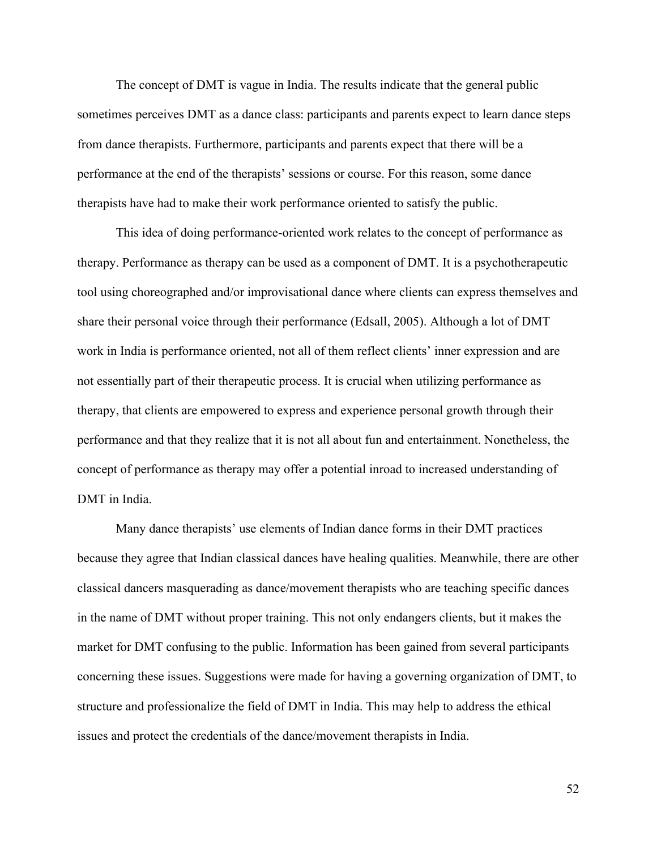The concept of DMT is vague in India. The results indicate that the general public sometimes perceives DMT as a dance class: participants and parents expect to learn dance steps from dance therapists. Furthermore, participants and parents expect that there will be a performance at the end of the therapists' sessions or course. For this reason, some dance therapists have had to make their work performance oriented to satisfy the public.

This idea of doing performance-oriented work relates to the concept of performance as therapy. Performance as therapy can be used as a component of DMT. It is a psychotherapeutic tool using choreographed and/or improvisational dance where clients can express themselves and share their personal voice through their performance (Edsall, 2005). Although a lot of DMT work in India is performance oriented, not all of them reflect clients' inner expression and are not essentially part of their therapeutic process. It is crucial when utilizing performance as therapy, that clients are empowered to express and experience personal growth through their performance and that they realize that it is not all about fun and entertainment. Nonetheless, the concept of performance as therapy may offer a potential inroad to increased understanding of DMT in India.

Many dance therapists' use elements of Indian dance forms in their DMT practices because they agree that Indian classical dances have healing qualities. Meanwhile, there are other classical dancers masquerading as dance/movement therapists who are teaching specific dances in the name of DMT without proper training. This not only endangers clients, but it makes the market for DMT confusing to the public. Information has been gained from several participants concerning these issues. Suggestions were made for having a governing organization of DMT, to structure and professionalize the field of DMT in India. This may help to address the ethical issues and protect the credentials of the dance/movement therapists in India.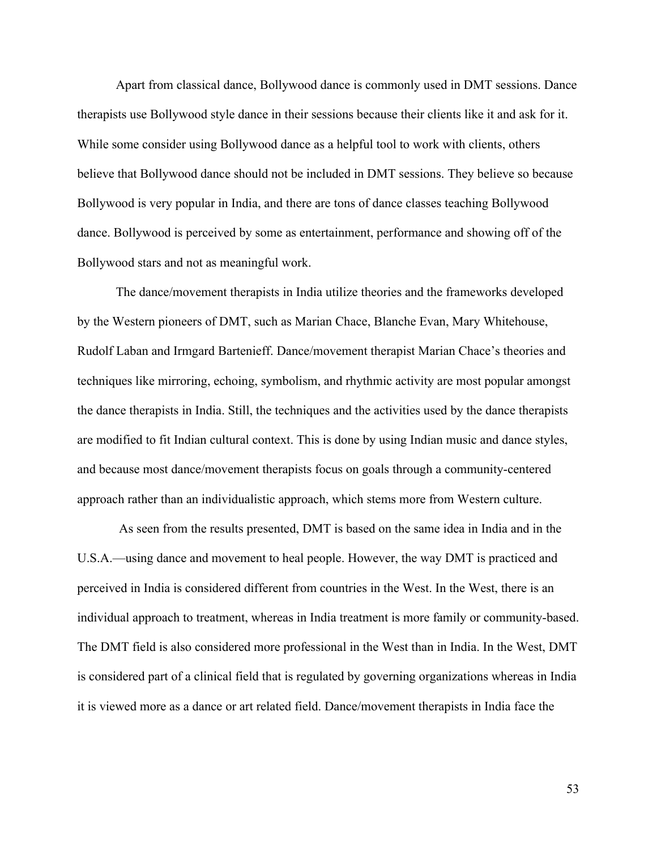Apart from classical dance, Bollywood dance is commonly used in DMT sessions. Dance therapists use Bollywood style dance in their sessions because their clients like it and ask for it. While some consider using Bollywood dance as a helpful tool to work with clients, others believe that Bollywood dance should not be included in DMT sessions. They believe so because Bollywood is very popular in India, and there are tons of dance classes teaching Bollywood dance. Bollywood is perceived by some as entertainment, performance and showing off of the Bollywood stars and not as meaningful work.

The dance/movement therapists in India utilize theories and the frameworks developed by the Western pioneers of DMT, such as Marian Chace, Blanche Evan, Mary Whitehouse, Rudolf Laban and Irmgard Bartenieff. Dance/movement therapist Marian Chace's theories and techniques like mirroring, echoing, symbolism, and rhythmic activity are most popular amongst the dance therapists in India. Still, the techniques and the activities used by the dance therapists are modified to fit Indian cultural context. This is done by using Indian music and dance styles, and because most dance/movement therapists focus on goals through a community-centered approach rather than an individualistic approach, which stems more from Western culture.

 As seen from the results presented, DMT is based on the same idea in India and in the U.S.A.—using dance and movement to heal people. However, the way DMT is practiced and perceived in India is considered different from countries in the West. In the West, there is an individual approach to treatment, whereas in India treatment is more family or community-based. The DMT field is also considered more professional in the West than in India. In the West, DMT is considered part of a clinical field that is regulated by governing organizations whereas in India it is viewed more as a dance or art related field. Dance/movement therapists in India face the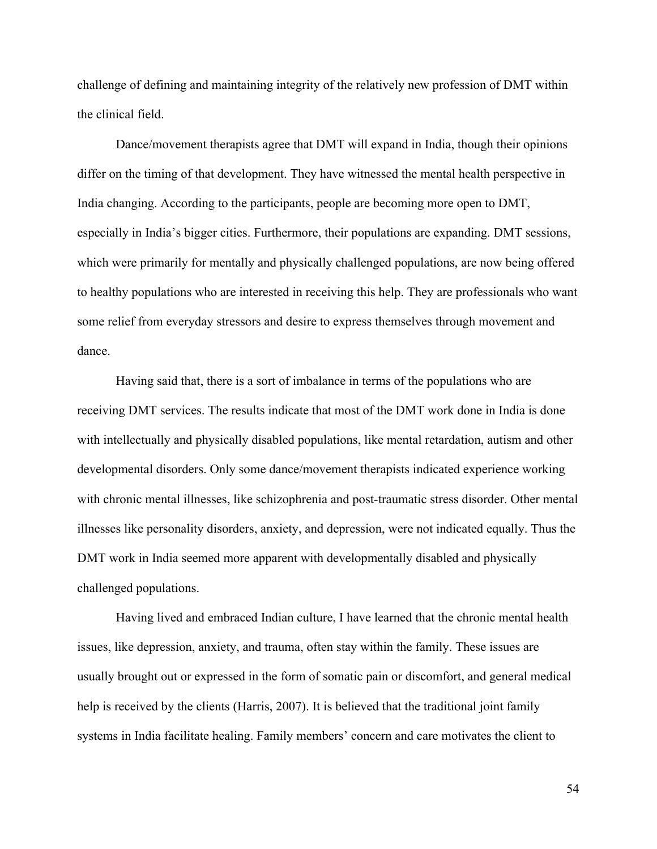challenge of defining and maintaining integrity of the relatively new profession of DMT within the clinical field.

Dance/movement therapists agree that DMT will expand in India, though their opinions differ on the timing of that development. They have witnessed the mental health perspective in India changing. According to the participants, people are becoming more open to DMT, especially in India's bigger cities. Furthermore, their populations are expanding. DMT sessions, which were primarily for mentally and physically challenged populations, are now being offered to healthy populations who are interested in receiving this help. They are professionals who want some relief from everyday stressors and desire to express themselves through movement and dance.

Having said that, there is a sort of imbalance in terms of the populations who are receiving DMT services. The results indicate that most of the DMT work done in India is done with intellectually and physically disabled populations, like mental retardation, autism and other developmental disorders. Only some dance/movement therapists indicated experience working with chronic mental illnesses, like schizophrenia and post-traumatic stress disorder. Other mental illnesses like personality disorders, anxiety, and depression, were not indicated equally. Thus the DMT work in India seemed more apparent with developmentally disabled and physically challenged populations.

Having lived and embraced Indian culture, I have learned that the chronic mental health issues, like depression, anxiety, and trauma, often stay within the family. These issues are usually brought out or expressed in the form of somatic pain or discomfort, and general medical help is received by the clients (Harris, 2007). It is believed that the traditional joint family systems in India facilitate healing. Family members' concern and care motivates the client to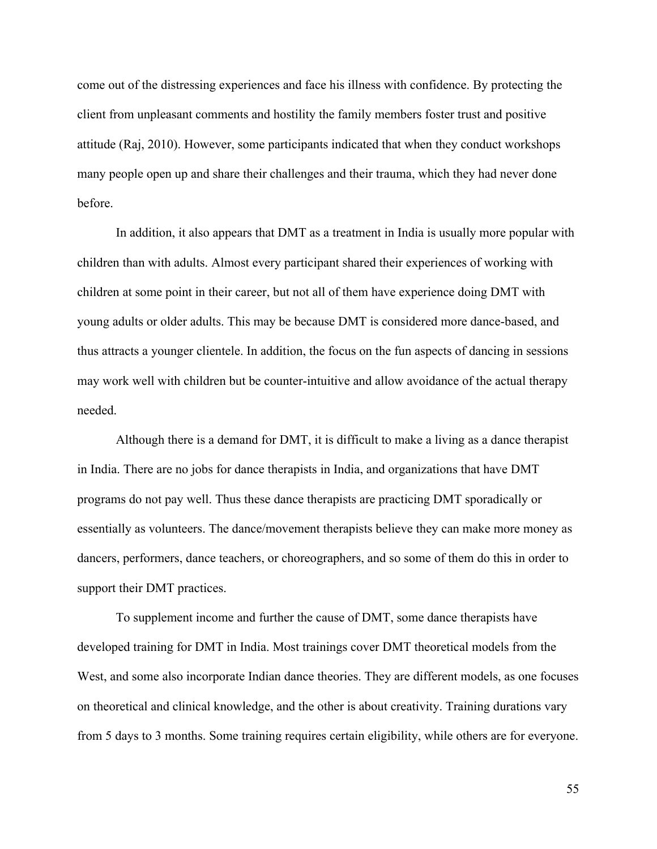come out of the distressing experiences and face his illness with confidence. By protecting the client from unpleasant comments and hostility the family members foster trust and positive attitude (Raj, 2010). However, some participants indicated that when they conduct workshops many people open up and share their challenges and their trauma, which they had never done before.

In addition, it also appears that DMT as a treatment in India is usually more popular with children than with adults. Almost every participant shared their experiences of working with children at some point in their career, but not all of them have experience doing DMT with young adults or older adults. This may be because DMT is considered more dance-based, and thus attracts a younger clientele. In addition, the focus on the fun aspects of dancing in sessions may work well with children but be counter-intuitive and allow avoidance of the actual therapy needed.

Although there is a demand for DMT, it is difficult to make a living as a dance therapist in India. There are no jobs for dance therapists in India, and organizations that have DMT programs do not pay well. Thus these dance therapists are practicing DMT sporadically or essentially as volunteers. The dance/movement therapists believe they can make more money as dancers, performers, dance teachers, or choreographers, and so some of them do this in order to support their DMT practices.

To supplement income and further the cause of DMT, some dance therapists have developed training for DMT in India. Most trainings cover DMT theoretical models from the West, and some also incorporate Indian dance theories. They are different models, as one focuses on theoretical and clinical knowledge, and the other is about creativity. Training durations vary from 5 days to 3 months. Some training requires certain eligibility, while others are for everyone.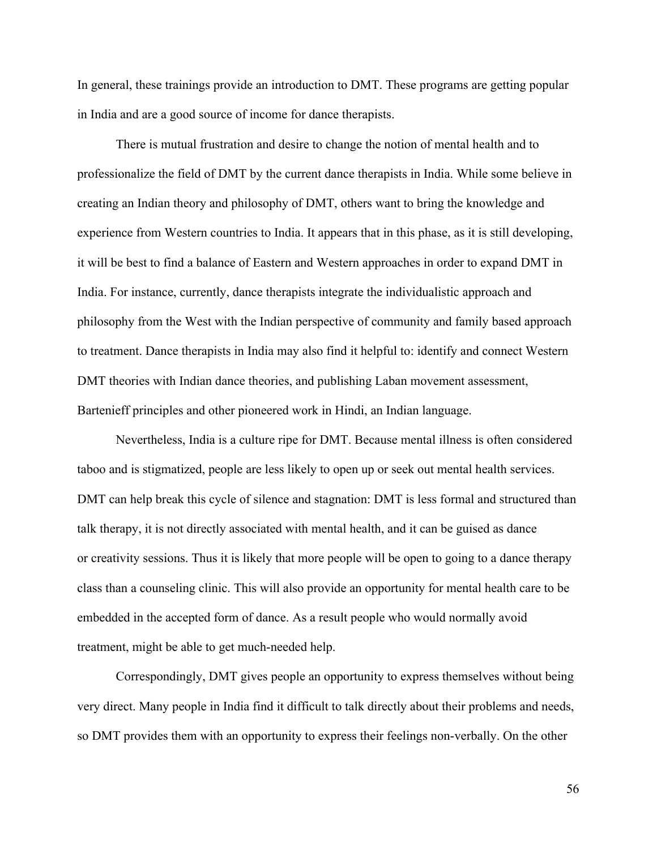In general, these trainings provide an introduction to DMT. These programs are getting popular in India and are a good source of income for dance therapists.

There is mutual frustration and desire to change the notion of mental health and to professionalize the field of DMT by the current dance therapists in India. While some believe in creating an Indian theory and philosophy of DMT, others want to bring the knowledge and experience from Western countries to India. It appears that in this phase, as it is still developing, it will be best to find a balance of Eastern and Western approaches in order to expand DMT in India. For instance, currently, dance therapists integrate the individualistic approach and philosophy from the West with the Indian perspective of community and family based approach to treatment. Dance therapists in India may also find it helpful to: identify and connect Western DMT theories with Indian dance theories, and publishing Laban movement assessment, Bartenieff principles and other pioneered work in Hindi, an Indian language.

Nevertheless, India is a culture ripe for DMT. Because mental illness is often considered taboo and is stigmatized, people are less likely to open up or seek out mental health services. DMT can help break this cycle of silence and stagnation: DMT is less formal and structured than talk therapy, it is not directly associated with mental health, and it can be guised as dance or creativity sessions. Thus it is likely that more people will be open to going to a dance therapy class than a counseling clinic. This will also provide an opportunity for mental health care to be embedded in the accepted form of dance. As a result people who would normally avoid treatment, might be able to get much-needed help.

Correspondingly, DMT gives people an opportunity to express themselves without being very direct. Many people in India find it difficult to talk directly about their problems and needs, so DMT provides them with an opportunity to express their feelings non-verbally. On the other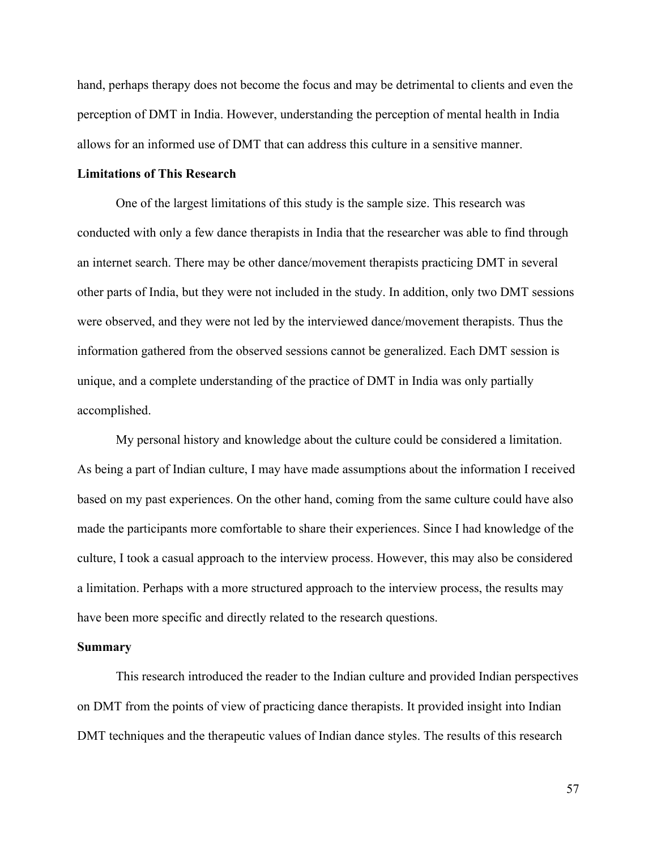hand, perhaps therapy does not become the focus and may be detrimental to clients and even the perception of DMT in India. However, understanding the perception of mental health in India allows for an informed use of DMT that can address this culture in a sensitive manner.

#### **Limitations of This Research**

One of the largest limitations of this study is the sample size. This research was conducted with only a few dance therapists in India that the researcher was able to find through an internet search. There may be other dance/movement therapists practicing DMT in several other parts of India, but they were not included in the study. In addition, only two DMT sessions were observed, and they were not led by the interviewed dance/movement therapists. Thus the information gathered from the observed sessions cannot be generalized. Each DMT session is unique, and a complete understanding of the practice of DMT in India was only partially accomplished.

My personal history and knowledge about the culture could be considered a limitation. As being a part of Indian culture, I may have made assumptions about the information I received based on my past experiences. On the other hand, coming from the same culture could have also made the participants more comfortable to share their experiences. Since I had knowledge of the culture, I took a casual approach to the interview process. However, this may also be considered a limitation. Perhaps with a more structured approach to the interview process, the results may have been more specific and directly related to the research questions.

#### **Summary**

This research introduced the reader to the Indian culture and provided Indian perspectives on DMT from the points of view of practicing dance therapists. It provided insight into Indian DMT techniques and the therapeutic values of Indian dance styles. The results of this research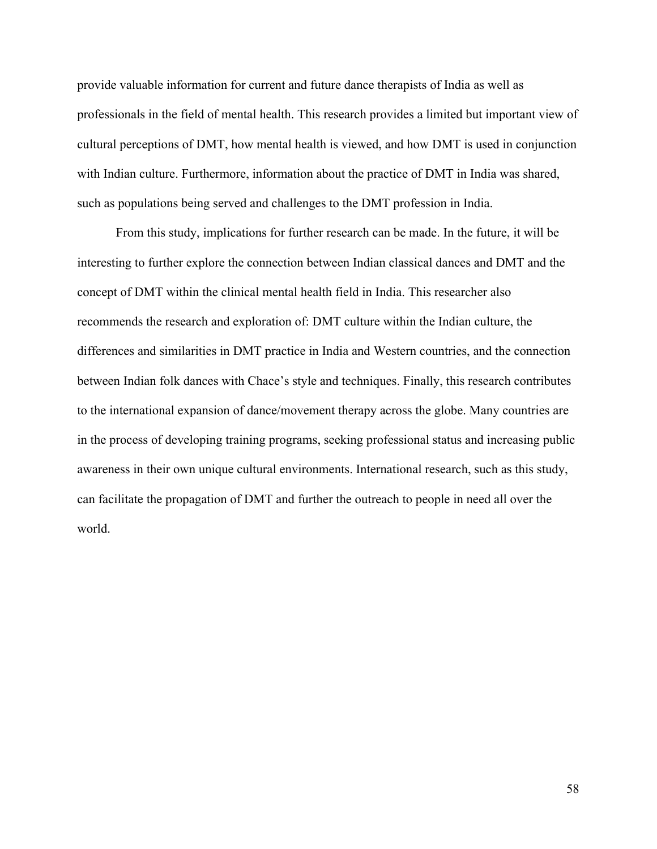provide valuable information for current and future dance therapists of India as well as professionals in the field of mental health. This research provides a limited but important view of cultural perceptions of DMT, how mental health is viewed, and how DMT is used in conjunction with Indian culture. Furthermore, information about the practice of DMT in India was shared, such as populations being served and challenges to the DMT profession in India.

From this study, implications for further research can be made. In the future, it will be interesting to further explore the connection between Indian classical dances and DMT and the concept of DMT within the clinical mental health field in India. This researcher also recommends the research and exploration of: DMT culture within the Indian culture, the differences and similarities in DMT practice in India and Western countries, and the connection between Indian folk dances with Chace's style and techniques. Finally, this research contributes to the international expansion of dance/movement therapy across the globe. Many countries are in the process of developing training programs, seeking professional status and increasing public awareness in their own unique cultural environments. International research, such as this study, can facilitate the propagation of DMT and further the outreach to people in need all over the world.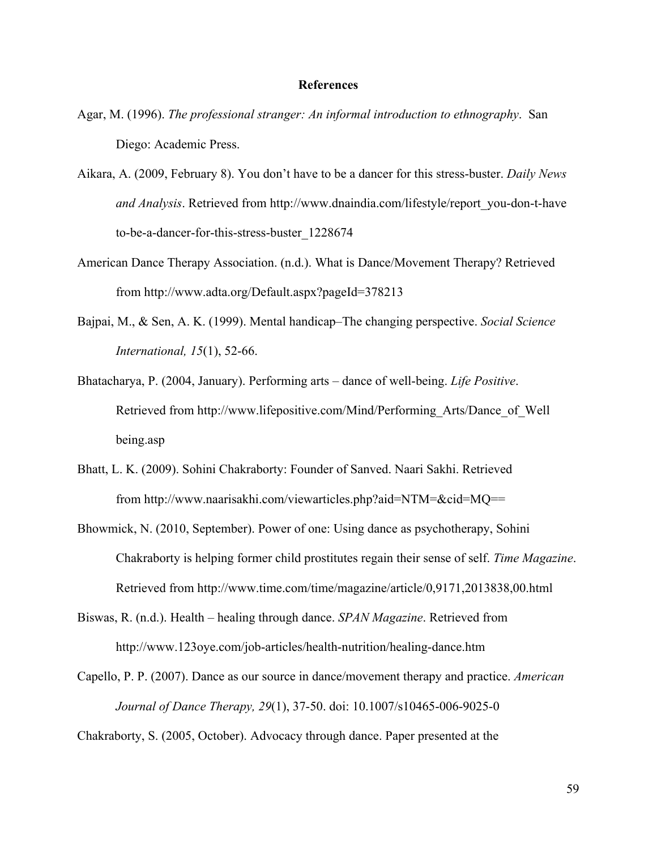#### **References**

- Agar, M. (1996). *The professional stranger: An informal introduction to ethnography*. San Diego: Academic Press.
- Aikara, A. (2009, February 8). You don't have to be a dancer for this stress-buster. *Daily News and Analysis*. Retrieved from http://www.dnaindia.com/lifestyle/report\_you-don-t-have to-be-a-dancer-for-this-stress-buster\_1228674
- American Dance Therapy Association. (n.d.). What is Dance/Movement Therapy? Retrieved from http://www.adta.org/Default.aspx?pageId=378213
- Bajpai, M., & Sen, A. K. (1999). Mental handicap–The changing perspective. *Social Science International, 15*(1), 52-66.
- Bhatacharya, P. (2004, January). Performing arts dance of well-being. *Life Positive*. Retrieved from http://www.lifepositive.com/Mind/Performing\_Arts/Dance\_of\_Well being.asp
- Bhatt, L. K. (2009). Sohini Chakraborty: Founder of Sanved. Naari Sakhi. Retrieved from http://www.naarisakhi.com/viewarticles.php?aid=NTM=&cid=MQ==
- Bhowmick, N. (2010, September). Power of one: Using dance as psychotherapy, Sohini Chakraborty is helping former child prostitutes regain their sense of self. *Time Magazine*. Retrieved from http://www.time.com/time/magazine/article/0,9171,2013838,00.html
- Biswas, R. (n.d.). Health healing through dance. *SPAN Magazine*. Retrieved from http://www.123oye.com/job-articles/health-nutrition/healing-dance.htm
- Capello, P. P. (2007). Dance as our source in dance/movement therapy and practice. *American Journal of Dance Therapy, 29*(1), 37-50. doi: 10.1007/s10465-006-9025-0
- Chakraborty, S. (2005, October). Advocacy through dance. Paper presented at the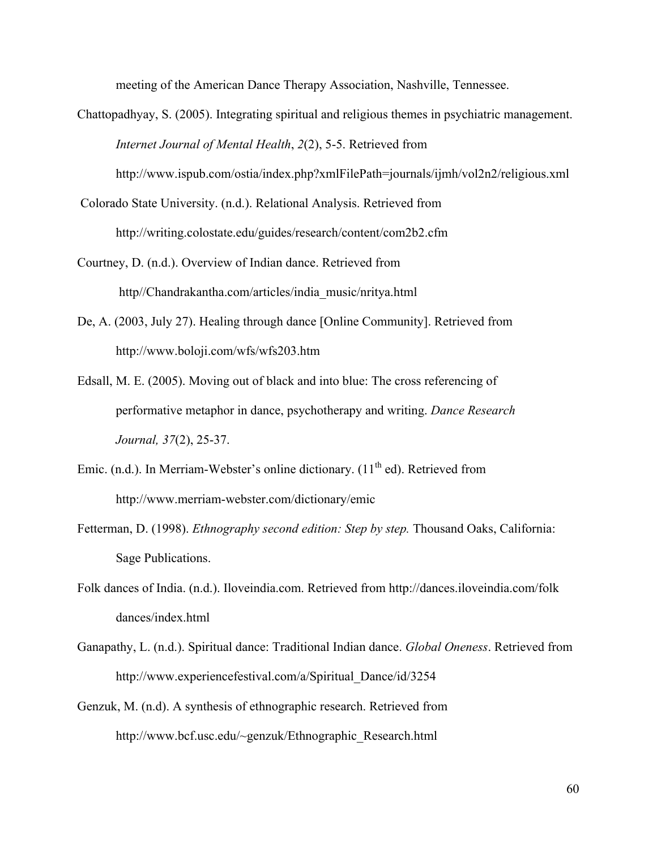meeting of the American Dance Therapy Association, Nashville, Tennessee.

Chattopadhyay, S. (2005). Integrating spiritual and religious themes in psychiatric management. *Internet Journal of Mental Health*, *2*(2), 5-5. Retrieved from

http://www.ispub.com/ostia/index.php?xmlFilePath=journals/ijmh/vol2n2/religious.xml

- Colorado State University. (n.d.). Relational Analysis. Retrieved from http://writing.colostate.edu/guides/research/content/com2b2.cfm
- Courtney, D. (n.d.). Overview of Indian dance. Retrieved from http//Chandrakantha.com/articles/india\_music/nritya.html
- De, A. (2003, July 27). Healing through dance [Online Community]. Retrieved from http://www.boloji.com/wfs/wfs203.htm
- Edsall, M. E. (2005). Moving out of black and into blue: The cross referencing of performative metaphor in dance, psychotherapy and writing. *Dance Research Journal, 37*(2), 25-37.
- Emic. (n.d.). In Merriam-Webster's online dictionary.  $(11<sup>th</sup>$ ed). Retrieved from http://www.merriam-webster.com/dictionary/emic
- Fetterman, D. (1998). *Ethnography second edition: Step by step.* Thousand Oaks, California: Sage Publications.
- Folk dances of India. (n.d.). Iloveindia.com. Retrieved from http://dances.iloveindia.com/folk dances/index.html
- Ganapathy, L. (n.d.). Spiritual dance: Traditional Indian dance. *Global Oneness*. Retrieved from http://www.experiencefestival.com/a/Spiritual\_Dance/id/3254
- Genzuk, M. (n.d). A synthesis of ethnographic research. Retrieved from http://www.bcf.usc.edu/~genzuk/Ethnographic\_Research.html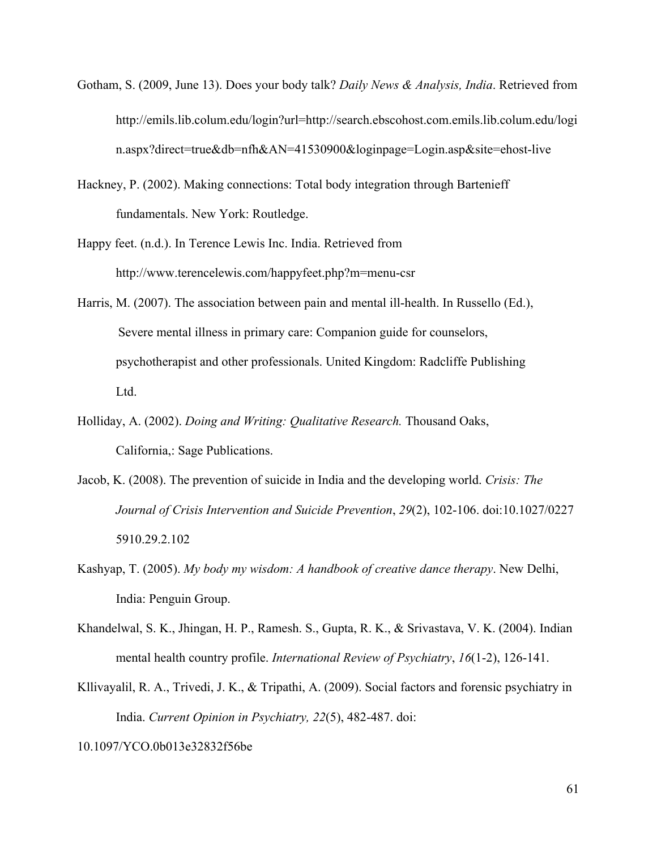- Gotham, S. (2009, June 13). Does your body talk? *Daily News & Analysis, India*. Retrieved from http://emils.lib.colum.edu/login?url=http://search.ebscohost.com.emils.lib.colum.edu/logi n.aspx?direct=true&db=nfh&AN=41530900&loginpage=Login.asp&site=ehost-live
- Hackney, P. (2002). Making connections: Total body integration through Bartenieff fundamentals. New York: Routledge.
- Happy feet. (n.d.). In Terence Lewis Inc. India. Retrieved from http://www.terencelewis.com/happyfeet.php?m=menu-csr
- Harris, M. (2007). The association between pain and mental ill-health. In Russello (Ed.), Severe mental illness in primary care: Companion guide for counselors, psychotherapist and other professionals. United Kingdom: Radcliffe Publishing Ltd.
- Holliday, A. (2002). *Doing and Writing: Qualitative Research.* Thousand Oaks, California,: Sage Publications.
- Jacob, K. (2008). The prevention of suicide in India and the developing world. *Crisis: The Journal of Crisis Intervention and Suicide Prevention*, *29*(2), 102-106. doi:10.1027/0227 5910.29.2.102
- Kashyap, T. (2005). *My body my wisdom: A handbook of creative dance therapy*. New Delhi, India: Penguin Group.
- Khandelwal, S. K., Jhingan, H. P., Ramesh. S., Gupta, R. K., & Srivastava, V. K. (2004). Indian mental health country profile. *International Review of Psychiatry*, *16*(1-2), 126-141.
- Kllivayalil, R. A., Trivedi, J. K., & Tripathi, A. (2009). Social factors and forensic psychiatry in India. *Current Opinion in Psychiatry, 22*(5), 482-487. doi:

10.1097/YCO.0b013e32832f56be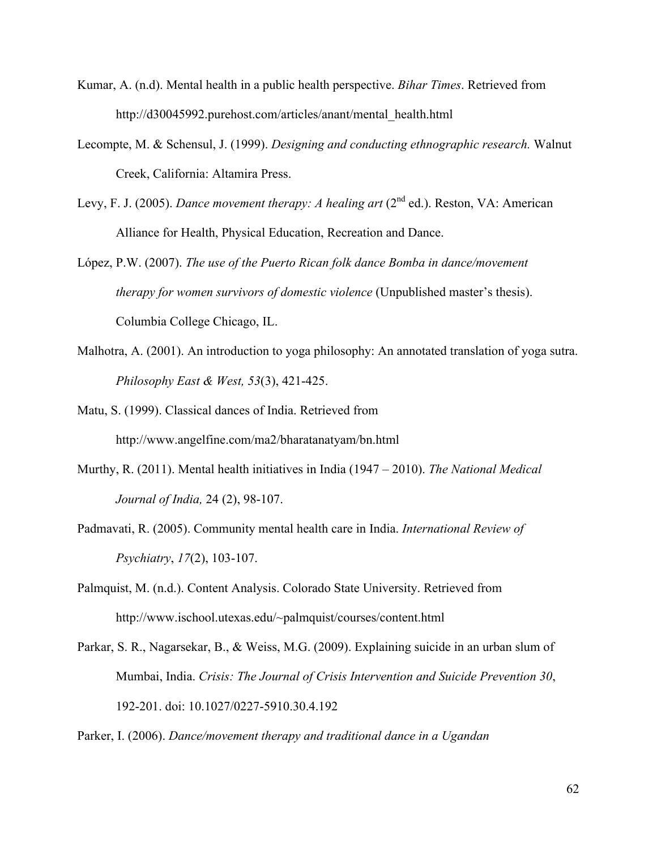- Kumar, A. (n.d). Mental health in a public health perspective. *Bihar Times*. Retrieved from http://d30045992.purehost.com/articles/anant/mental\_health.html
- Lecompte, M. & Schensul, J. (1999). *Designing and conducting ethnographic research.* Walnut Creek, California: Altamira Press.
- Levy, F. J. (2005). *Dance movement therapy: A healing art* (2<sup>nd</sup> ed.). Reston, VA: American Alliance for Health, Physical Education, Recreation and Dance.
- López, P.W. (2007). *The use of the Puerto Rican folk dance Bomba in dance/movement therapy for women survivors of domestic violence* (Unpublished master's thesis). Columbia College Chicago, IL.
- Malhotra, A. (2001). An introduction to yoga philosophy: An annotated translation of yoga sutra. *Philosophy East & West, 53*(3), 421-425.
- Matu, S. (1999). Classical dances of India. Retrieved from http://www.angelfine.com/ma2/bharatanatyam/bn.html
- Murthy, R. (2011). Mental health initiatives in India (1947 2010). *The National Medical Journal of India,* 24 (2), 98-107.
- Padmavati, R. (2005). Community mental health care in India. *International Review of Psychiatry*, *17*(2), 103-107.
- Palmquist, M. (n.d.). Content Analysis. Colorado State University. Retrieved from http://www.ischool.utexas.edu/~palmquist/courses/content.html
- Parkar, S. R., Nagarsekar, B., & Weiss, M.G. (2009). Explaining suicide in an urban slum of Mumbai, India. *Crisis: The Journal of Crisis Intervention and Suicide Prevention 30*, 192-201. doi: 10.1027/0227-5910.30.4.192
- Parker, I. (2006). *Dance/movement therapy and traditional dance in a Ugandan*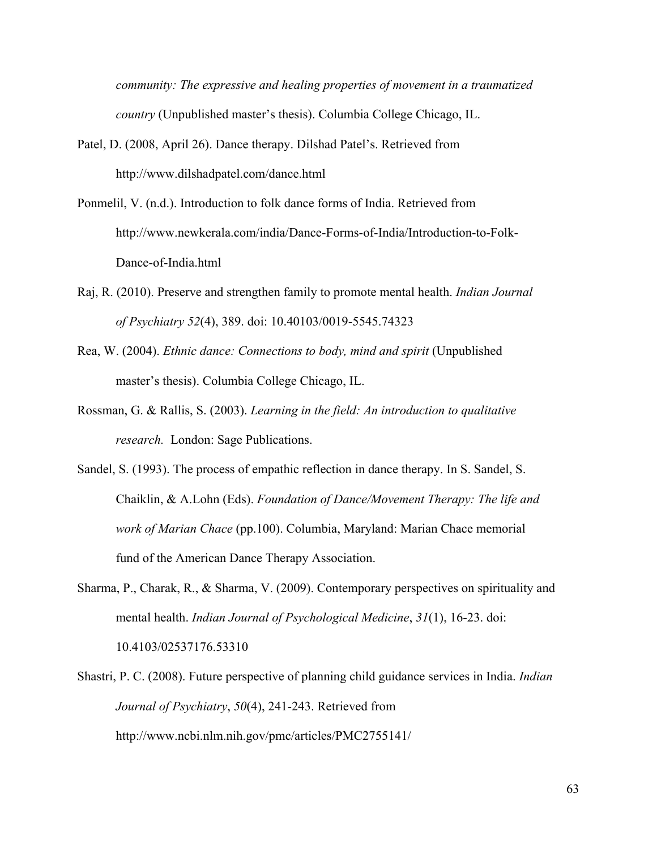*community: The expressive and healing properties of movement in a traumatized country* (Unpublished master's thesis). Columbia College Chicago, IL.

- Patel, D. (2008, April 26). Dance therapy. Dilshad Patel's. Retrieved from http://www.dilshadpatel.com/dance.html
- Ponmelil, V. (n.d.). Introduction to folk dance forms of India. Retrieved from http://www.newkerala.com/india/Dance-Forms-of-India/Introduction-to-Folk-Dance-of-India.html
- Raj, R. (2010). Preserve and strengthen family to promote mental health. *Indian Journal of Psychiatry 52*(4), 389. doi: 10.40103/0019-5545.74323
- Rea, W. (2004). *Ethnic dance: Connections to body, mind and spirit* (Unpublished master's thesis). Columbia College Chicago, IL.
- Rossman, G. & Rallis, S. (2003). *Learning in the field: An introduction to qualitative research.* London: Sage Publications.
- Sandel, S. (1993). The process of empathic reflection in dance therapy. In S. Sandel, S. Chaiklin, & A.Lohn (Eds). *Foundation of Dance/Movement Therapy: The life and work of Marian Chace* (pp.100). Columbia, Maryland: Marian Chace memorial fund of the American Dance Therapy Association.
- Sharma, P., Charak, R., & Sharma, V. (2009). Contemporary perspectives on spirituality and mental health. *Indian Journal of Psychological Medicine*, *31*(1), 16-23. doi: 10.4103/02537176.53310
- Shastri, P. C. (2008). Future perspective of planning child guidance services in India. *Indian Journal of Psychiatry*, *50*(4), 241-243. Retrieved from http://www.ncbi.nlm.nih.gov/pmc/articles/PMC2755141/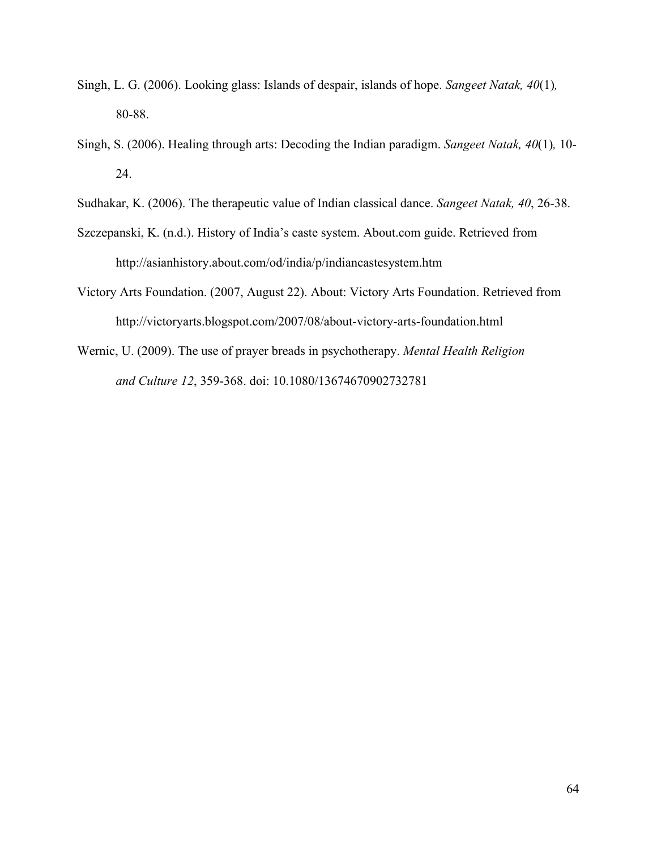- Singh, L. G. (2006). Looking glass: Islands of despair, islands of hope. *Sangeet Natak, 40*(1)*,* 80-88.
- Singh, S. (2006). Healing through arts: Decoding the Indian paradigm. *Sangeet Natak, 40*(1)*,* 10- 24.
- Sudhakar, K. (2006). The therapeutic value of Indian classical dance. *Sangeet Natak, 40*, 26-38.
- Szczepanski, K. (n.d.). History of India's caste system. About.com guide. Retrieved from http://asianhistory.about.com/od/india/p/indiancastesystem.htm
- Victory Arts Foundation. (2007, August 22). About: Victory Arts Foundation. Retrieved from http://victoryarts.blogspot.com/2007/08/about-victory-arts-foundation.html
- Wernic, U. (2009). The use of prayer breads in psychotherapy. *Mental Health Religion and Culture 12*, 359-368. doi: 10.1080/13674670902732781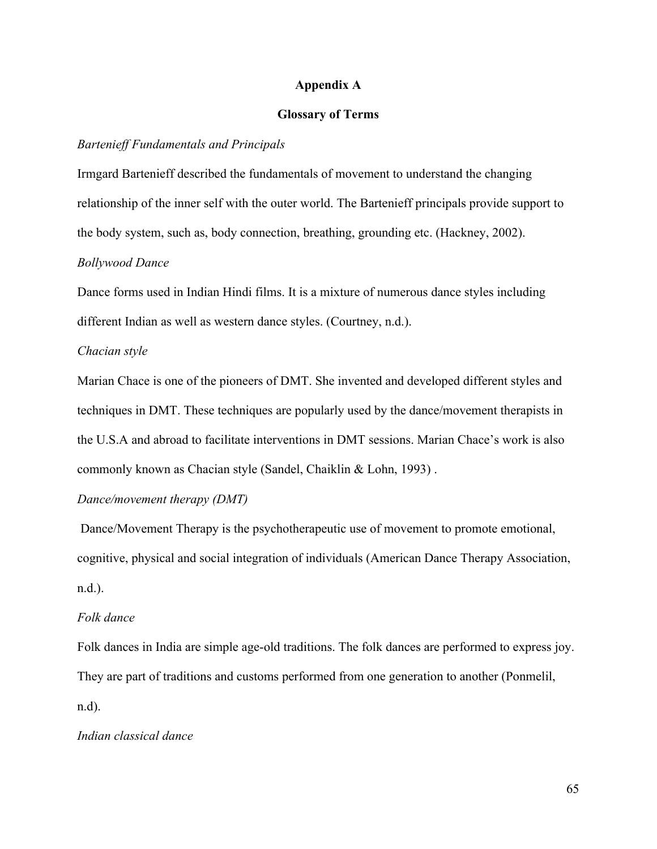### **Appendix A**

# **Glossary of Terms**

## *Bartenieff Fundamentals and Principals*

Irmgard Bartenieff described the fundamentals of movement to understand the changing relationship of the inner self with the outer world. The Bartenieff principals provide support to the body system, such as, body connection, breathing, grounding etc. (Hackney, 2002).

#### *Bollywood Dance*

Dance forms used in Indian Hindi films. It is a mixture of numerous dance styles including different Indian as well as western dance styles. (Courtney, n.d.).

## *Chacian style*

Marian Chace is one of the pioneers of DMT. She invented and developed different styles and techniques in DMT. These techniques are popularly used by the dance/movement therapists in the U.S.A and abroad to facilitate interventions in DMT sessions. Marian Chace's work is also commonly known as Chacian style (Sandel, Chaiklin & Lohn, 1993) .

## *Dance/movement therapy (DMT)*

 Dance/Movement Therapy is the psychotherapeutic use of movement to promote emotional, cognitive, physical and social integration of individuals (American Dance Therapy Association, n.d.).

## *Folk dance*

Folk dances in India are simple age-old traditions. The folk dances are performed to express joy. They are part of traditions and customs performed from one generation to another (Ponmelil, n.d).

## *Indian classical dance*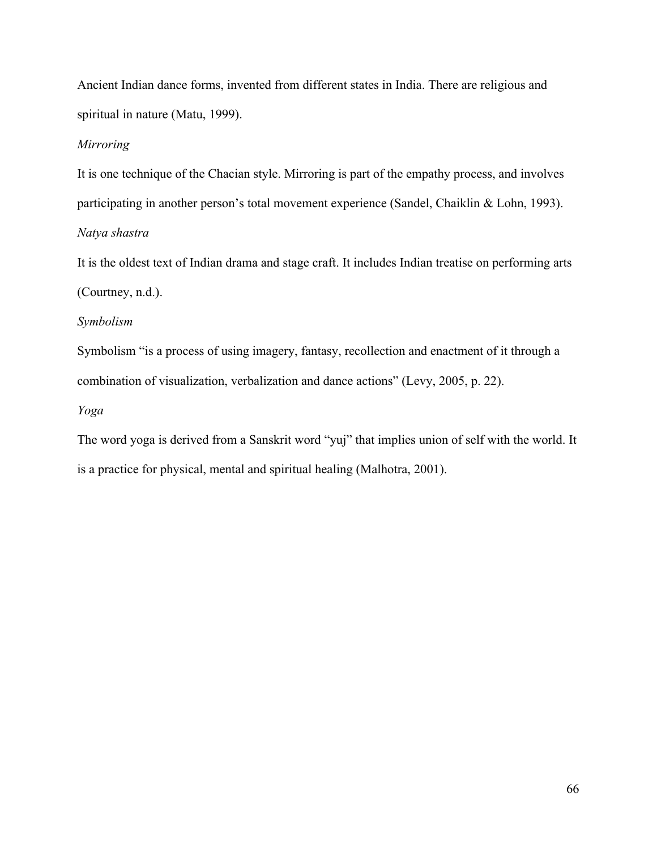Ancient Indian dance forms, invented from different states in India. There are religious and spiritual in nature (Matu, 1999).

## *Mirroring*

It is one technique of the Chacian style. Mirroring is part of the empathy process, and involves participating in another person's total movement experience (Sandel, Chaiklin & Lohn, 1993). *Natya shastra*

It is the oldest text of Indian drama and stage craft. It includes Indian treatise on performing arts (Courtney, n.d.).

# *Symbolism*

Symbolism "is a process of using imagery, fantasy, recollection and enactment of it through a combination of visualization, verbalization and dance actions" (Levy, 2005, p. 22).

## *Yoga*

The word yoga is derived from a Sanskrit word "yuj" that implies union of self with the world. It is a practice for physical, mental and spiritual healing (Malhotra, 2001).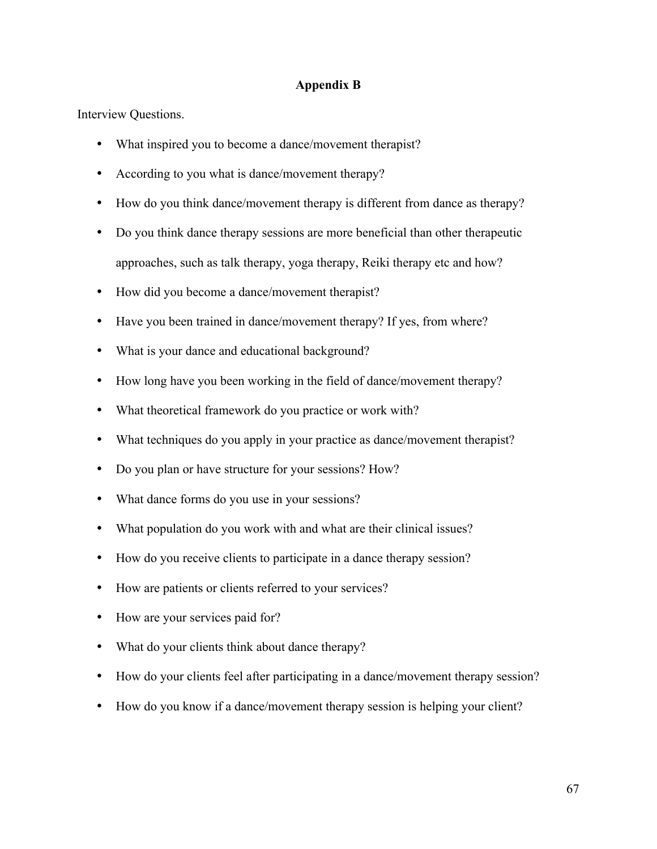## **Appendix B**

Interview Questions.

- What inspired you to become a dance/movement therapist?
- According to you what is dance/movement therapy?
- How do you think dance/movement therapy is different from dance as therapy?
- Do you think dance therapy sessions are more beneficial than other therapeutic approaches, such as talk therapy, yoga therapy, Reiki therapy etc and how?
- How did you become a dance/movement therapist?
- Have you been trained in dance/movement therapy? If yes, from where?
- What is your dance and educational background?
- How long have you been working in the field of dance/movement therapy?
- What theoretical framework do you practice or work with?
- What techniques do you apply in your practice as dance/movement therapist?
- Do you plan or have structure for your sessions? How?
- What dance forms do you use in your sessions?
- What population do you work with and what are their clinical issues?
- How do you receive clients to participate in a dance therapy session?
- How are patients or clients referred to your services?
- How are your services paid for?
- What do your clients think about dance therapy?
- How do your clients feel after participating in a dance/movement therapy session?
- How do you know if a dance/movement therapy session is helping your client?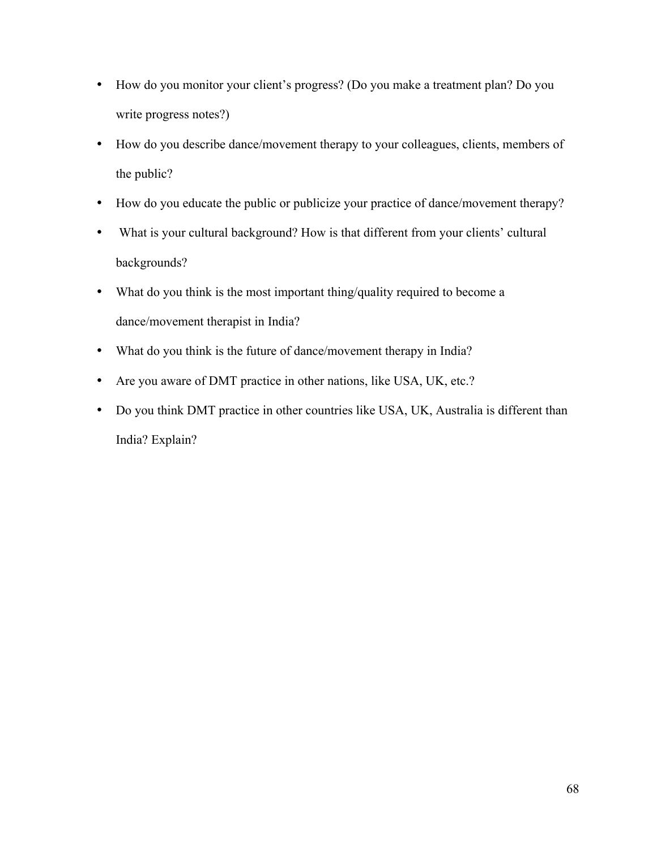- How do you monitor your client's progress? (Do you make a treatment plan? Do you write progress notes?)
- How do you describe dance/movement therapy to your colleagues, clients, members of the public?
- How do you educate the public or publicize your practice of dance/movement therapy?
- What is your cultural background? How is that different from your clients' cultural backgrounds?
- What do you think is the most important thing/quality required to become a dance/movement therapist in India?
- What do you think is the future of dance/movement therapy in India?
- Are you aware of DMT practice in other nations, like USA, UK, etc.?
- Do you think DMT practice in other countries like USA, UK, Australia is different than India? Explain?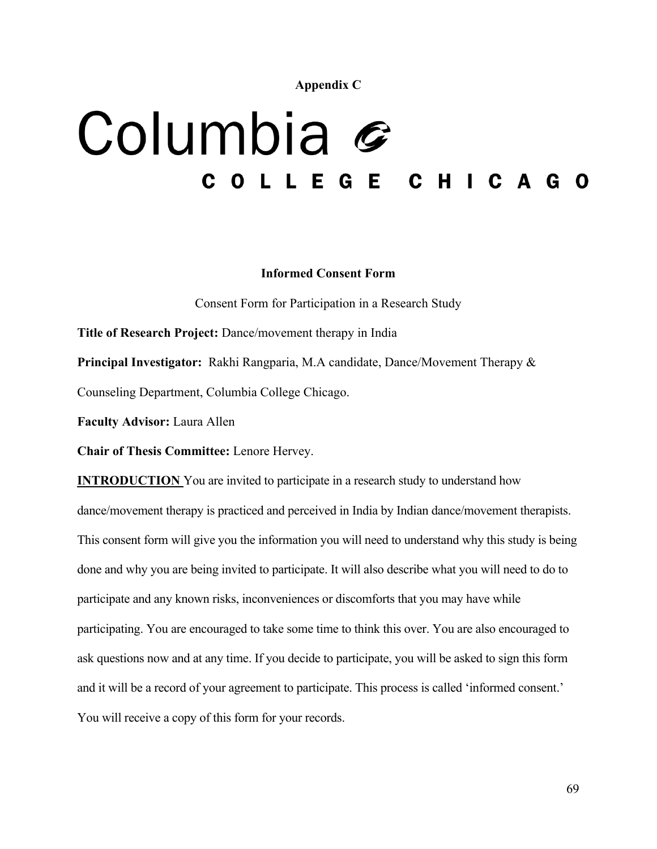**Appendix C**

# Columbia G COLLEGE CHICAGO

#### **Informed Consent Form**

Consent Form for Participation in a Research Study

**Title of Research Project:** Dance/movement therapy in India

**Principal Investigator:** Rakhi Rangparia, M.A candidate, Dance/Movement Therapy & Counseling Department, Columbia College Chicago.

**Faculty Advisor:** Laura Allen

**Chair of Thesis Committee:** Lenore Hervey.

**INTRODUCTION** You are invited to participate in a research study to understand how dance/movement therapy is practiced and perceived in India by Indian dance/movement therapists. This consent form will give you the information you will need to understand why this study is being done and why you are being invited to participate. It will also describe what you will need to do to participate and any known risks, inconveniences or discomforts that you may have while participating. You are encouraged to take some time to think this over. You are also encouraged to ask questions now and at any time. If you decide to participate, you will be asked to sign this form and it will be a record of your agreement to participate. This process is called 'informed consent.' You will receive a copy of this form for your records.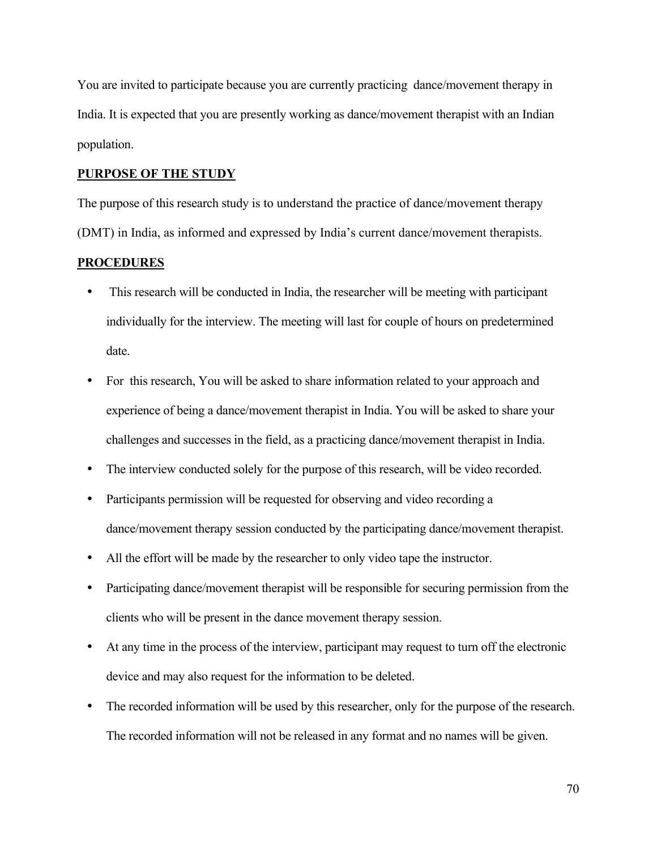You are invited to participate because you are currently practicing dance/movement therapy in India. It is expected that you are presently working as dance/movement therapist with an Indian population.

#### **PURPOSE OF THE STUDY**

The purpose of this research study is to understand the practice of dance/movement therapy (DMT) in India, as informed and expressed by India's current dance/movement therapists.

#### **PROCEDURES**

- This research will be conducted in India, the researcher will be meeting with participant individually for the interview. The meeting will last for couple of hours on predetermined date.
- For this research, You will be asked to share information related to your approach and experience of being a dance/movement therapist in India. You will be asked to share your challenges and successes in the field, as a practicing dance/movement therapist in India.
- The interview conducted solely for the purpose of this research, will be video recorded.
- Participants permission will be requested for observing and video recording a dance/movement therapy session conducted by the participating dance/movement therapist.
- All the effort will be made by the researcher to only video tape the instructor.
- Participating dance/movement therapist will be responsible for securing permission from the clients who will be present in the dance movement therapy session.
- At any time in the process of the interview, participant may request to turn off the electronic device and may also request for the information to be deleted.
- The recorded information will be used by this researcher, only for the purpose of the research. The recorded information will not be released in any format and no names will be given.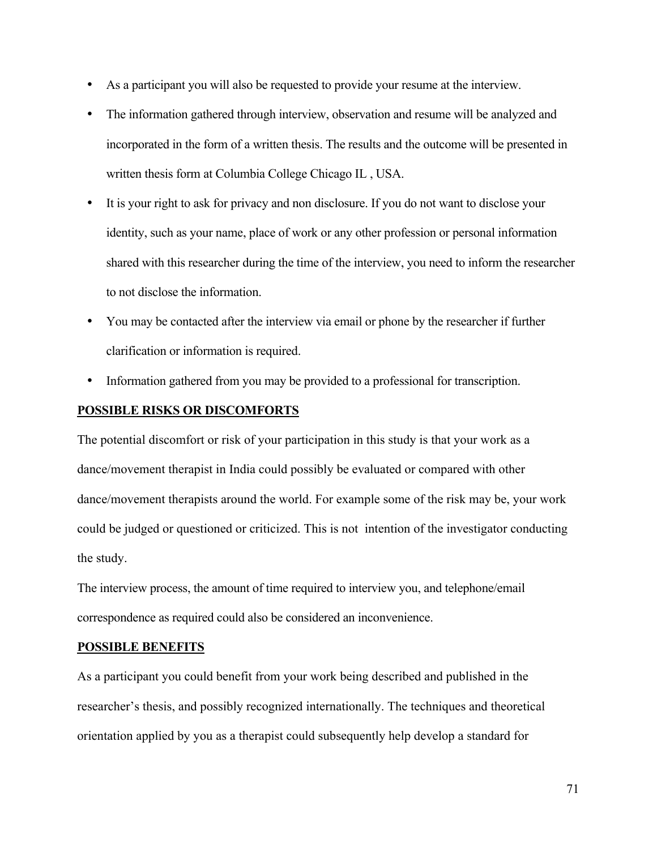- As a participant you will also be requested to provide your resume at the interview.
- The information gathered through interview, observation and resume will be analyzed and incorporated in the form of a written thesis. The results and the outcome will be presented in written thesis form at Columbia College Chicago IL , USA.
- It is your right to ask for privacy and non disclosure. If you do not want to disclose your identity, such as your name, place of work or any other profession or personal information shared with this researcher during the time of the interview, you need to inform the researcher to not disclose the information.
- You may be contacted after the interview via email or phone by the researcher if further clarification or information is required.
- Information gathered from you may be provided to a professional for transcription.

# **POSSIBLE RISKS OR DISCOMFORTS**

The potential discomfort or risk of your participation in this study is that your work as a dance/movement therapist in India could possibly be evaluated or compared with other dance/movement therapists around the world. For example some of the risk may be, your work could be judged or questioned or criticized. This is not intention of the investigator conducting the study.

The interview process, the amount of time required to interview you, and telephone/email correspondence as required could also be considered an inconvenience.

## **POSSIBLE BENEFITS**

As a participant you could benefit from your work being described and published in the researcher's thesis, and possibly recognized internationally. The techniques and theoretical orientation applied by you as a therapist could subsequently help develop a standard for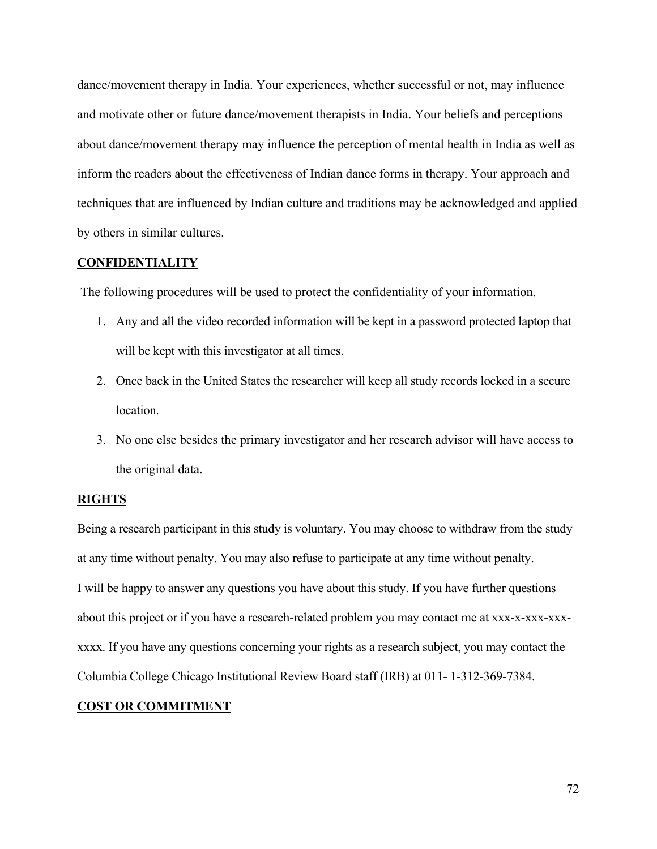dance/movement therapy in India. Your experiences, whether successful or not, may influence and motivate other or future dance/movement therapists in India. Your beliefs and perceptions about dance/movement therapy may influence the perception of mental health in India as well as inform the readers about the effectiveness of Indian dance forms in therapy. Your approach and techniques that are influenced by Indian culture and traditions may be acknowledged and applied by others in similar cultures.

#### **CONFIDENTIALITY**

The following procedures will be used to protect the confidentiality of your information.

- 1. Any and all the video recorded information will be kept in a password protected laptop that will be kept with this investigator at all times.
- 2. Once back in the United States the researcher will keep all study records locked in a secure location.
- 3. No one else besides the primary investigator and her research advisor will have access to the original data.

#### **RIGHTS**

Being a research participant in this study is voluntary. You may choose to withdraw from the study at any time without penalty. You may also refuse to participate at any time without penalty. I will be happy to answer any questions you have about this study. If you have further questions about this project or if you have a research-related problem you may contact me at xxx-x-xxx-xxxxxxx. If you have any questions concerning your rights as a research subject, you may contact the Columbia College Chicago Institutional Review Board staff (IRB) at 011- 1-312-369-7384.

#### **COST OR COMMITMENT**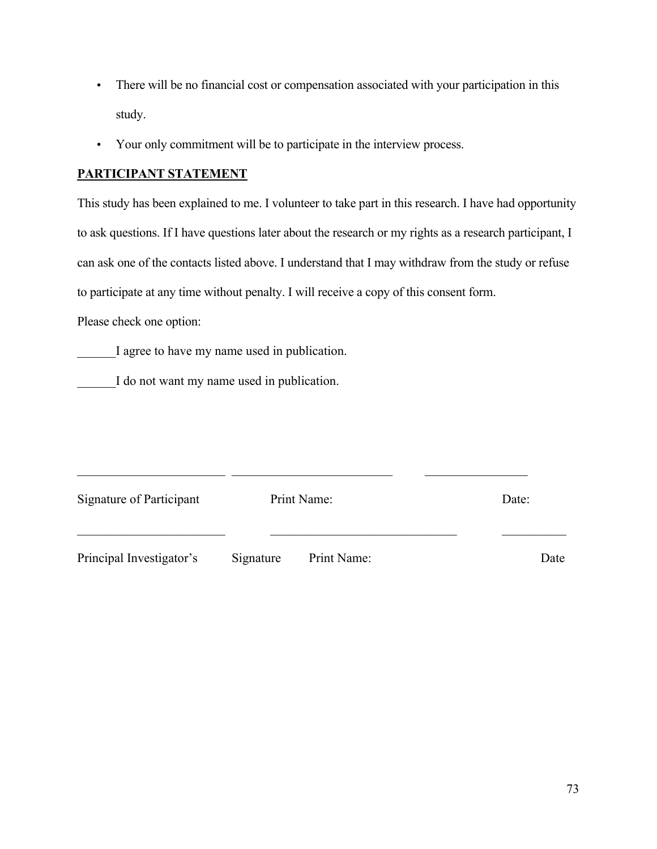- There will be no financial cost or compensation associated with your participation in this study.
- Your only commitment will be to participate in the interview process.

# **PARTICIPANT STATEMENT**

This study has been explained to me. I volunteer to take part in this research. I have had opportunity to ask questions. If I have questions later about the research or my rights as a research participant, I can ask one of the contacts listed above. I understand that I may withdraw from the study or refuse to participate at any time without penalty. I will receive a copy of this consent form.

Please check one option:

I agree to have my name used in publication.

I do not want my name used in publication.

| Signature of Participant | Print Name: |             | Date: |      |
|--------------------------|-------------|-------------|-------|------|
| Principal Investigator's | Signature   | Print Name: |       | Date |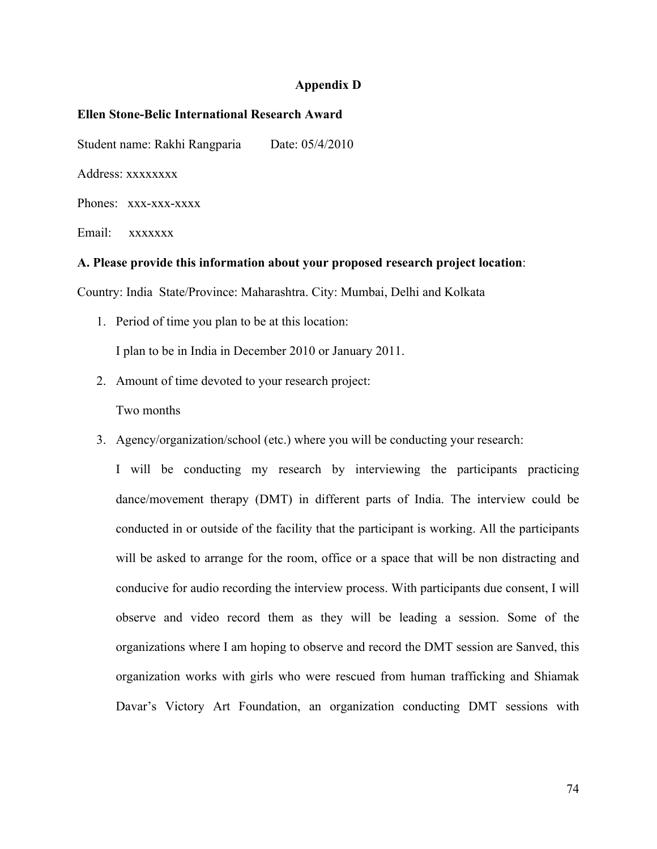#### **Appendix D**

#### **Ellen Stone-Belic International Research Award**

Student name: Rakhi Rangparia Date: 05/4/2010

Address: xxxxxxxx

Phones: xxx-xxx-xxxx

Email: xxxxxxx

#### **A. Please provide this information about your proposed research project location**:

Country: India State/Province: Maharashtra. City: Mumbai, Delhi and Kolkata

- 1. Period of time you plan to be at this location: I plan to be in India in December 2010 or January 2011.
- 2. Amount of time devoted to your research project:

Two months

3. Agency/organization/school (etc.) where you will be conducting your research:

I will be conducting my research by interviewing the participants practicing dance/movement therapy (DMT) in different parts of India. The interview could be conducted in or outside of the facility that the participant is working. All the participants will be asked to arrange for the room, office or a space that will be non distracting and conducive for audio recording the interview process. With participants due consent, I will observe and video record them as they will be leading a session. Some of the organizations where I am hoping to observe and record the DMT session are Sanved, this organization works with girls who were rescued from human trafficking and Shiamak Davar's Victory Art Foundation, an organization conducting DMT sessions with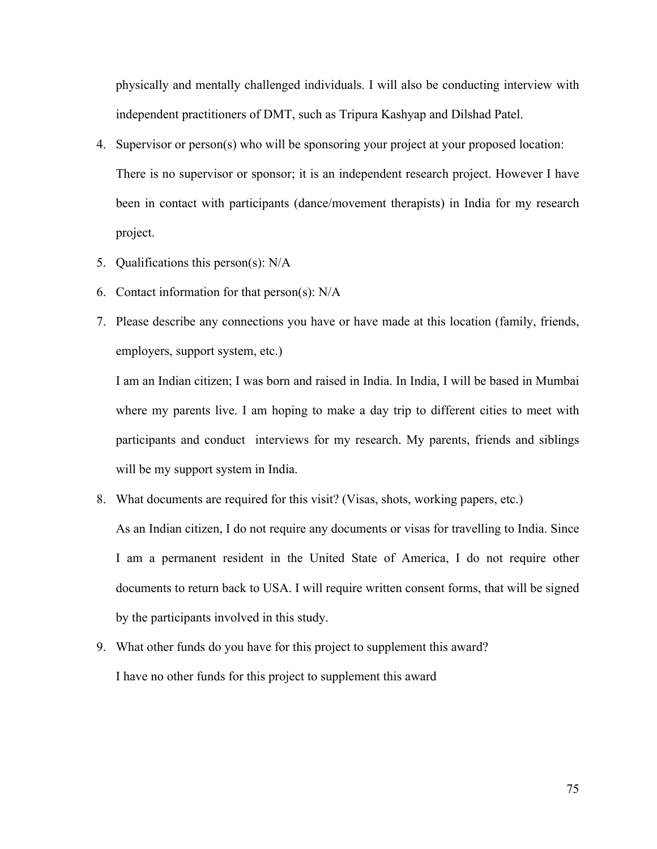physically and mentally challenged individuals. I will also be conducting interview with independent practitioners of DMT, such as Tripura Kashyap and Dilshad Patel.

- 4. Supervisor or person(s) who will be sponsoring your project at your proposed location: There is no supervisor or sponsor; it is an independent research project. However I have been in contact with participants (dance/movement therapists) in India for my research project.
- 5. Qualifications this person(s): N/A
- 6. Contact information for that person(s): N/A
- 7. Please describe any connections you have or have made at this location (family, friends, employers, support system, etc.)

I am an Indian citizen; I was born and raised in India. In India, I will be based in Mumbai where my parents live. I am hoping to make a day trip to different cities to meet with participants and conduct interviews for my research. My parents, friends and siblings will be my support system in India.

8. What documents are required for this visit? (Visas, shots, working papers, etc.)

As an Indian citizen, I do not require any documents or visas for travelling to India. Since I am a permanent resident in the United State of America, I do not require other documents to return back to USA. I will require written consent forms, that will be signed by the participants involved in this study.

9. What other funds do you have for this project to supplement this award? I have no other funds for this project to supplement this award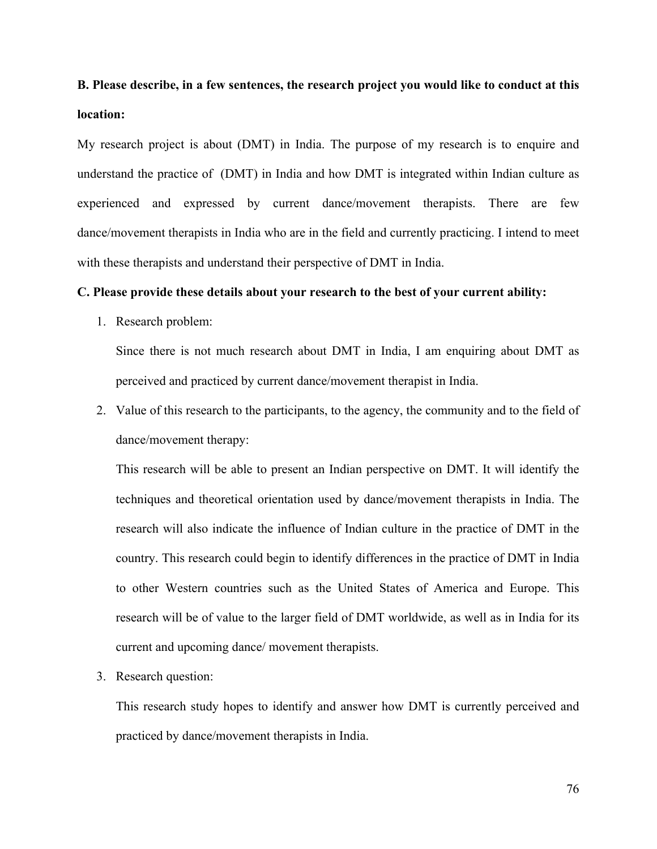# **B. Please describe, in a few sentences, the research project you would like to conduct at this location:**

My research project is about (DMT) in India. The purpose of my research is to enquire and understand the practice of (DMT) in India and how DMT is integrated within Indian culture as experienced and expressed by current dance/movement therapists. There are few dance/movement therapists in India who are in the field and currently practicing. I intend to meet with these therapists and understand their perspective of DMT in India.

#### **C. Please provide these details about your research to the best of your current ability:**

1. Research problem:

Since there is not much research about DMT in India, I am enquiring about DMT as perceived and practiced by current dance/movement therapist in India.

2. Value of this research to the participants, to the agency, the community and to the field of dance/movement therapy:

This research will be able to present an Indian perspective on DMT. It will identify the techniques and theoretical orientation used by dance/movement therapists in India. The research will also indicate the influence of Indian culture in the practice of DMT in the country. This research could begin to identify differences in the practice of DMT in India to other Western countries such as the United States of America and Europe. This research will be of value to the larger field of DMT worldwide, as well as in India for its current and upcoming dance/ movement therapists.

3. Research question:

This research study hopes to identify and answer how DMT is currently perceived and practiced by dance/movement therapists in India.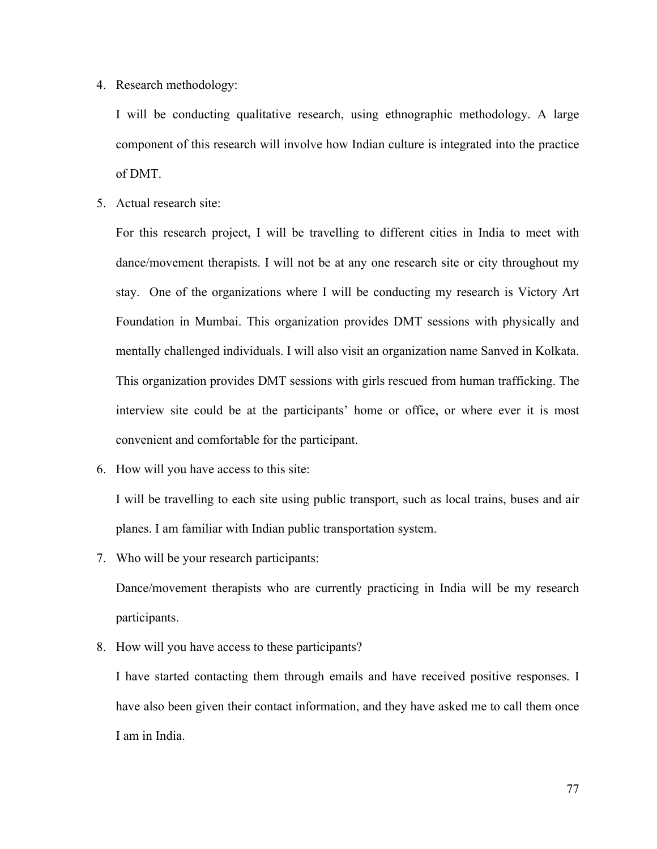4. Research methodology:

I will be conducting qualitative research, using ethnographic methodology. A large component of this research will involve how Indian culture is integrated into the practice of DMT.

5. Actual research site:

For this research project, I will be travelling to different cities in India to meet with dance/movement therapists. I will not be at any one research site or city throughout my stay. One of the organizations where I will be conducting my research is Victory Art Foundation in Mumbai. This organization provides DMT sessions with physically and mentally challenged individuals. I will also visit an organization name Sanved in Kolkata. This organization provides DMT sessions with girls rescued from human trafficking. The interview site could be at the participants' home or office, or where ever it is most convenient and comfortable for the participant.

6. How will you have access to this site:

I will be travelling to each site using public transport, such as local trains, buses and air planes. I am familiar with Indian public transportation system.

7. Who will be your research participants:

Dance/movement therapists who are currently practicing in India will be my research participants.

8. How will you have access to these participants?

I have started contacting them through emails and have received positive responses. I have also been given their contact information, and they have asked me to call them once I am in India.